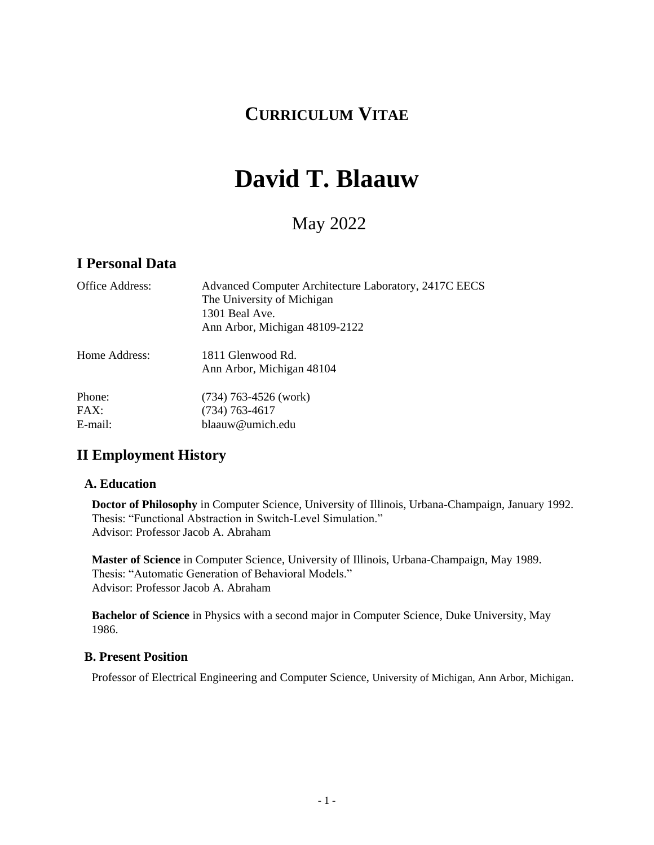## **CURRICULUM VITAE**

# **David T. Blaauw**

## May 2022

#### **I Personal Data**

| Office Address: | Advanced Computer Architecture Laboratory, 2417C EECS<br>The University of Michigan<br>1301 Beal Ave.<br>Ann Arbor, Michigan 48109-2122 |
|-----------------|-----------------------------------------------------------------------------------------------------------------------------------------|
| Home Address:   | 1811 Glenwood Rd.<br>Ann Arbor, Michigan 48104                                                                                          |
| Phone:<br>FAX:  | $(734)$ 763-4526 (work)                                                                                                                 |
|                 | $(734) 763 - 4617$                                                                                                                      |
| E-mail:         | blaauw@umich.edu                                                                                                                        |

### **II Employment History**

#### **A. Education**

**Doctor of Philosophy** in Computer Science, University of Illinois, Urbana-Champaign, January 1992. Thesis: "Functional Abstraction in Switch-Level Simulation." Advisor: Professor Jacob A. Abraham

**Master of Science** in Computer Science, University of Illinois, Urbana-Champaign, May 1989. Thesis: "Automatic Generation of Behavioral Models." Advisor: Professor Jacob A. Abraham

**Bachelor of Science** in Physics with a second major in Computer Science, Duke University, May 1986.

#### **B. Present Position**

Professor of Electrical Engineering and Computer Science, University of Michigan, Ann Arbor, Michigan.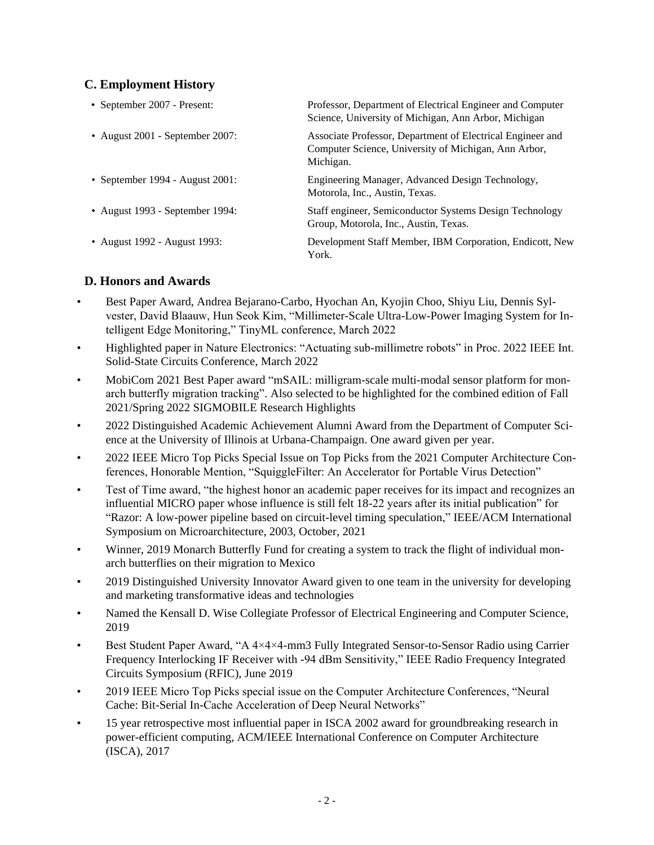#### **C. Employment History**

| • September 2007 - Present:          | Professor, Department of Electrical Engineer and Computer<br>Science, University of Michigan, Ann Arbor, Michigan               |
|--------------------------------------|---------------------------------------------------------------------------------------------------------------------------------|
| • August $2001$ - September $2007$ : | Associate Professor, Department of Electrical Engineer and<br>Computer Science, University of Michigan, Ann Arbor,<br>Michigan. |
| • September 1994 - August 2001:      | Engineering Manager, Advanced Design Technology,<br>Motorola, Inc., Austin, Texas.                                              |
| • August 1993 - September 1994:      | Staff engineer, Semiconductor Systems Design Technology<br>Group, Motorola, Inc., Austin, Texas.                                |
| • August 1992 - August 1993:         | Development Staff Member, IBM Corporation, Endicott, New<br>York.                                                               |

#### **D. Honors and Awards**

- Best Paper Award, Andrea Bejarano-Carbo, Hyochan An, Kyojin Choo, Shiyu Liu, Dennis Sylvester, David Blaauw, Hun Seok Kim, "Millimeter-Scale Ultra-Low-Power Imaging System for Intelligent Edge Monitoring," TinyML conference, March 2022
- Highlighted paper in Nature Electronics: "Actuating sub-millimetre robots" in Proc. 2022 IEEE Int. Solid-State Circuits Conference, March 2022
- MobiCom 2021 Best Paper award "mSAIL: milligram-scale multi-modal sensor platform for monarch butterfly migration tracking". Also selected to be highlighted for the combined edition of Fall 2021/Spring 2022 SIGMOBILE Research Highlights
- 2022 Distinguished Academic Achievement Alumni Award from the Department of Computer Science at the University of Illinois at Urbana-Champaign. One award given per year.
- 2022 IEEE Micro Top Picks Special Issue on Top Picks from the 2021 Computer Architecture Conferences, Honorable Mention, "SquiggleFilter: An Accelerator for Portable Virus Detection"
- Test of Time award, "the highest honor an academic paper receives for its impact and recognizes an influential MICRO paper whose influence is still felt 18-22 years after its initial publication" for ["Razor: A low-power pipeline based on circuit-level timing speculation,](https://scholar.google.com/citations?view_op=view_citation&hl=en&user=P3JdmqAAAAAJ&pagesize=100&citation_for_view=P3JdmqAAAAAJ:u-x6o8ySG0sC)" IEEE/ACM International Symposium on Microarchitecture, 2003, October, 2021
- Winner, 2019 Monarch Butterfly Fund for creating a system to track the flight of individual monarch butterflies on their migration to Mexico
- 2019 Distinguished University Innovator Award given to one team in the university for developing and marketing transformative ideas and technologies
- Named the Kensall D. Wise Collegiate Professor of Electrical Engineering and Computer Science, 2019
- Best Student Paper Award, "A 4×4×4-mm3 Fully Integrated Sensor-to-Sensor Radio using Carrier Frequency Interlocking IF Receiver with -94 dBm Sensitivity," IEEE Radio Frequency Integrated Circuits Symposium (RFIC), June 2019
- 2019 IEEE Micro Top Picks special issue on the Computer Architecture Conferences, "Neural Cache: Bit-Serial In-Cache Acceleration of Deep Neural Networks"
- 15 year retrospective most influential paper in ISCA 2002 award for groundbreaking research in power-efficient computing, ACM/IEEE International Conference on Computer Architecture (ISCA), 2017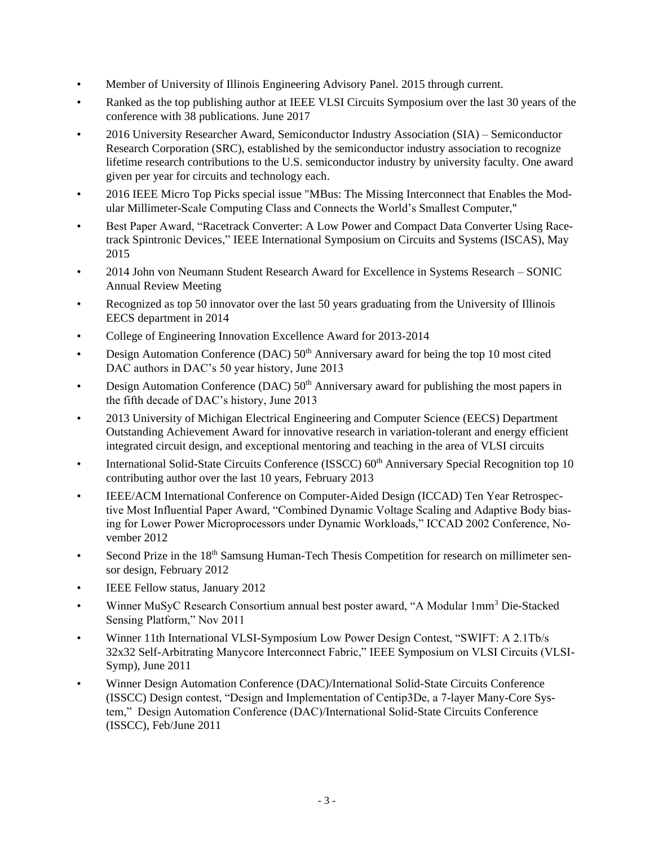- Member of University of Illinois Engineering Advisory Panel. 2015 through current.
- Ranked as the top publishing author at IEEE VLSI Circuits Symposium over the last 30 years of the conference with 38 publications. June 2017
- 2016 University Researcher Award, Semiconductor Industry Association (SIA) Semiconductor Research Corporation (SRC), established by the semiconductor industry association to recognize lifetime research contributions to the U.S. semiconductor industry by university faculty. One award given per year for circuits and technology each.
- 2016 IEEE Micro Top Picks special issue "MBus: The Missing Interconnect that Enables the Modular Millimeter-Scale Computing Class and Connects the World's Smallest Computer,"
- Best Paper Award, "Racetrack Converter: A Low Power and Compact Data Converter Using Racetrack Spintronic Devices," IEEE International Symposium on Circuits and Systems (ISCAS), May 2015
- 2014 John von Neumann Student Research Award for Excellence in Systems Research SONIC Annual Review Meeting
- Recognized as top 50 innovator over the last 50 years graduating from the University of Illinois EECS department in 2014
- College of Engineering Innovation Excellence Award for 2013-2014
- Design Automation Conference (DAC)  $50<sup>th</sup>$  Anniversary award for being the top 10 most cited DAC authors in DAC's 50 year history, June 2013
- Design Automation Conference (DAC)  $50<sup>th</sup>$  Anniversary award for publishing the most papers in the fifth decade of DAC's history, June 2013
- 2013 University of Michigan Electrical Engineering and Computer Science (EECS) Department Outstanding Achievement Award for innovative research in variation-tolerant and energy efficient integrated circuit design, and exceptional mentoring and teaching in the area of VLSI circuits
- International Solid-State Circuits Conference (ISSCC) 60<sup>th</sup> Anniversary Special Recognition top 10 contributing author over the last 10 years, February 2013
- IEEE/ACM International Conference on Computer-Aided Design (ICCAD) Ten Year Retrospective Most Influential Paper Award, "Combined Dynamic Voltage Scaling and Adaptive Body biasing for Lower Power Microprocessors under Dynamic Workloads," ICCAD 2002 Conference, November 2012
- Second Prize in the 18<sup>th</sup> Samsung Human-Tech Thesis Competition for research on millimeter sensor design, February 2012
- IEEE Fellow status, January 2012
- Winner MuSyC Research Consortium annual best poster award, "A Modular 1mm<sup>3</sup> Die-Stacked Sensing Platform," Nov 2011
- Winner 11th International VLSI-Symposium Low Power Design Contest, "SWIFT: A 2.1Tb/s 32x32 Self-Arbitrating Manycore Interconnect Fabric," IEEE Symposium on VLSI Circuits (VLSI-Symp), June 2011
- Winner Design Automation Conference (DAC)/International Solid-State Circuits Conference (ISSCC) Design contest, "Design and Implementation of Centip3De, a 7-layer Many-Core System," Design Automation Conference (DAC)/International Solid-State Circuits Conference (ISSCC), Feb/June 2011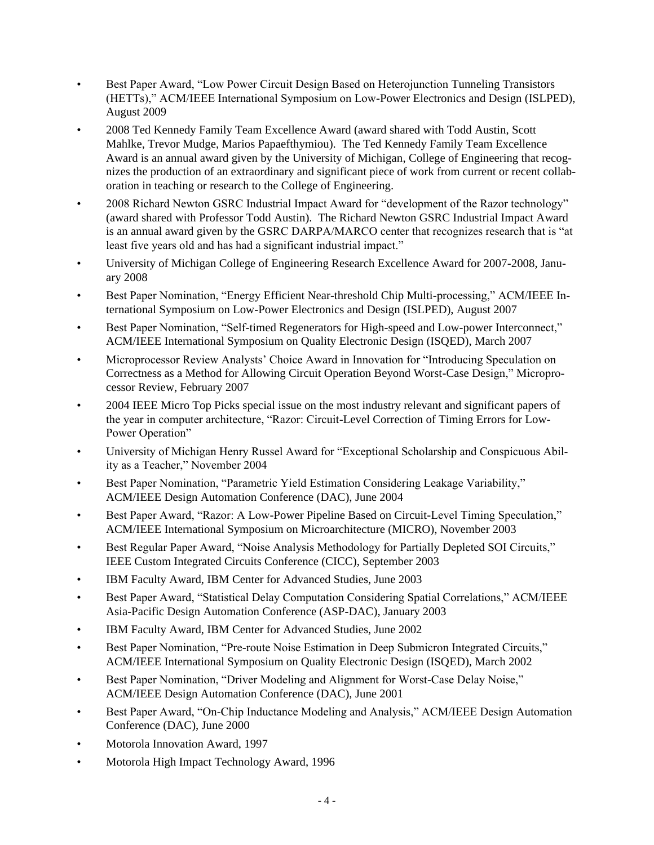- Best Paper Award, "Low Power Circuit Design Based on Heterojunction Tunneling Transistors (HETTs)," ACM/IEEE International Symposium on Low-Power Electronics and Design (ISLPED), August 2009
- 2008 Ted Kennedy Family Team Excellence Award (award shared with Todd Austin, Scott Mahlke, Trevor Mudge, Marios Papaefthymiou). The Ted Kennedy Family Team Excellence Award is an annual award given by the University of Michigan, College of Engineering that recognizes the production of an extraordinary and significant piece of work from current or recent collaboration in teaching or research to the College of Engineering.
- 2008 Richard Newton GSRC Industrial Impact Award for "development of the Razor technology" (award shared with Professor Todd Austin). The Richard Newton GSRC Industrial Impact Award is an annual award given by the GSRC DARPA/MARCO center that recognizes research that is "at least five years old and has had a significant industrial impact."
- University of Michigan College of Engineering Research Excellence Award for 2007-2008, January 2008
- Best Paper Nomination, "Energy Efficient Near-threshold Chip Multi-processing," ACM/IEEE International Symposium on Low-Power Electronics and Design (ISLPED), August 2007
- Best Paper Nomination, "Self-timed Regenerators for High-speed and Low-power Interconnect," ACM/IEEE International Symposium on Quality Electronic Design (ISQED), March 2007
- Microprocessor Review Analysts' Choice Award in Innovation for "Introducing Speculation on Correctness as a Method for Allowing Circuit Operation Beyond Worst-Case Design," Microprocessor Review, February 2007
- 2004 IEEE Micro Top Picks special issue on the most industry relevant and significant papers of the year in computer architecture, "Razor: Circuit-Level Correction of Timing Errors for Low-Power Operation"
- University of Michigan Henry Russel Award for "Exceptional Scholarship and Conspicuous Ability as a Teacher," November 2004
- Best Paper Nomination, "Parametric Yield Estimation Considering Leakage Variability," ACM/IEEE Design Automation Conference (DAC), June 2004
- Best Paper Award, "Razor: A Low-Power Pipeline Based on Circuit-Level Timing Speculation," ACM/IEEE International Symposium on Microarchitecture (MICRO), November 2003
- Best Regular Paper Award, "Noise Analysis Methodology for Partially Depleted SOI Circuits," IEEE Custom Integrated Circuits Conference (CICC), September 2003
- IBM Faculty Award, IBM Center for Advanced Studies, June 2003
- Best Paper Award, "Statistical Delay Computation Considering Spatial Correlations," ACM/IEEE Asia-Pacific Design Automation Conference (ASP-DAC), January 2003
- IBM Faculty Award, IBM Center for Advanced Studies, June 2002
- Best Paper Nomination, "Pre-route Noise Estimation in Deep Submicron Integrated Circuits," ACM/IEEE International Symposium on Quality Electronic Design (ISQED), March 2002
- Best Paper Nomination, "Driver Modeling and Alignment for Worst-Case Delay Noise," ACM/IEEE Design Automation Conference (DAC), June 2001
- Best Paper Award, "On-Chip Inductance Modeling and Analysis," ACM/IEEE Design Automation Conference (DAC), June 2000
- Motorola Innovation Award, 1997
- Motorola High Impact Technology Award, 1996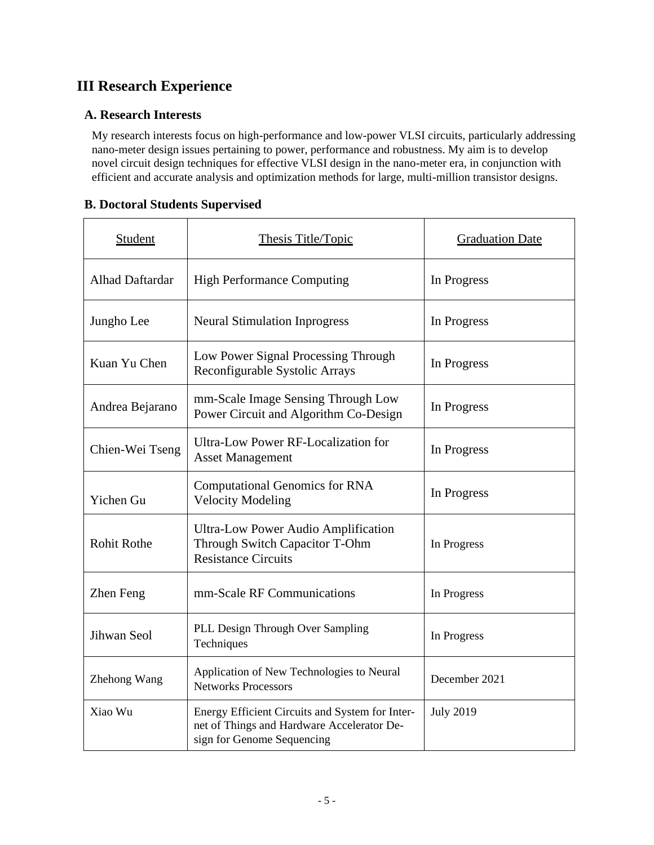## **III Research Experience**

#### **A. Research Interests**

My research interests focus on high-performance and low-power VLSI circuits, particularly addressing nano-meter design issues pertaining to power, performance and robustness. My aim is to develop novel circuit design techniques for effective VLSI design in the nano-meter era, in conjunction with efficient and accurate analysis and optimization methods for large, multi-million transistor designs.

#### **B. Doctoral Students Supervised**

| Student                | Thesis Title/Topic                                                                                                          | <b>Graduation Date</b> |  |
|------------------------|-----------------------------------------------------------------------------------------------------------------------------|------------------------|--|
| <b>Alhad Daftardar</b> | <b>High Performance Computing</b>                                                                                           | In Progress            |  |
| Jungho Lee             | <b>Neural Stimulation Inprogress</b>                                                                                        | In Progress            |  |
| Kuan Yu Chen           | Low Power Signal Processing Through<br>Reconfigurable Systolic Arrays                                                       | In Progress            |  |
| Andrea Bejarano        | mm-Scale Image Sensing Through Low<br>Power Circuit and Algorithm Co-Design                                                 | In Progress            |  |
| Chien-Wei Tseng        | Ultra-Low Power RF-Localization for<br><b>Asset Management</b>                                                              | In Progress            |  |
| Yichen Gu              | <b>Computational Genomics for RNA</b><br><b>Velocity Modeling</b>                                                           | In Progress            |  |
| <b>Rohit Rothe</b>     | <b>Ultra-Low Power Audio Amplification</b><br>Through Switch Capacitor T-Ohm<br><b>Resistance Circuits</b>                  | In Progress            |  |
| Zhen Feng              | mm-Scale RF Communications                                                                                                  | In Progress            |  |
| Jihwan Seol            | PLL Design Through Over Sampling<br>Techniques                                                                              | In Progress            |  |
| Zhehong Wang           | Application of New Technologies to Neural<br><b>Networks Processors</b>                                                     | December 2021          |  |
| Xiao Wu                | Energy Efficient Circuits and System for Inter-<br>net of Things and Hardware Accelerator De-<br>sign for Genome Sequencing | <b>July 2019</b>       |  |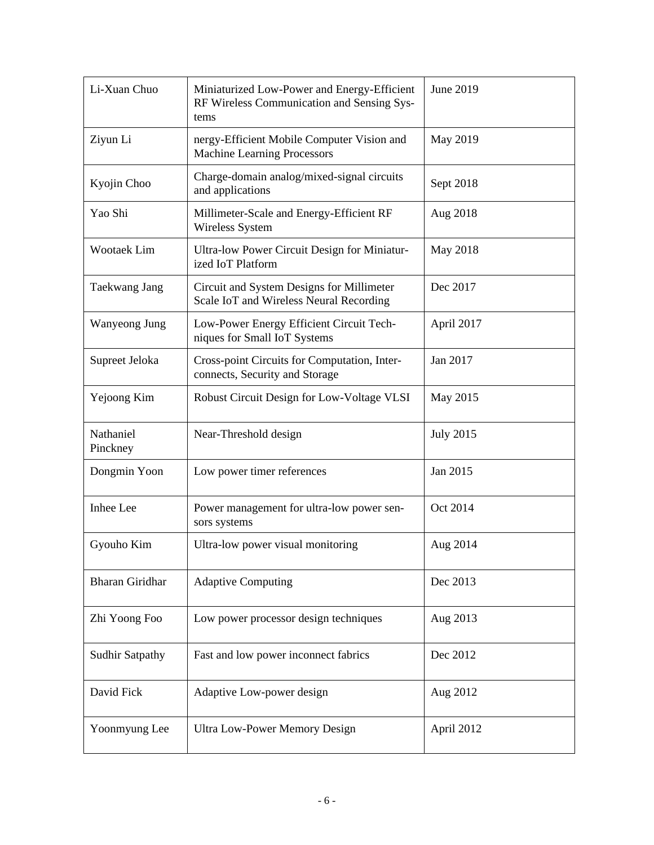| Li-Xuan Chuo           | Miniaturized Low-Power and Energy-Efficient<br>RF Wireless Communication and Sensing Sys-<br>tems | June 2019        |  |
|------------------------|---------------------------------------------------------------------------------------------------|------------------|--|
| Ziyun Li               | nergy-Efficient Mobile Computer Vision and<br><b>Machine Learning Processors</b>                  | May 2019         |  |
| Kyojin Choo            | Charge-domain analog/mixed-signal circuits<br>and applications                                    | Sept 2018        |  |
| Yao Shi                | Millimeter-Scale and Energy-Efficient RF<br>Wireless System                                       | Aug 2018         |  |
| Wootaek Lim            | Ultra-low Power Circuit Design for Miniatur-<br>ized IoT Platform                                 | May 2018         |  |
| Taekwang Jang          | Circuit and System Designs for Millimeter<br>Scale IoT and Wireless Neural Recording              | Dec 2017         |  |
| Wanyeong Jung          | Low-Power Energy Efficient Circuit Tech-<br>niques for Small IoT Systems                          | April 2017       |  |
| Supreet Jeloka         | Cross-point Circuits for Computation, Inter-<br>connects, Security and Storage                    | Jan 2017         |  |
| Yejoong Kim            | Robust Circuit Design for Low-Voltage VLSI                                                        | May 2015         |  |
| Nathaniel<br>Pinckney  | Near-Threshold design                                                                             | <b>July 2015</b> |  |
| Dongmin Yoon           | Low power timer references                                                                        | Jan 2015         |  |
| Inhee Lee              | Power management for ultra-low power sen-<br>sors systems                                         | Oct 2014         |  |
| Gyouho Kim             | Ultra-low power visual monitoring                                                                 | Aug 2014         |  |
| <b>Bharan Giridhar</b> | <b>Adaptive Computing</b>                                                                         | Dec 2013         |  |
| Zhi Yoong Foo          | Low power processor design techniques                                                             | Aug 2013         |  |
| <b>Sudhir Satpathy</b> | Fast and low power inconnect fabrics                                                              | Dec 2012         |  |
| David Fick             | Adaptive Low-power design                                                                         | Aug 2012         |  |
| Yoonmyung Lee          | <b>Ultra Low-Power Memory Design</b>                                                              | April 2012       |  |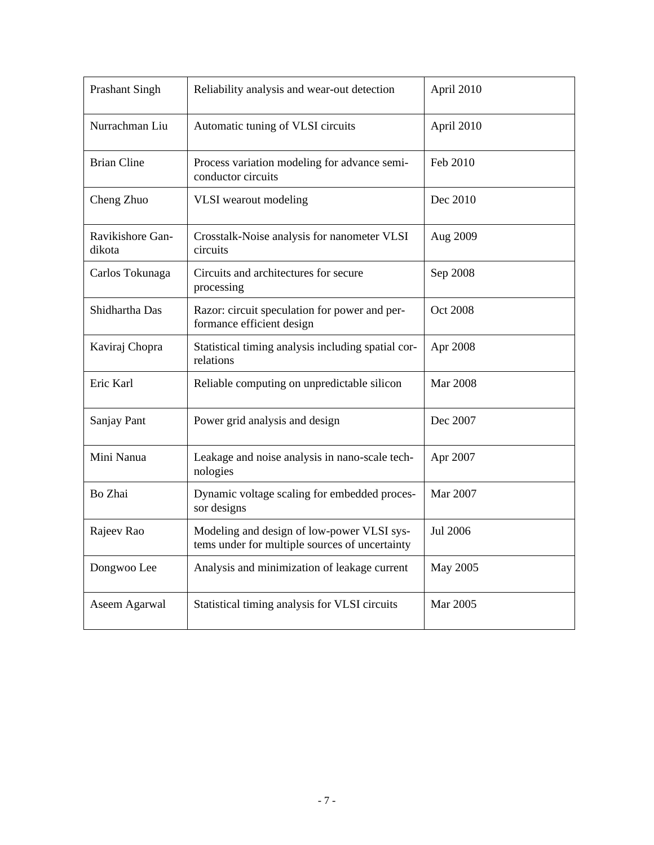| <b>Prashant Singh</b>      | Reliability analysis and wear-out detection                                                  | April 2010      |
|----------------------------|----------------------------------------------------------------------------------------------|-----------------|
| Nurrachman Liu             | Automatic tuning of VLSI circuits                                                            | April 2010      |
| <b>Brian Cline</b>         | Process variation modeling for advance semi-<br>conductor circuits                           | Feb 2010        |
| Cheng Zhuo                 | VLSI wearout modeling                                                                        | Dec 2010        |
| Ravikishore Gan-<br>dikota | Crosstalk-Noise analysis for nanometer VLSI<br>circuits                                      | Aug 2009        |
| Carlos Tokunaga            | Circuits and architectures for secure<br>processing                                          | Sep 2008        |
| Shidhartha Das             | Razor: circuit speculation for power and per-<br>formance efficient design                   | <b>Oct 2008</b> |
| Kaviraj Chopra             | Statistical timing analysis including spatial cor-<br>relations                              | Apr 2008        |
| Eric Karl                  | Reliable computing on unpredictable silicon                                                  | <b>Mar 2008</b> |
| Sanjay Pant                | Power grid analysis and design                                                               | Dec 2007        |
| Mini Nanua                 | Leakage and noise analysis in nano-scale tech-<br>nologies                                   | Apr 2007        |
| Bo Zhai                    | Dynamic voltage scaling for embedded proces-<br>sor designs                                  | Mar 2007        |
| Rajeev Rao                 | Modeling and design of low-power VLSI sys-<br>tems under for multiple sources of uncertainty | Jul 2006        |
| Dongwoo Lee                | Analysis and minimization of leakage current                                                 | May 2005        |
| Aseem Agarwal              | Statistical timing analysis for VLSI circuits                                                | Mar 2005        |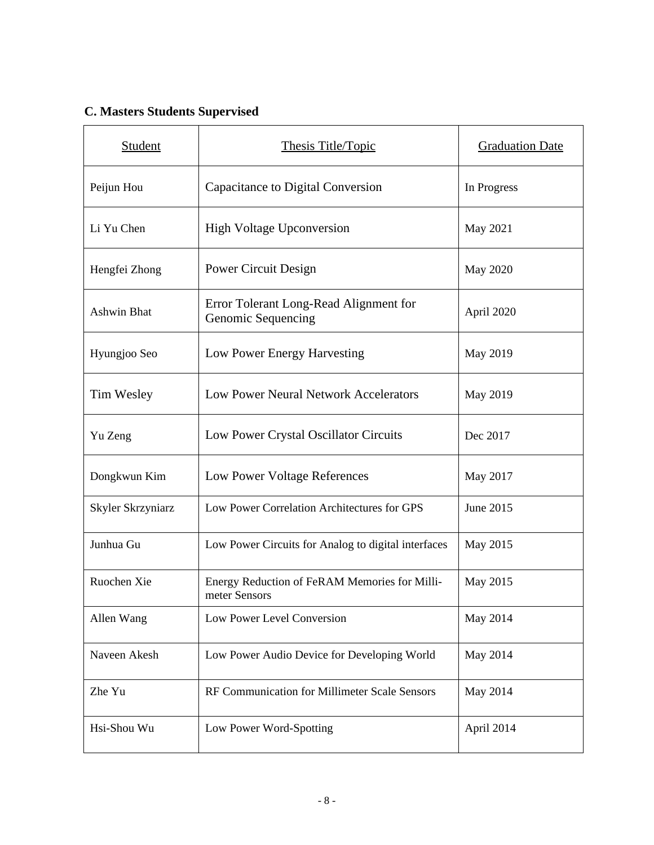## **C. Masters Students Supervised**

| <b>Student</b>     | Thesis Title/Topic                                             | <b>Graduation Date</b> |  |
|--------------------|----------------------------------------------------------------|------------------------|--|
| Peijun Hou         | Capacitance to Digital Conversion                              | In Progress            |  |
| Li Yu Chen         | <b>High Voltage Upconversion</b>                               | May 2021               |  |
| Hengfei Zhong      | Power Circuit Design                                           | May 2020               |  |
| <b>Ashwin Bhat</b> | Error Tolerant Long-Read Alignment for<br>Genomic Sequencing   | April 2020             |  |
| Hyungjoo Seo       | Low Power Energy Harvesting                                    | May 2019               |  |
| Tim Wesley         | Low Power Neural Network Accelerators                          | May 2019               |  |
| Yu Zeng            | Low Power Crystal Oscillator Circuits                          | Dec 2017               |  |
| Dongkwun Kim       | Low Power Voltage References                                   | May 2017               |  |
| Skyler Skrzyniarz  | Low Power Correlation Architectures for GPS                    | June 2015              |  |
| Junhua Gu          | Low Power Circuits for Analog to digital interfaces            | May 2015               |  |
| Ruochen Xie        | Energy Reduction of FeRAM Memories for Milli-<br>meter Sensors | May 2015               |  |
| Allen Wang         | Low Power Level Conversion                                     | May 2014               |  |
| Naveen Akesh       | Low Power Audio Device for Developing World                    | May 2014               |  |
| Zhe Yu             | RF Communication for Millimeter Scale Sensors                  | May 2014               |  |
| Hsi-Shou Wu        | Low Power Word-Spotting                                        | April 2014             |  |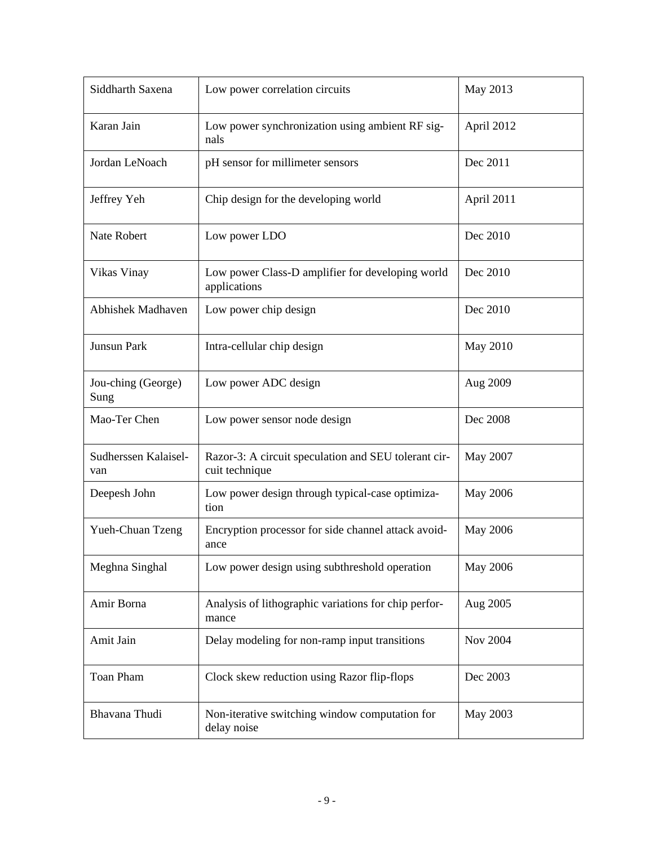| Siddharth Saxena            | Low power correlation circuits                                         | May 2013        |  |
|-----------------------------|------------------------------------------------------------------------|-----------------|--|
| Karan Jain                  | Low power synchronization using ambient RF sig-<br>nals                | April 2012      |  |
| Jordan LeNoach              | pH sensor for millimeter sensors                                       | Dec 2011        |  |
| Jeffrey Yeh                 | Chip design for the developing world                                   | April 2011      |  |
| Nate Robert                 | Low power LDO                                                          | Dec 2010        |  |
| Vikas Vinay                 | Low power Class-D amplifier for developing world<br>applications       | Dec 2010        |  |
| <b>Abhishek Madhaven</b>    | Low power chip design                                                  | Dec 2010        |  |
| Junsun Park                 | Intra-cellular chip design                                             | May 2010        |  |
| Jou-ching (George)<br>Sung  | Low power ADC design                                                   | Aug 2009        |  |
| Mao-Ter Chen                | Low power sensor node design                                           | Dec 2008        |  |
| Sudherssen Kalaisel-<br>van | Razor-3: A circuit speculation and SEU tolerant cir-<br>cuit technique | May 2007        |  |
| Deepesh John                | Low power design through typical-case optimiza-<br>tion                | <b>May 2006</b> |  |
| Yueh-Chuan Tzeng            | Encryption processor for side channel attack avoid-<br>ance            | <b>May 2006</b> |  |
| Meghna Singhal              | Low power design using subthreshold operation                          | May 2006        |  |
| Amir Borna                  | Analysis of lithographic variations for chip perfor-<br>mance          | Aug 2005        |  |
| Amit Jain                   | Delay modeling for non-ramp input transitions                          | <b>Nov 2004</b> |  |
| Toan Pham                   | Clock skew reduction using Razor flip-flops                            | Dec 2003        |  |
| Bhavana Thudi               | Non-iterative switching window computation for<br>delay noise          | May 2003        |  |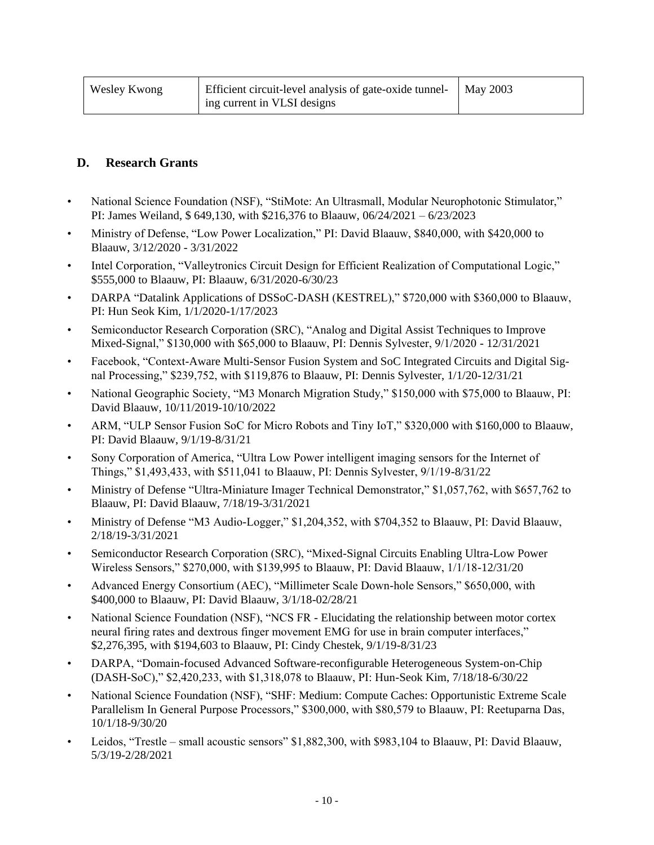| Wesley Kwong | Efficient circuit-level analysis of gate-oxide tunnel- | May 2003 |
|--------------|--------------------------------------------------------|----------|
|              | ing current in VLSI designs                            |          |

#### **D. Research Grants**

- National Science Foundation (NSF), "StiMote: An Ultrasmall, Modular Neurophotonic Stimulator," PI: James Weiland, \$ 649,130, with \$216,376 to Blaauw, 06/24/2021 – 6/23/2023
- Ministry of Defense, "Low Power Localization," PI: David Blaauw, \$840,000, with \$420,000 to Blaauw, 3/12/2020 - 3/31/2022
- Intel Corporation, "Valleytronics Circuit Design for Efficient Realization of Computational Logic," \$555,000 to Blaauw, PI: Blaauw, 6/31/2020-6/30/23
- DARPA "Datalink Applications of DSSoC-DASH (KESTREL)," \$720,000 with \$360,000 to Blaauw, PI: Hun Seok Kim, 1/1/2020-1/17/2023
- Semiconductor Research Corporation (SRC), "Analog and Digital Assist Techniques to Improve Mixed-Signal," \$130,000 with \$65,000 to Blaauw, PI: Dennis Sylvester, 9/1/2020 - 12/31/2021
- Facebook, "Context-Aware Multi-Sensor Fusion System and SoC Integrated Circuits and Digital Signal Processing," \$239,752, with \$119,876 to Blaauw, PI: Dennis Sylvester, 1/1/20-12/31/21
- National Geographic Society, "M3 Monarch Migration Study," \$150,000 with \$75,000 to Blaauw, PI: David Blaauw, 10/11/2019-10/10/2022
- ARM, "ULP Sensor Fusion SoC for Micro Robots and Tiny IoT," \$320,000 with \$160,000 to Blaauw, PI: David Blaauw, 9/1/19-8/31/21
- Sony Corporation of America, "Ultra Low Power intelligent imaging sensors for the Internet of Things," \$1,493,433, with \$511,041 to Blaauw, PI: Dennis Sylvester, 9/1/19-8/31/22
- Ministry of Defense "Ultra-Miniature Imager Technical Demonstrator," \$1,057,762, with \$657,762 to Blaauw, PI: David Blaauw, 7/18/19-3/31/2021
- Ministry of Defense "M3 Audio-Logger," \$1,204,352, with \$704,352 to Blaauw, PI: David Blaauw, 2/18/19-3/31/2021
- Semiconductor Research Corporation (SRC), "Mixed-Signal Circuits Enabling Ultra-Low Power Wireless Sensors," \$270,000, with \$139,995 to Blaauw, PI: David Blaauw, 1/1/18-12/31/20
- Advanced Energy Consortium (AEC), "Millimeter Scale Down-hole Sensors," \$650,000, with \$400,000 to Blaauw, PI: David Blaauw, 3/1/18-02/28/21
- National Science Foundation (NSF), "NCS FR Elucidating the relationship between motor cortex neural firing rates and dextrous finger movement EMG for use in brain computer interfaces," \$2,276,395, with \$194,603 to Blaauw, PI: Cindy Chestek, 9/1/19-8/31/23
- DARPA, "Domain-focused Advanced Software-reconfigurable Heterogeneous System-on-Chip (DASH-SoC)," \$2,420,233, with \$1,318,078 to Blaauw, PI: Hun-Seok Kim, 7/18/18-6/30/22
- National Science Foundation (NSF), "SHF: Medium: Compute Caches: Opportunistic Extreme Scale Parallelism In General Purpose Processors," \$300,000, with \$80,579 to Blaauw, PI: Reetuparna Das, 10/1/18-9/30/20
- Leidos, "Trestle small acoustic sensors" \$1,882,300, with \$983,104 to Blaauw, PI: David Blaauw, 5/3/19-2/28/2021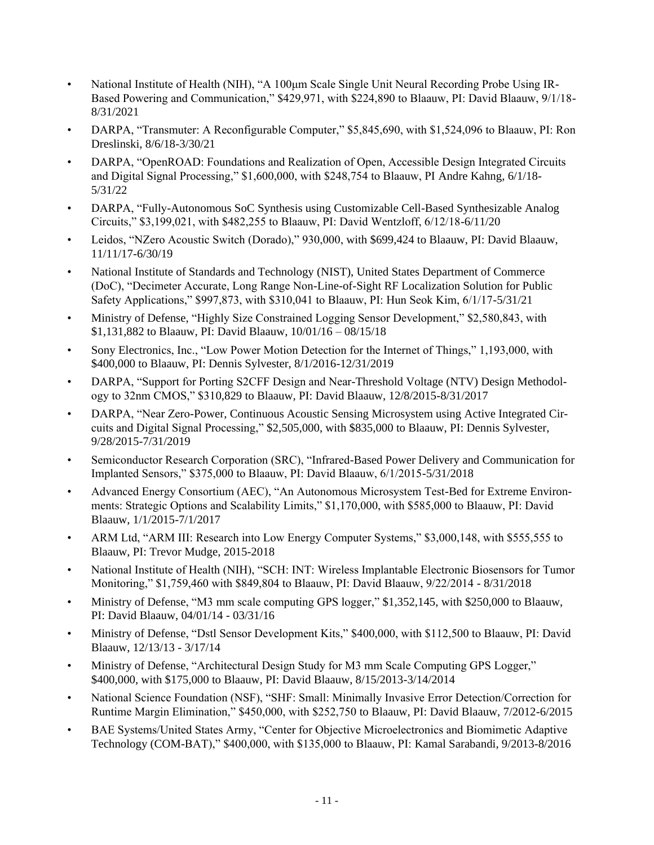- National Institute of Health (NIH), "A 100<sup>u</sup>m Scale Single Unit Neural Recording Probe Using IR-Based Powering and Communication," \$429,971, with \$224,890 to Blaauw, PI: David Blaauw, 9/1/18- 8/31/2021
- DARPA, "Transmuter: A Reconfigurable Computer," \$5,845,690, with \$1,524,096 to Blaauw, PI: Ron Dreslinski, 8/6/18-3/30/21
- DARPA, "OpenROAD: Foundations and Realization of Open, Accessible Design Integrated Circuits and Digital Signal Processing," \$1,600,000, with \$248,754 to Blaauw, PI Andre Kahng, 6/1/18- 5/31/22
- DARPA, "Fully-Autonomous SoC Synthesis using Customizable Cell-Based Synthesizable Analog Circuits," \$3,199,021, with \$482,255 to Blaauw, PI: David Wentzloff, 6/12/18-6/11/20
- Leidos, "NZero Acoustic Switch (Dorado)," 930,000, with \$699,424 to Blaauw, PI: David Blaauw, 11/11/17-6/30/19
- National Institute of Standards and Technology (NIST), United States Department of Commerce (DoC), "Decimeter Accurate, Long Range Non-Line-of-Sight RF Localization Solution for Public Safety Applications," \$997,873, with \$310,041 to Blaauw, PI: Hun Seok Kim, 6/1/17-5/31/21
- Ministry of Defense, "Highly Size Constrained Logging Sensor Development," \$2,580,843, with \$1,131,882 to Blaauw, PI: David Blaauw, 10/01/16 – 08/15/18
- Sony Electronics, Inc., "Low Power Motion Detection for the Internet of Things," 1,193,000, with \$400,000 to Blaauw, PI: Dennis Sylvester, 8/1/2016-12/31/2019
- DARPA, "Support for Porting S2CFF Design and Near-Threshold Voltage (NTV) Design Methodology to 32nm CMOS," \$310,829 to Blaauw, PI: David Blaauw, 12/8/2015-8/31/2017
- DARPA, "Near Zero-Power, Continuous Acoustic Sensing Microsystem using Active Integrated Circuits and Digital Signal Processing," \$2,505,000, with \$835,000 to Blaauw, PI: Dennis Sylvester, 9/28/2015-7/31/2019
- Semiconductor Research Corporation (SRC), "Infrared-Based Power Delivery and Communication for Implanted Sensors," \$375,000 to Blaauw, PI: David Blaauw, 6/1/2015-5/31/2018
- Advanced Energy Consortium (AEC), "An Autonomous Microsystem Test-Bed for Extreme Environments: Strategic Options and Scalability Limits," \$1,170,000, with \$585,000 to Blaauw, PI: David Blaauw, 1/1/2015-7/1/2017
- ARM Ltd, "ARM III: Research into Low Energy Computer Systems," \$3,000,148, with \$555,555 to Blaauw, PI: Trevor Mudge, 2015-2018
- National Institute of Health (NIH), "SCH: INT: Wireless Implantable Electronic Biosensors for Tumor Monitoring," \$1,759,460 with \$849,804 to Blaauw, PI: David Blaauw, 9/22/2014 - 8/31/2018
- Ministry of Defense, "M3 mm scale computing GPS logger," \$1,352,145, with \$250,000 to Blaauw, PI: David Blaauw, 04/01/14 - 03/31/16
- Ministry of Defense, "Dstl Sensor Development Kits," \$400,000, with \$112,500 to Blaauw, PI: David Blaauw, 12/13/13 - 3/17/14
- Ministry of Defense, "Architectural Design Study for M3 mm Scale Computing GPS Logger," \$400,000, with \$175,000 to Blaauw, PI: David Blaauw, 8/15/2013-3/14/2014
- National Science Foundation (NSF), "SHF: Small: Minimally Invasive Error Detection/Correction for Runtime Margin Elimination," \$450,000, with \$252,750 to Blaauw, PI: David Blaauw, 7/2012-6/2015
- BAE Systems/United States Army, "Center for Objective Microelectronics and Biomimetic Adaptive Technology (COM-BAT)," \$400,000, with \$135,000 to Blaauw, PI: Kamal Sarabandi, 9/2013-8/2016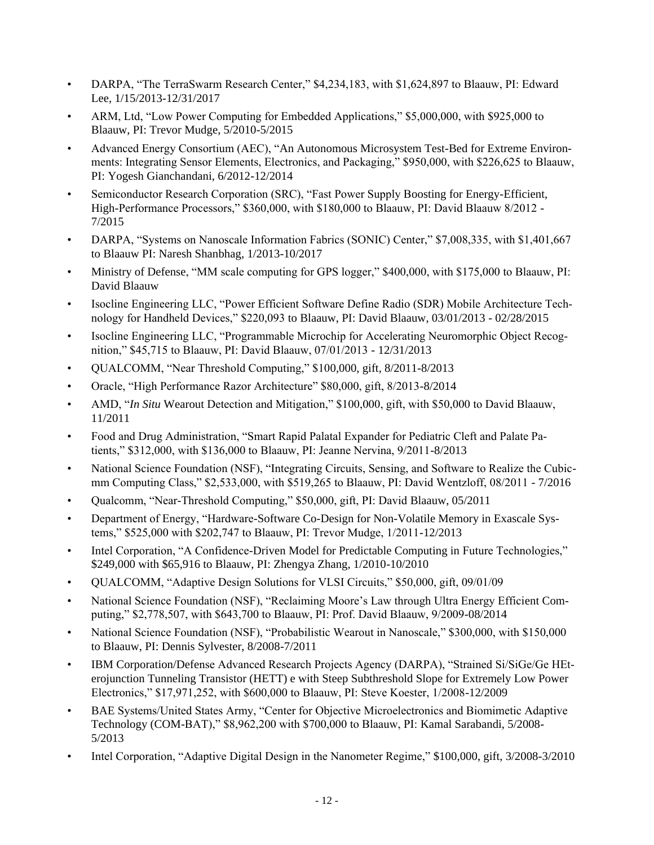- DARPA, "The TerraSwarm Research Center," \$4,234,183, with \$1,624,897 to Blaauw, PI: Edward Lee, 1/15/2013-12/31/2017
- ARM, Ltd, "Low Power Computing for Embedded Applications," \$5,000,000, with \$925,000 to Blaauw, PI: Trevor Mudge, 5/2010-5/2015
- Advanced Energy Consortium (AEC), "An Autonomous Microsystem Test-Bed for Extreme Environments: Integrating Sensor Elements, Electronics, and Packaging," \$950,000, with \$226,625 to Blaauw, PI: Yogesh Gianchandani, 6/2012-12/2014
- Semiconductor Research Corporation (SRC), "Fast Power Supply Boosting for Energy-Efficient, High-Performance Processors," \$360,000, with \$180,000 to Blaauw, PI: David Blaauw 8/2012 - 7/2015
- DARPA, "Systems on Nanoscale Information Fabrics (SONIC) Center," \$7,008,335, with \$1,401,667 to Blaauw PI: Naresh Shanbhag, 1/2013-10/2017
- Ministry of Defense, "MM scale computing for GPS logger," \$400,000, with \$175,000 to Blaauw, PI: David Blaauw
- Isocline Engineering LLC, "Power Efficient Software Define Radio (SDR) Mobile Architecture Technology for Handheld Devices," \$220,093 to Blaauw, PI: David Blaauw, 03/01/2013 - 02/28/2015
- Isocline Engineering LLC, "Programmable Microchip for Accelerating Neuromorphic Object Recognition," \$45,715 to Blaauw, PI: David Blaauw, 07/01/2013 - 12/31/2013
- QUALCOMM, "Near Threshold Computing," \$100,000, gift, 8/2011-8/2013
- Oracle, "High Performance Razor Architecture" \$80,000, gift, 8/2013-8/2014
- AMD, "*In Situ* Wearout Detection and Mitigation," \$100,000, gift, with \$50,000 to David Blaauw, 11/2011
- Food and Drug Administration, "Smart Rapid Palatal Expander for Pediatric Cleft and Palate Patients," \$312,000, with \$136,000 to Blaauw, PI: Jeanne Nervina, 9/2011-8/2013
- National Science Foundation (NSF), "Integrating Circuits, Sensing, and Software to Realize the Cubicmm Computing Class," \$2,533,000, with \$519,265 to Blaauw, PI: David Wentzloff, 08/2011 - 7/2016
- Qualcomm, "Near-Threshold Computing," \$50,000, gift, PI: David Blaauw, 05/2011
- Department of Energy, "Hardware-Software Co-Design for Non-Volatile Memory in Exascale Systems," \$525,000 with \$202,747 to Blaauw, PI: Trevor Mudge, 1/2011-12/2013
- Intel Corporation, "A Confidence-Driven Model for Predictable Computing in Future Technologies," \$249,000 with \$65,916 to Blaauw, PI: Zhengya Zhang, 1/2010-10/2010
- QUALCOMM, "Adaptive Design Solutions for VLSI Circuits," \$50,000, gift, 09/01/09
- National Science Foundation (NSF), "Reclaiming Moore's Law through Ultra Energy Efficient Computing," \$2,778,507, with \$643,700 to Blaauw, PI: Prof. David Blaauw, 9/2009-08/2014
- National Science Foundation (NSF), "Probabilistic Wearout in Nanoscale," \$300,000, with \$150,000 to Blaauw, PI: Dennis Sylvester, 8/2008-7/2011
- IBM Corporation/Defense Advanced Research Projects Agency (DARPA), "Strained Si/SiGe/Ge HEterojunction Tunneling Transistor (HETT) e with Steep Subthreshold Slope for Extremely Low Power Electronics," \$17,971,252, with \$600,000 to Blaauw, PI: Steve Koester, 1/2008-12/2009
- BAE Systems/United States Army, "Center for Objective Microelectronics and Biomimetic Adaptive Technology (COM-BAT)," \$8,962,200 with \$700,000 to Blaauw, PI: Kamal Sarabandi, 5/2008- 5/2013
- Intel Corporation, "Adaptive Digital Design in the Nanometer Regime," \$100,000, gift, 3/2008-3/2010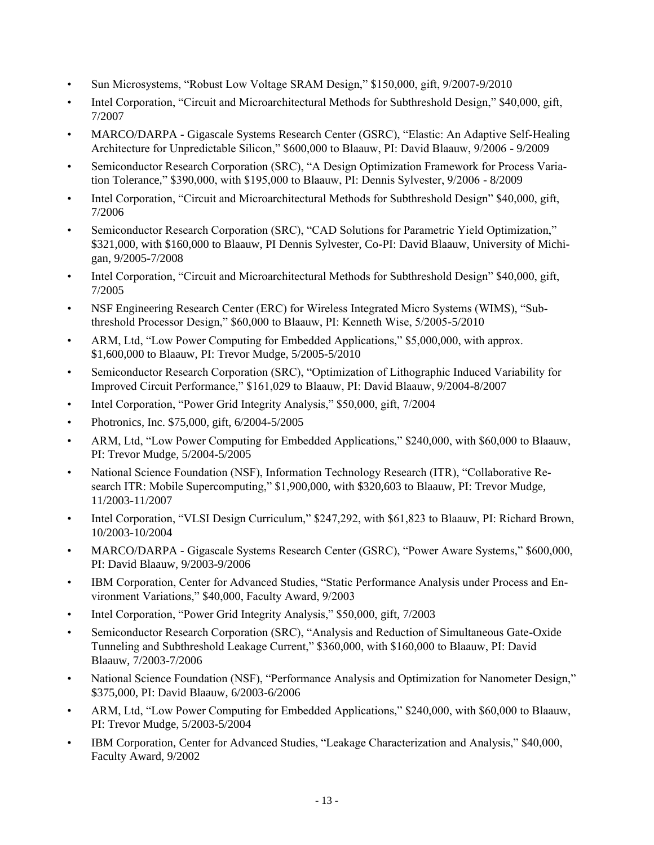- Sun Microsystems, "Robust Low Voltage SRAM Design," \$150,000, gift, 9/2007-9/2010
- Intel Corporation, "Circuit and Microarchitectural Methods for Subthreshold Design," \$40,000, gift, 7/2007
- MARCO/DARPA Gigascale Systems Research Center (GSRC), "Elastic: An Adaptive Self-Healing Architecture for Unpredictable Silicon," \$600,000 to Blaauw, PI: David Blaauw, 9/2006 - 9/2009
- Semiconductor Research Corporation (SRC), "A Design Optimization Framework for Process Variation Tolerance," \$390,000, with \$195,000 to Blaauw, PI: Dennis Sylvester, 9/2006 - 8/2009
- Intel Corporation, "Circuit and Microarchitectural Methods for Subthreshold Design" \$40,000, gift, 7/2006
- Semiconductor Research Corporation (SRC), "CAD Solutions for Parametric Yield Optimization," \$321,000, with \$160,000 to Blaauw, PI Dennis Sylvester, Co-PI: David Blaauw, University of Michigan, 9/2005-7/2008
- Intel Corporation, "Circuit and Microarchitectural Methods for Subthreshold Design" \$40,000, gift, 7/2005
- NSF Engineering Research Center (ERC) for Wireless Integrated Micro Systems (WIMS), "Subthreshold Processor Design," \$60,000 to Blaauw, PI: Kenneth Wise, 5/2005-5/2010
- ARM, Ltd, "Low Power Computing for Embedded Applications," \$5,000,000, with approx. \$1,600,000 to Blaauw, PI: Trevor Mudge, 5/2005-5/2010
- Semiconductor Research Corporation (SRC), "Optimization of Lithographic Induced Variability for Improved Circuit Performance," \$161,029 to Blaauw, PI: David Blaauw, 9/2004-8/2007
- Intel Corporation, "Power Grid Integrity Analysis," \$50,000, gift, 7/2004
- Photronics, Inc. \$75,000, gift, 6/2004-5/2005
- ARM, Ltd, "Low Power Computing for Embedded Applications," \$240,000, with \$60,000 to Blaauw, PI: Trevor Mudge, 5/2004-5/2005
- National Science Foundation (NSF), Information Technology Research (ITR), "Collaborative Research ITR: Mobile Supercomputing," \$1,900,000, with \$320,603 to Blaauw, PI: Trevor Mudge, 11/2003-11/2007
- Intel Corporation, "VLSI Design Curriculum," \$247,292, with \$61,823 to Blaauw, PI: Richard Brown, 10/2003-10/2004
- MARCO/DARPA Gigascale Systems Research Center (GSRC), "Power Aware Systems," \$600,000, PI: David Blaauw, 9/2003-9/2006
- IBM Corporation, Center for Advanced Studies, "Static Performance Analysis under Process and Environment Variations," \$40,000, Faculty Award, 9/2003
- Intel Corporation, "Power Grid Integrity Analysis," \$50,000, gift, 7/2003
- Semiconductor Research Corporation (SRC), "Analysis and Reduction of Simultaneous Gate-Oxide Tunneling and Subthreshold Leakage Current," \$360,000, with \$160,000 to Blaauw, PI: David Blaauw, 7/2003-7/2006
- National Science Foundation (NSF), "Performance Analysis and Optimization for Nanometer Design," \$375,000, PI: David Blaauw, 6/2003-6/2006
- ARM, Ltd, "Low Power Computing for Embedded Applications," \$240,000, with \$60,000 to Blaauw, PI: Trevor Mudge, 5/2003-5/2004
- IBM Corporation, Center for Advanced Studies, "Leakage Characterization and Analysis," \$40,000, Faculty Award, 9/2002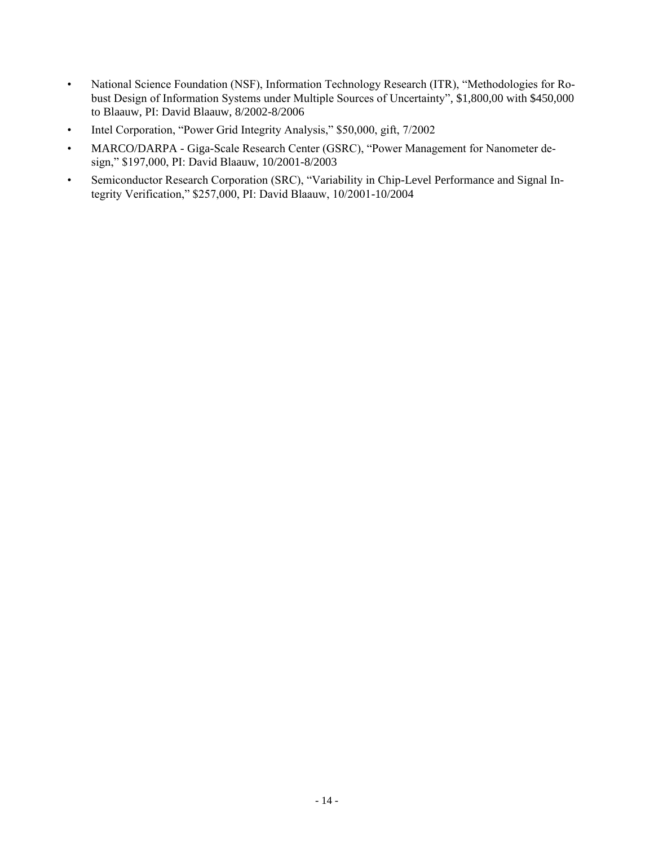- National Science Foundation (NSF), Information Technology Research (ITR), "Methodologies for Robust Design of Information Systems under Multiple Sources of Uncertainty", \$1,800,00 with \$450,000 to Blaauw, PI: David Blaauw, 8/2002-8/2006
- Intel Corporation, "Power Grid Integrity Analysis," \$50,000, gift, 7/2002
- MARCO/DARPA Giga-Scale Research Center (GSRC), "Power Management for Nanometer design," \$197,000, PI: David Blaauw, 10/2001-8/2003
- Semiconductor Research Corporation (SRC), "Variability in Chip-Level Performance and Signal Integrity Verification," \$257,000, PI: David Blaauw, 10/2001-10/2004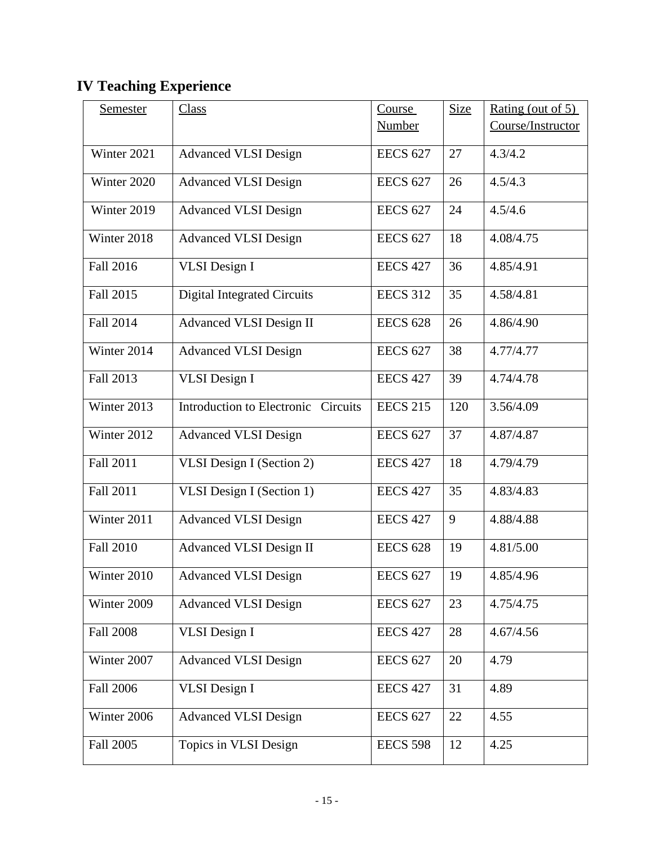# **IV Teaching Experience**

| <b>Semester</b>  | <b>Class</b>                        | Course          | <b>Size</b> | Rating (out of 5) |
|------------------|-------------------------------------|-----------------|-------------|-------------------|
|                  |                                     | <b>Number</b>   |             | Course/Instructor |
| Winter 2021      | <b>Advanced VLSI Design</b>         | <b>EECS 627</b> | 27          | 4.3/4.2           |
| Winter 2020      | <b>Advanced VLSI Design</b>         | <b>EECS 627</b> | 26          | 4.5/4.3           |
| Winter 2019      | <b>Advanced VLSI Design</b>         | <b>EECS 627</b> | 24          | 4.5/4.6           |
| Winter 2018      | <b>Advanced VLSI Design</b>         | <b>EECS 627</b> | 18          | 4.08/4.75         |
| Fall 2016        | <b>VLSI</b> Design I                | <b>EECS 427</b> | 36          | 4.85/4.91         |
| Fall 2015        | <b>Digital Integrated Circuits</b>  | <b>EECS 312</b> | 35          | 4.58/4.81         |
| Fall 2014        | <b>Advanced VLSI Design II</b>      | <b>EECS 628</b> | 26          | 4.86/4.90         |
| Winter 2014      | <b>Advanced VLSI Design</b>         | <b>EECS 627</b> | 38          | 4.77/4.77         |
| Fall 2013        | <b>VLSI</b> Design I                | <b>EECS 427</b> | 39          | 4.74/4.78         |
| Winter 2013      | Introduction to Electronic Circuits | <b>EECS 215</b> | 120         | 3.56/4.09         |
| Winter 2012      | <b>Advanced VLSI Design</b>         | <b>EECS 627</b> | 37          | 4.87/4.87         |
| Fall 2011        | VLSI Design I (Section 2)           | <b>EECS 427</b> | 18          | 4.79/4.79         |
| Fall 2011        | VLSI Design I (Section 1)           | <b>EECS 427</b> | 35          | 4.83/4.83         |
| Winter 2011      | <b>Advanced VLSI Design</b>         | <b>EECS 427</b> | 9           | 4.88/4.88         |
| <b>Fall 2010</b> | <b>Advanced VLSI Design II</b>      | <b>EECS 628</b> | 19          | 4.81/5.00         |
| Winter 2010      | <b>Advanced VLSI Design</b>         | <b>EECS 627</b> | 19          | 4.85/4.96         |
| Winter 2009      | <b>Advanced VLSI Design</b>         | <b>EECS 627</b> | 23          | 4.75/4.75         |
| <b>Fall 2008</b> | <b>VLSI</b> Design I                | <b>EECS 427</b> | 28          | 4.67/4.56         |
| Winter 2007      | <b>Advanced VLSI Design</b>         | <b>EECS 627</b> | 20          | 4.79              |
| <b>Fall 2006</b> | <b>VLSI</b> Design I                | <b>EECS 427</b> | 31          | 4.89              |
| Winter 2006      | <b>Advanced VLSI Design</b>         | <b>EECS 627</b> | 22          | 4.55              |
| Fall 2005        | Topics in VLSI Design               | <b>EECS 598</b> | 12          | 4.25              |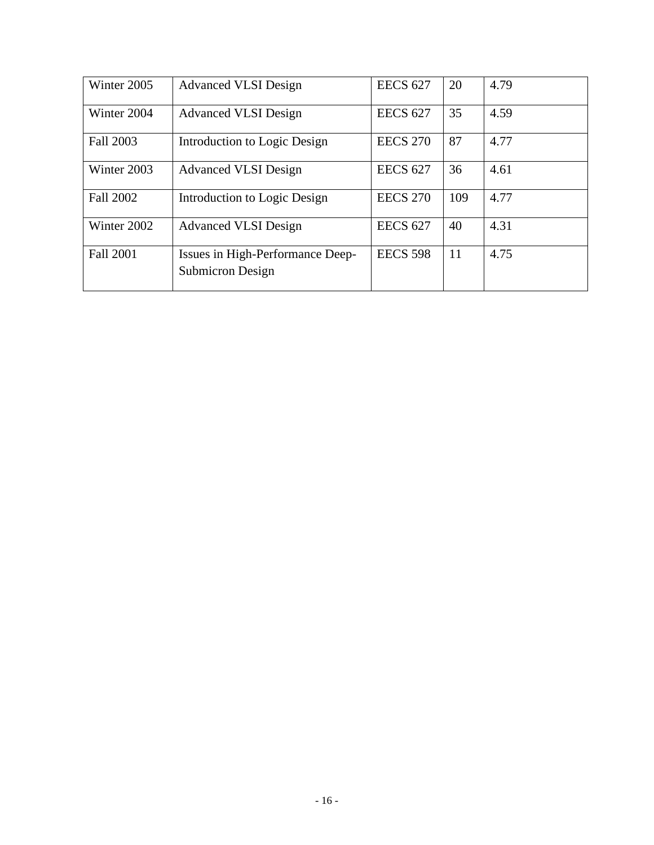| Winter 2005      | <b>Advanced VLSI Design</b>                                 | <b>EECS 627</b> | 20  | 4.79 |
|------------------|-------------------------------------------------------------|-----------------|-----|------|
| Winter 2004      | <b>Advanced VLSI Design</b>                                 | <b>EECS 627</b> | 35  | 4.59 |
| Fall 2003        | Introduction to Logic Design                                | <b>EECS 270</b> | 87  | 4.77 |
| Winter 2003      | <b>Advanced VLSI Design</b>                                 | <b>EECS 627</b> | 36  | 4.61 |
| Fall 2002        | Introduction to Logic Design                                | <b>EECS 270</b> | 109 | 4.77 |
| Winter 2002      | <b>Advanced VLSI Design</b>                                 | <b>EECS 627</b> | 40  | 4.31 |
| <b>Fall 2001</b> | Issues in High-Performance Deep-<br><b>Submicron Design</b> | <b>EECS 598</b> | 11  | 4.75 |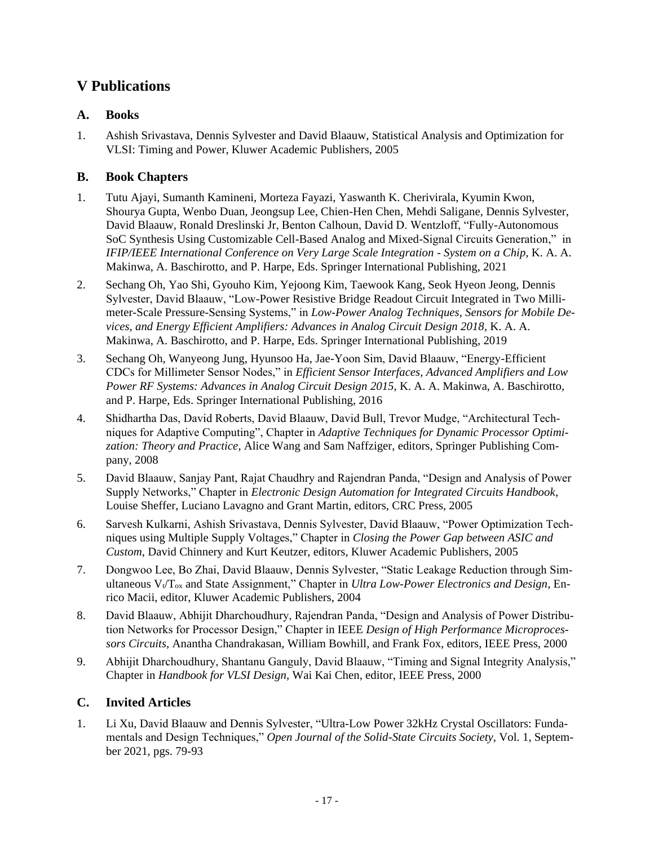## **V Publications**

#### **A. Books**

1. Ashish Srivastava, Dennis Sylvester and David Blaauw, Statistical Analysis and Optimization for VLSI: Timing and Power, Kluwer Academic Publishers, 2005

#### **B. Book Chapters**

- 1. Tutu Ajayi, Sumanth Kamineni, Morteza Fayazi, Yaswanth K. Cherivirala, Kyumin Kwon, Shourya Gupta, Wenbo Duan, Jeongsup Lee, Chien-Hen Chen, Mehdi Saligane, Dennis Sylvester, David Blaauw, Ronald Dreslinski Jr, Benton Calhoun, David D. Wentzloff, "Fully-Autonomous SoC Synthesis Using Customizable Cell-Based Analog and Mixed-Signal Circuits Generation," in *IFIP/IEEE International Conference on Very Large Scale Integration - System on a Chip,* K. A. A. Makinwa, A. Baschirotto, and P. Harpe, Eds. Springer International Publishing, 2021
- 2. Sechang Oh, Yao Shi, Gyouho Kim, Yejoong Kim, Taewook Kang, Seok Hyeon Jeong, Dennis Sylvester, David Blaauw, "Low-Power Resistive Bridge Readout Circuit Integrated in Two Millimeter-Scale Pressure-Sensing Systems," in *Low-Power Analog Techniques, Sensors for Mobile Devices, and Energy Efficient Amplifiers: Advances in Analog Circuit Design 2018*, K. A. A. Makinwa, A. Baschirotto, and P. Harpe, Eds. Springer International Publishing, 2019
- 3. Sechang Oh, Wanyeong Jung, Hyunsoo Ha, Jae-Yoon Sim, David Blaauw, "Energy-Efficient CDCs for Millimeter Sensor Nodes," in *Efficient Sensor Interfaces, Advanced Amplifiers and Low Power RF Systems: Advances in Analog Circuit Design 2015*, K. A. A. Makinwa, A. Baschirotto, and P. Harpe, Eds. Springer International Publishing, 2016
- 4. Shidhartha Das, David Roberts, David Blaauw, David Bull, Trevor Mudge, "Architectural Techniques for Adaptive Computing", Chapter in *Adaptive Techniques for Dynamic Processor Optimization: Theory and Practice*, Alice Wang and Sam Naffziger, editors, Springer Publishing Company, 2008
- 5. David Blaauw, Sanjay Pant, Rajat Chaudhry and Rajendran Panda, "Design and Analysis of Power Supply Networks," Chapter in *Electronic Design Automation for Integrated Circuits Handbook*, Louise Sheffer, Luciano Lavagno and Grant Martin, editors, CRC Press, 2005
- 6. Sarvesh Kulkarni, Ashish Srivastava, Dennis Sylvester, David Blaauw, "Power Optimization Techniques using Multiple Supply Voltages," Chapter in *Closing the Power Gap between ASIC and Custom*, David Chinnery and Kurt Keutzer, editors, Kluwer Academic Publishers, 2005
- 7. Dongwoo Lee, Bo Zhai, David Blaauw, Dennis Sylvester, "Static Leakage Reduction through Simultaneous V<sub>V</sub>T<sub>ox</sub> and State Assignment," Chapter in *Ultra Low-Power Electronics and Design*, Enrico Macii, editor, Kluwer Academic Publishers, 2004
- 8. David Blaauw, Abhijit Dharchoudhury, Rajendran Panda, "Design and Analysis of Power Distribution Networks for Processor Design," Chapter in IEEE *Design of High Performance Microprocessors Circuits*, Anantha Chandrakasan, William Bowhill, and Frank Fox, editors, IEEE Press, 2000
- 9. Abhijit Dharchoudhury, Shantanu Ganguly, David Blaauw, "Timing and Signal Integrity Analysis," Chapter in *Handbook for VLSI Design*, Wai Kai Chen, editor, IEEE Press, 2000

#### **C. Invited Articles**

1. Li Xu, David Blaauw and Dennis Sylvester, "Ultra-Low Power 32kHz Crystal Oscillators: Fundamentals and Design Techniques," *Open Journal of the Solid-State Circuits Society*, Vol. 1, September 2021, pgs. 79-93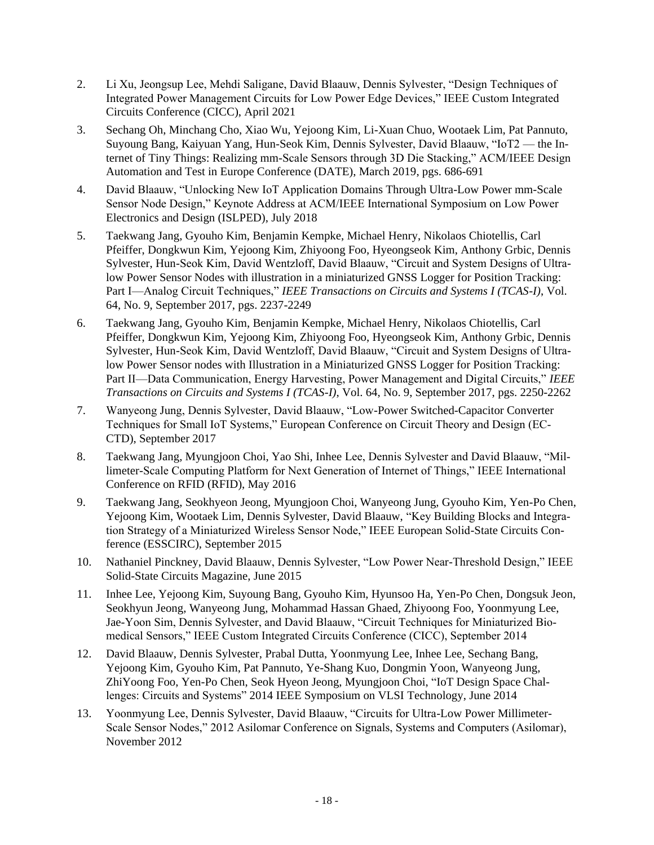- 2. Li Xu, Jeongsup Lee, Mehdi Saligane, David Blaauw, Dennis Sylvester, "Design Techniques of Integrated Power Management Circuits for Low Power Edge Devices," IEEE Custom Integrated Circuits Conference (CICC), April 2021
- 3. Sechang Oh, Minchang Cho, Xiao Wu, Yejoong Kim, Li-Xuan Chuo, Wootaek Lim, Pat Pannuto, Suyoung Bang, Kaiyuan Yang, Hun-Seok Kim, Dennis Sylvester, David Blaauw, "IoT2 — the Internet of Tiny Things: Realizing mm-Scale Sensors through 3D Die Stacking," ACM/IEEE Design Automation and Test in Europe Conference (DATE), March 2019, pgs. 686-691
- 4. David Blaauw, "Unlocking New IoT Application Domains Through Ultra-Low Power mm-Scale Sensor Node Design," Keynote Address at ACM/IEEE International Symposium on Low Power Electronics and Design (ISLPED), July 2018
- 5. Taekwang Jang, Gyouho Kim, Benjamin Kempke, Michael Henry, Nikolaos Chiotellis, Carl Pfeiffer, Dongkwun Kim, Yejoong Kim, Zhiyoong Foo, Hyeongseok Kim, Anthony Grbic, Dennis Sylvester, Hun-Seok Kim, David Wentzloff, David Blaauw, "Circuit and System Designs of Ultralow Power Sensor Nodes with illustration in a miniaturized GNSS Logger for Position Tracking: Part I—Analog Circuit Techniques," *IEEE Transactions on Circuits and Systems I (TCAS-I)*, Vol. 64, No. 9, September 2017, pgs. 2237-2249
- 6. Taekwang Jang, Gyouho Kim, Benjamin Kempke, Michael Henry, Nikolaos Chiotellis, Carl Pfeiffer, Dongkwun Kim, Yejoong Kim, Zhiyoong Foo, Hyeongseok Kim, Anthony Grbic, Dennis Sylvester, Hun-Seok Kim, David Wentzloff, David Blaauw, "Circuit and System Designs of Ultralow Power Sensor nodes with Illustration in a Miniaturized GNSS Logger for Position Tracking: Part II—Data Communication, Energy Harvesting, Power Management and Digital Circuits," *IEEE Transactions on Circuits and Systems I (TCAS-I)*, Vol. 64, No. 9, September 2017, pgs. 2250-2262
- 7. Wanyeong Jung, Dennis Sylvester, David Blaauw, "Low-Power Switched-Capacitor Converter Techniques for Small IoT Systems," European Conference on Circuit Theory and Design (EC-CTD), September 2017
- 8. Taekwang Jang, Myungjoon Choi, Yao Shi, Inhee Lee, Dennis Sylvester and David Blaauw, "Millimeter-Scale Computing Platform for Next Generation of Internet of Things," IEEE International Conference on RFID (RFID), May 2016
- 9. Taekwang Jang, Seokhyeon Jeong, Myungjoon Choi, Wanyeong Jung, Gyouho Kim, Yen-Po Chen, Yejoong Kim, Wootaek Lim, Dennis Sylvester, David Blaauw, "Key Building Blocks and Integration Strategy of a Miniaturized Wireless Sensor Node," IEEE European Solid-State Circuits Conference (ESSCIRC), September 2015
- 10. Nathaniel Pinckney, David Blaauw, Dennis Sylvester, "Low Power Near-Threshold Design," IEEE Solid-State Circuits Magazine, June 2015
- 11. Inhee Lee, Yejoong Kim, Suyoung Bang, Gyouho Kim, Hyunsoo Ha, Yen-Po Chen, Dongsuk Jeon, Seokhyun Jeong, Wanyeong Jung, Mohammad Hassan Ghaed, Zhiyoong Foo, Yoonmyung Lee, Jae-Yoon Sim, Dennis Sylvester, and David Blaauw, "Circuit Techniques for Miniaturized Biomedical Sensors," IEEE Custom Integrated Circuits Conference (CICC), September 2014
- 12. David Blaauw, Dennis Sylvester, Prabal Dutta, Yoonmyung Lee, Inhee Lee, Sechang Bang, Yejoong Kim, Gyouho Kim, Pat Pannuto, Ye-Shang Kuo, Dongmin Yoon, Wanyeong Jung, ZhiYoong Foo, Yen-Po Chen, Seok Hyeon Jeong, Myungjoon Choi, "IoT Design Space Challenges: Circuits and Systems" 2014 IEEE Symposium on VLSI Technology, June 2014
- 13. Yoonmyung Lee, Dennis Sylvester, David Blaauw, "Circuits for Ultra-Low Power Millimeter-Scale Sensor Nodes," 2012 Asilomar Conference on Signals, Systems and Computers (Asilomar), November 2012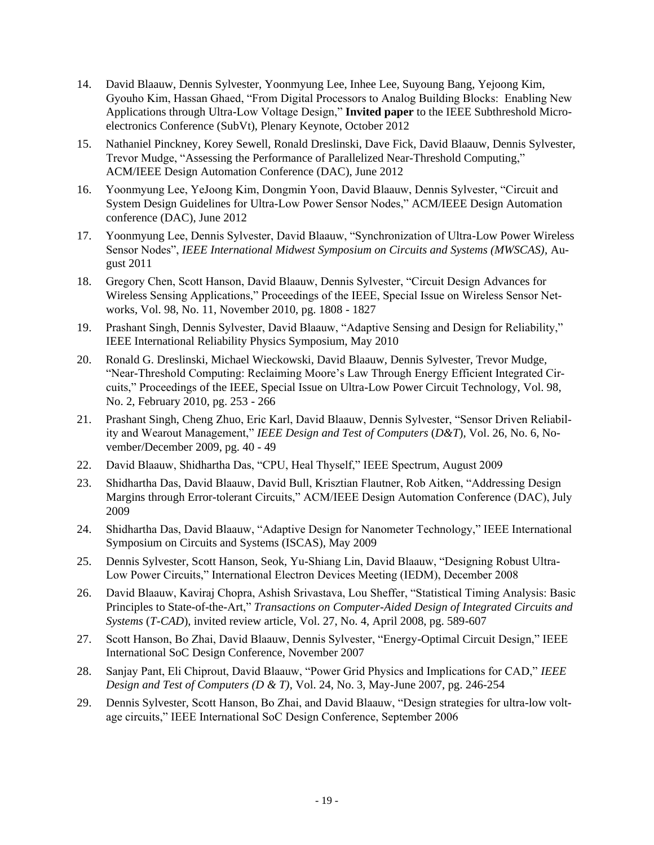- 14. David Blaauw, Dennis Sylvester, Yoonmyung Lee, Inhee Lee, Suyoung Bang, Yejoong Kim, Gyouho Kim, Hassan Ghaed, "From Digital Processors to Analog Building Blocks: Enabling New Applications through Ultra-Low Voltage Design," **Invited paper** to the IEEE Subthreshold Microelectronics Conference (SubVt), Plenary Keynote, October 2012
- 15. Nathaniel Pinckney, Korey Sewell, Ronald Dreslinski, Dave Fick, David Blaauw, Dennis Sylvester, Trevor Mudge, "Assessing the Performance of Parallelized Near-Threshold Computing," ACM/IEEE Design Automation Conference (DAC), June 2012
- 16. Yoonmyung Lee, YeJoong Kim, Dongmin Yoon, David Blaauw, Dennis Sylvester, "Circuit and System Design Guidelines for Ultra-Low Power Sensor Nodes," ACM/IEEE Design Automation conference (DAC), June 2012
- 17. Yoonmyung Lee, Dennis Sylvester, David Blaauw, "Synchronization of Ultra-Low Power Wireless Sensor Nodes", *IEEE International Midwest Symposium on Circuits and Systems (MWSCAS)*, August 2011
- 18. Gregory Chen, Scott Hanson, David Blaauw, Dennis Sylvester, "Circuit Design Advances for Wireless Sensing Applications," Proceedings of the IEEE, Special Issue on Wireless Sensor Networks, Vol. 98, No. 11, November 2010, pg. 1808 - 1827
- 19. Prashant Singh, Dennis Sylvester, David Blaauw, "Adaptive Sensing and Design for Reliability," IEEE International Reliability Physics Symposium, May 2010
- 20. Ronald G. Dreslinski, Michael Wieckowski, David Blaauw, Dennis Sylvester, Trevor Mudge, "Near-Threshold Computing: Reclaiming Moore's Law Through Energy Efficient Integrated Circuits," Proceedings of the IEEE, Special Issue on Ultra-Low Power Circuit Technology, Vol. 98, No. 2, February 2010, pg. 253 - 266
- 21. Prashant Singh, Cheng Zhuo, Eric Karl, David Blaauw, Dennis Sylvester, "Sensor Driven Reliability and Wearout Management," *IEEE Design and Test of Computers* (*D&T*), Vol. 26, No. 6, November/December 2009, pg. 40 - 49
- 22. David Blaauw, Shidhartha Das, "CPU, Heal Thyself," IEEE Spectrum, August 2009
- 23. Shidhartha Das, David Blaauw, David Bull, Krisztian Flautner, Rob Aitken, "Addressing Design Margins through Error-tolerant Circuits," ACM/IEEE Design Automation Conference (DAC), July 2009
- 24. Shidhartha Das, David Blaauw, "Adaptive Design for Nanometer Technology," IEEE International Symposium on Circuits and Systems (ISCAS), May 2009
- 25. Dennis Sylvester, Scott Hanson, Seok, Yu-Shiang Lin, David Blaauw, "Designing Robust Ultra-Low Power Circuits," International Electron Devices Meeting (IEDM), December 2008
- 26. David Blaauw, Kaviraj Chopra, Ashish Srivastava, Lou Sheffer, "Statistical Timing Analysis: Basic Principles to State-of-the-Art," *Transactions on Computer-Aided Design of Integrated Circuits and Systems* (*T-CAD*), invited review article, Vol. 27, No. 4, April 2008, pg. 589-607
- 27. Scott Hanson, Bo Zhai, David Blaauw, Dennis Sylvester, "Energy-Optimal Circuit Design," IEEE International SoC Design Conference, November 2007
- 28. Sanjay Pant, Eli Chiprout, David Blaauw, "Power Grid Physics and Implications for CAD," *IEEE Design and Test of Computers (D & T)*, Vol. 24, No. 3, May-June 2007, pg. 246-254
- 29. Dennis Sylvester, Scott Hanson, Bo Zhai, and David Blaauw, "Design strategies for ultra-low voltage circuits," IEEE International SoC Design Conference, September 2006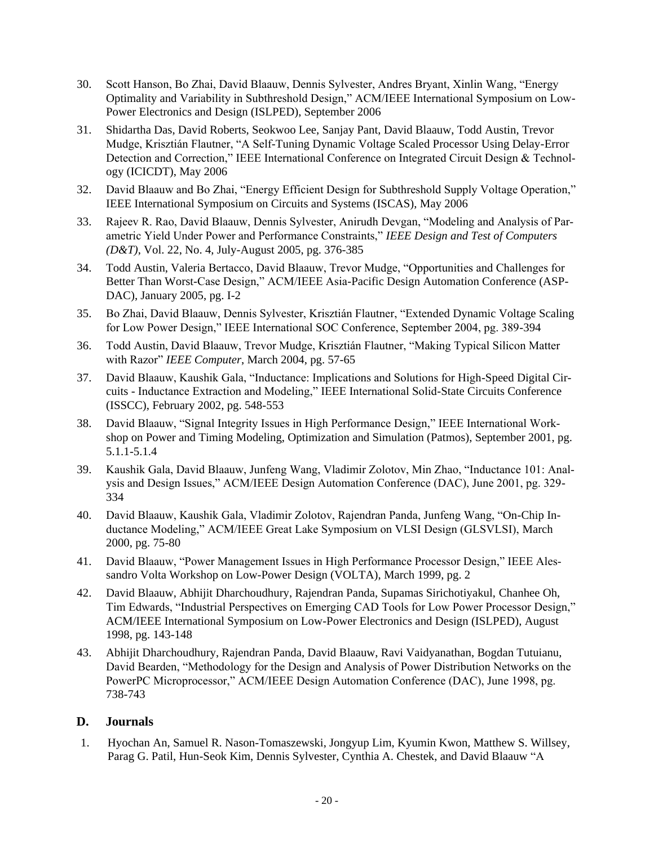- 30. Scott Hanson, Bo Zhai, David Blaauw, Dennis Sylvester, Andres Bryant, Xinlin Wang, "Energy Optimality and Variability in Subthreshold Design," ACM/IEEE International Symposium on Low-Power Electronics and Design (ISLPED), September 2006
- 31. Shidartha Das, David Roberts, Seokwoo Lee, Sanjay Pant, David Blaauw, Todd Austin, Trevor Mudge, Krisztián Flautner, "A Self-Tuning Dynamic Voltage Scaled Processor Using Delay-Error Detection and Correction," IEEE International Conference on Integrated Circuit Design & Technology (ICICDT), May 2006
- 32. David Blaauw and Bo Zhai, "Energy Efficient Design for Subthreshold Supply Voltage Operation," IEEE International Symposium on Circuits and Systems (ISCAS), May 2006
- 33. Rajeev R. Rao, David Blaauw, Dennis Sylvester, Anirudh Devgan, "Modeling and Analysis of Parametric Yield Under Power and Performance Constraints," *IEEE Design and Test of Computers (D&T)*, Vol. 22, No. 4, July-August 2005, pg. 376-385
- 34. Todd Austin, Valeria Bertacco, David Blaauw, Trevor Mudge, "Opportunities and Challenges for Better Than Worst-Case Design," ACM/IEEE Asia-Pacific Design Automation Conference (ASP-DAC), January 2005, pg. I-2
- 35. Bo Zhai, David Blaauw, Dennis Sylvester, Krisztián Flautner, "Extended Dynamic Voltage Scaling for Low Power Design," IEEE International SOC Conference, September 2004, pg. 389-394
- 36. Todd Austin, David Blaauw, Trevor Mudge, Krisztián Flautner, "Making Typical Silicon Matter with Razor" *IEEE Computer*, March 2004, pg. 57-65
- 37. David Blaauw, Kaushik Gala, "Inductance: Implications and Solutions for High-Speed Digital Circuits - Inductance Extraction and Modeling," IEEE International Solid-State Circuits Conference (ISSCC), February 2002, pg. 548-553
- 38. David Blaauw, "Signal Integrity Issues in High Performance Design," IEEE International Workshop on Power and Timing Modeling, Optimization and Simulation (Patmos), September 2001, pg. 5.1.1-5.1.4
- 39. Kaushik Gala, David Blaauw, Junfeng Wang, Vladimir Zolotov, Min Zhao, "Inductance 101: Analysis and Design Issues," ACM/IEEE Design Automation Conference (DAC), June 2001, pg. 329- 334
- 40. David Blaauw, Kaushik Gala, Vladimir Zolotov, Rajendran Panda, Junfeng Wang, "On-Chip Inductance Modeling," ACM/IEEE Great Lake Symposium on VLSI Design (GLSVLSI), March 2000, pg. 75-80
- 41. David Blaauw, "Power Management Issues in High Performance Processor Design," IEEE Alessandro Volta Workshop on Low-Power Design (VOLTA), March 1999, pg. 2
- 42. David Blaauw, Abhijit Dharchoudhury, Rajendran Panda, Supamas Sirichotiyakul, Chanhee Oh, Tim Edwards, "Industrial Perspectives on Emerging CAD Tools for Low Power Processor Design," ACM/IEEE International Symposium on Low-Power Electronics and Design (ISLPED), August 1998, pg. 143-148
- 43. Abhijit Dharchoudhury, Rajendran Panda, David Blaauw, Ravi Vaidyanathan, Bogdan Tutuianu, David Bearden, "Methodology for the Design and Analysis of Power Distribution Networks on the PowerPC Microprocessor," ACM/IEEE Design Automation Conference (DAC), June 1998, pg. 738-743

#### **D. Journals**

1. Hyochan An, Samuel R. Nason-Tomaszewski, Jongyup Lim, Kyumin Kwon, Matthew S. Willsey, Parag G. Patil, Hun-Seok Kim, Dennis Sylvester, Cynthia A. Chestek, and David Blaauw "A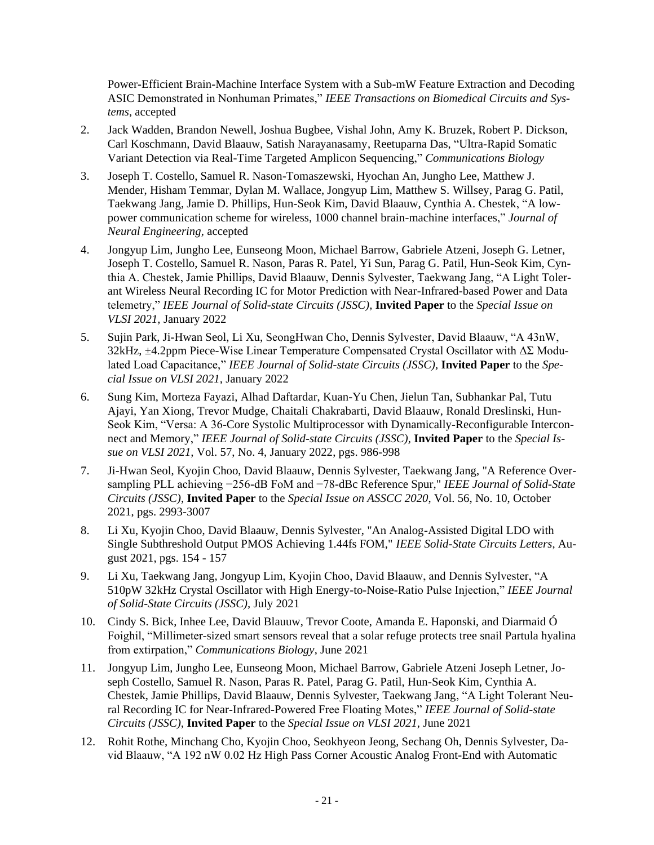Power-Efficient Brain-Machine Interface System with a Sub-mW Feature Extraction and Decoding ASIC Demonstrated in Nonhuman Primates," *IEEE Transactions on Biomedical Circuits and Systems*, accepted

- 2. Jack Wadden, Brandon Newell, Joshua Bugbee, Vishal John, Amy K. Bruzek, Robert P. Dickson, Carl Koschmann, David Blaauw, Satish Narayanasamy, Reetuparna Das, "Ultra-Rapid Somatic Variant Detection via Real-Time Targeted Amplicon Sequencing," *Communications Biology*
- 3. Joseph T. Costello, Samuel R. Nason-Tomaszewski, Hyochan An, Jungho Lee, Matthew J. Mender, Hisham Temmar, Dylan M. Wallace, Jongyup Lim, Matthew S. Willsey, Parag G. Patil, Taekwang Jang, Jamie D. Phillips, Hun-Seok Kim, David Blaauw, Cynthia A. Chestek, "A lowpower communication scheme for wireless, 1000 channel brain-machine interfaces," *Journal of Neural Engineering,* accepted
- 4. Jongyup Lim, Jungho Lee, Eunseong Moon, Michael Barrow, Gabriele Atzeni, Joseph G. Letner, Joseph T. Costello, Samuel R. Nason, Paras R. Patel, Yi Sun, Parag G. Patil, Hun-Seok Kim, Cynthia A. Chestek, Jamie Phillips, David Blaauw, Dennis Sylvester, Taekwang Jang, "A Light Tolerant Wireless Neural Recording IC for Motor Prediction with Near-Infrared-based Power and Data telemetry," *IEEE Journal of Solid-state Circuits (JSSC),* **Invited Paper** to the *Special Issue on VLSI 2021,* January 2022
- 5. Sujin Park, Ji-Hwan Seol, Li Xu, SeongHwan Cho, Dennis Sylvester, David Blaauw, "A 43nW, 32kHz, ±4.2ppm Piece-Wise Linear Temperature Compensated Crystal Oscillator with ΔΣ Modulated Load Capacitance," *IEEE Journal of Solid-state Circuits (JSSC),* **Invited Paper** to the *Special Issue on VLSI 2021,* January 2022
- 6. Sung Kim, Morteza Fayazi, Alhad Daftardar, Kuan-Yu Chen, Jielun Tan, Subhankar Pal, Tutu Ajayi, Yan Xiong, Trevor Mudge, Chaitali Chakrabarti, David Blaauw, Ronald Dreslinski, Hun-Seok Kim, "Versa: A 36-Core Systolic Multiprocessor with Dynamically-Reconfigurable Interconnect and Memory," *IEEE Journal of Solid-state Circuits (JSSC),* **Invited Paper** to the *Special Issue on VLSI 2021,* Vol. 57, No. 4, January 2022, pgs. 986-998
- 7. Ji-Hwan Seol, Kyojin Choo, David Blaauw, Dennis Sylvester, Taekwang Jang, "A Reference Oversampling PLL achieving −256-dB FoM and −78-dBc Reference Spur," *IEEE Journal of Solid-State Circuits (JSSC)*, **Invited Paper** to the *Special Issue on ASSCC 2020*, Vol. 56, No. 10, October 2021, pgs. 2993-3007
- 8. Li Xu, Kyojin Choo, David Blaauw, Dennis Sylvester, "An Analog-Assisted Digital LDO with Single Subthreshold Output PMOS Achieving 1.44fs FOM," *IEEE Solid-State Circuits Letters*, August 2021, pgs. 154 - 157
- 9. Li Xu, Taekwang Jang, Jongyup Lim, Kyojin Choo, David Blaauw, and Dennis Sylvester, "A 510pW 32kHz Crystal Oscillator with High Energy-to-Noise-Ratio Pulse Injection," *IEEE Journal of Solid-State Circuits (JSSC),* July 2021
- 10. Cindy S. Bick, Inhee Lee, David Blauuw, Trevor Coote, Amanda E. Haponski, and Diarmaid Ó Foighil, "Millimeter-sized smart sensors reveal that a solar refuge protects tree snail Partula hyalina from extirpation," *Communications Biology*, June 2021
- 11. Jongyup Lim, Jungho Lee, Eunseong Moon, Michael Barrow, Gabriele Atzeni Joseph Letner, Joseph Costello, Samuel R. Nason, Paras R. Patel, Parag G. Patil, Hun-Seok Kim, Cynthia A. Chestek, Jamie Phillips, David Blaauw, Dennis Sylvester, Taekwang Jang, "A Light Tolerant Neural Recording IC for Near-Infrared-Powered Free Floating Motes," *IEEE Journal of Solid-state Circuits (JSSC),* **Invited Paper** to the *Special Issue on VLSI 2021,* June 2021
- 12. Rohit Rothe, Minchang Cho, Kyojin Choo, Seokhyeon Jeong, Sechang Oh, Dennis Sylvester, David Blaauw, "A 192 nW 0.02 Hz High Pass Corner Acoustic Analog Front-End with Automatic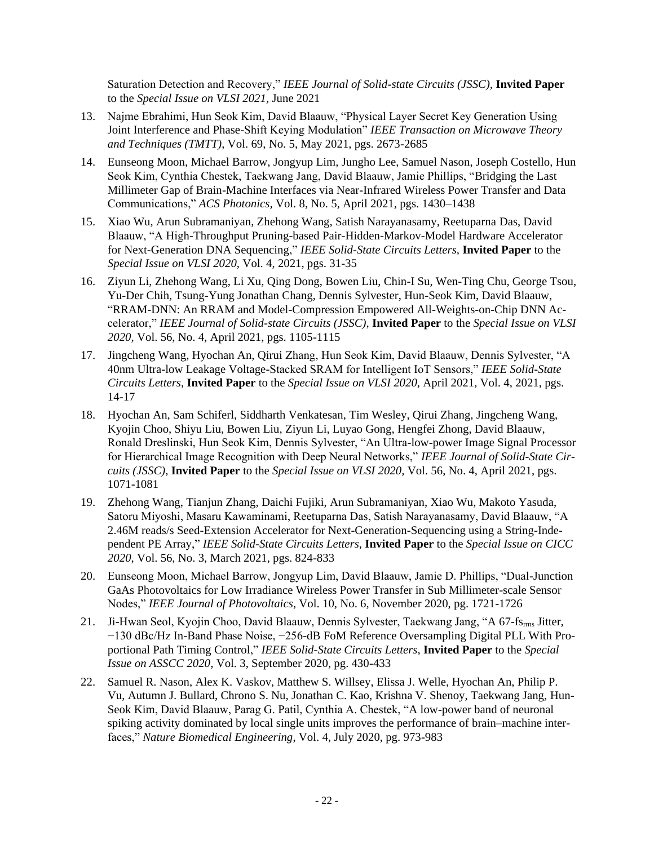Saturation Detection and Recovery," *IEEE Journal of Solid-state Circuits (JSSC),* **Invited Paper** to the *Special Issue on VLSI 2021,* June 2021

- 13. Najme Ebrahimi, Hun Seok Kim, David Blaauw, "Physical Layer Secret Key Generation Using Joint Interference and Phase-Shift Keying Modulation" *IEEE Transaction on Microwave Theory and Techniques (TMTT)*, Vol. 69, No. 5, May 2021, pgs. 2673-2685
- 14. Eunseong Moon, Michael Barrow, Jongyup Lim, Jungho Lee, Samuel Nason, Joseph Costello, Hun Seok Kim, Cynthia Chestek, Taekwang Jang, David Blaauw, Jamie Phillips, "Bridging the Last Millimeter Gap of Brain-Machine Interfaces via Near-Infrared Wireless Power Transfer and Data Communications," *ACS Photonics,* Vol. 8, No. 5, April 2021, pgs. 1430–1438
- 15. Xiao Wu, Arun Subramaniyan, Zhehong Wang, Satish Narayanasamy, Reetuparna Das, David Blaauw, "A High-Throughput Pruning-based Pair-Hidden-Markov-Model Hardware Accelerator for Next-Generation DNA Sequencing," *IEEE Solid-State Circuits Letters,* **Invited Paper** to the *Special Issue on VLSI 2020,* Vol. 4, 2021, pgs. 31-35
- 16. Ziyun Li, Zhehong Wang, Li Xu, Qing Dong, Bowen Liu, Chin-I Su, Wen-Ting Chu, George Tsou, Yu-Der Chih, Tsung-Yung Jonathan Chang, Dennis Sylvester, Hun-Seok Kim, David Blaauw, "RRAM-DNN: An RRAM and Model-Compression Empowered All-Weights-on-Chip DNN Accelerator," *IEEE Journal of Solid-state Circuits (JSSC)*, **Invited Paper** to the *Special Issue on VLSI 2020,* Vol. 56, No. 4, April 2021, pgs. 1105-1115
- 17. Jingcheng Wang, Hyochan An, Qirui Zhang, Hun Seok Kim, David Blaauw, Dennis Sylvester, "A 40nm Ultra-low Leakage Voltage-Stacked SRAM for Intelligent IoT Sensors," *IEEE Solid-State Circuits Letters*, **Invited Paper** to the *Special Issue on VLSI 2020,* April 2021*,* Vol. 4, 2021, pgs. 14-17
- 18. Hyochan An, Sam Schiferl, Siddharth Venkatesan, Tim Wesley, Qirui Zhang, Jingcheng Wang, Kyojin Choo, Shiyu Liu, Bowen Liu, Ziyun Li, Luyao Gong, Hengfei Zhong, David Blaauw, Ronald Dreslinski, Hun Seok Kim, Dennis Sylvester, "An Ultra-low-power Image Signal Processor for Hierarchical Image Recognition with Deep Neural Networks," *IEEE Journal of Solid-State Circuits (JSSC)*, **Invited Paper** to the *Special Issue on VLSI 2020,* Vol. 56, No. 4, April 2021, pgs. 1071-1081
- 19. Zhehong Wang, Tianjun Zhang, Daichi Fujiki, Arun Subramaniyan, Xiao Wu, Makoto Yasuda, Satoru Miyoshi, Masaru Kawaminami, Reetuparna Das, Satish Narayanasamy, David Blaauw, "A 2.46M reads/s Seed-Extension Accelerator for Next-Generation-Sequencing using a String-Independent PE Array," *IEEE Solid-State Circuits Letters*, **Invited Paper** to the *Special Issue on CICC 2020*, Vol. 56, No. 3, March 2021, pgs. 824-833
- 20. Eunseong Moon, Michael Barrow, Jongyup Lim, David Blaauw, Jamie D. Phillips, "Dual-Junction GaAs Photovoltaics for Low Irradiance Wireless Power Transfer in Sub Millimeter-scale Sensor Nodes," *IEEE Journal of Photovoltaics*, Vol. 10, No. 6, November 2020, pg. 1721-1726
- 21. Ji-Hwan Seol, Kyojin Choo, David Blaauw, Dennis Sylvester, Taekwang Jang, "A 67-fs<sub>rms</sub> Jitter, −130 dBc/Hz In-Band Phase Noise, −256-dB FoM Reference Oversampling Digital PLL With Proportional Path Timing Control," *IEEE Solid-State Circuits Letters*, **Invited Paper** to the *Special Issue on ASSCC 2020*, Vol. 3, September 2020, pg. 430-433
- 22. Samuel R. Nason, Alex K. Vaskov, Matthew S. Willsey, Elissa J. Welle, Hyochan An, Philip P. Vu, Autumn J. Bullard, Chrono S. Nu, Jonathan C. Kao, Krishna V. Shenoy, Taekwang Jang, Hun-Seok Kim, David Blaauw, Parag G. Patil, Cynthia A. Chestek, "A low-power band of neuronal spiking activity dominated by local single units improves the performance of brain–machine interfaces," *Nature Biomedical Engineering*, Vol. 4, July 2020, pg. 973-983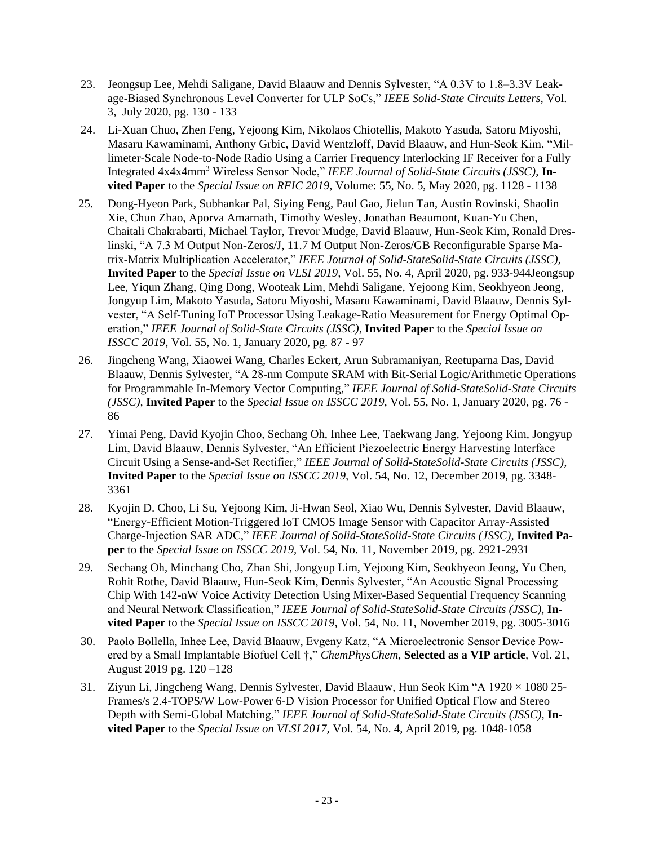- 23. Jeongsup Lee, Mehdi Saligane, David Blaauw and Dennis Sylvester, "A 0.3V to 1.8–3.3V Leakage-Biased Synchronous Level Converter for ULP SoCs," *IEEE Solid-State Circuits Letters*, Vol. 3, July 2020, pg. 130 - 133
- 24. Li-Xuan Chuo, Zhen Feng, Yejoong Kim, Nikolaos Chiotellis, Makoto Yasuda, Satoru Miyoshi, Masaru Kawaminami, Anthony Grbic, David Wentzloff, David Blaauw, and Hun-Seok Kim, "Millimeter-Scale Node-to-Node Radio Using a Carrier Frequency Interlocking IF Receiver for a Fully Integrated 4x4x4mm<sup>3</sup> Wireless Sensor Node," *IEEE Journal of Solid-State Circuits (JSSC)*, **Invited Paper** to the *Special Issue on RFIC 2019,* Volume: 55, No. 5, May 2020, pg. 1128 - 1138
- 25. Dong-Hyeon Park, Subhankar Pal, Siying Feng, Paul Gao, Jielun Tan, Austin Rovinski, Shaolin Xie, Chun Zhao, Aporva Amarnath, Timothy Wesley, Jonathan Beaumont, Kuan-Yu Chen, Chaitali Chakrabarti, Michael Taylor, Trevor Mudge, David Blaauw, Hun-Seok Kim, Ronald Dreslinski, "A 7.3 M Output Non-Zeros/J, 11.7 M Output Non-Zeros/GB Reconfigurable Sparse Matrix-Matrix Multiplication Accelerator," *IEEE Journal of Solid-StateSolid-State Circuits (JSSC),*  **Invited Paper** to the *Special Issue on VLSI 2019,* Vol. 55, No. 4, April 2020, pg. 933-944Jeongsup Lee, Yiqun Zhang, Qing Dong, Wooteak Lim, Mehdi Saligane, Yejoong Kim, Seokhyeon Jeong, Jongyup Lim, Makoto Yasuda, Satoru Miyoshi, Masaru Kawaminami, David Blaauw, Dennis Sylvester, "A Self-Tuning IoT Processor Using Leakage-Ratio Measurement for Energy Optimal Operation," *IEEE Journal of Solid-State Circuits (JSSC)*, **Invited Paper** to the *Special Issue on ISSCC 2019*, Vol. 55, No. 1, January 2020, pg. 87 - 97
- 26. Jingcheng Wang, Xiaowei Wang, Charles Eckert, Arun Subramaniyan, Reetuparna Das, David Blaauw, Dennis Sylvester, "A 28-nm Compute SRAM with Bit-Serial Logic/Arithmetic Operations for Programmable In-Memory Vector Computing," *IEEE Journal of Solid-StateSolid-State Circuits (JSSC),* **Invited Paper** to the *Special Issue on ISSCC 2019,* Vol. 55, No. 1, January 2020, pg. 76 - 86
- 27. Yimai Peng, David Kyojin Choo, Sechang Oh, Inhee Lee, Taekwang Jang, Yejoong Kim, Jongyup Lim, David Blaauw, Dennis Sylvester, "An Efficient Piezoelectric Energy Harvesting Interface Circuit Using a Sense-and-Set Rectifier," *IEEE Journal of Solid-StateSolid-State Circuits (JSSC),*  **Invited Paper** to the *Special Issue on ISSCC 2019,* Vol. 54, No. 12, December 2019, pg. 3348- 3361
- 28. Kyojin D. Choo, Li Su, Yejoong Kim, Ji-Hwan Seol, Xiao Wu, Dennis Sylvester, David Blaauw, "Energy-Efficient Motion-Triggered IoT CMOS Image Sensor with Capacitor Array-Assisted Charge-Injection SAR ADC," *IEEE Journal of Solid-StateSolid-State Circuits (JSSC),* **Invited Paper** to the *Special Issue on ISSCC 2019,* Vol. 54, No. 11, November 2019, pg. 2921-2931
- 29. Sechang Oh, Minchang Cho, Zhan Shi, Jongyup Lim, Yejoong Kim, Seokhyeon Jeong, Yu Chen, Rohit Rothe, David Blaauw, Hun-Seok Kim, Dennis Sylvester, "An Acoustic Signal Processing Chip With 142-nW Voice Activity Detection Using Mixer-Based Sequential Frequency Scanning and Neural Network Classification," *IEEE Journal of Solid-StateSolid-State Circuits (JSSC),* **Invited Paper** to the *Special Issue on ISSCC 2019,* Vol. 54, No. 11, November 2019, pg. 3005-3016
- 30. Paolo Bollella, Inhee Lee, David Blaauw, Evgeny Katz, "A Microelectronic Sensor Device Powered by a Small Implantable Biofuel Cell †," *ChemPhysChem,* **Selected as a VIP article***,* Vol. 21, August 2019 pg. 120 –128
- 31. Ziyun Li, Jingcheng Wang, Dennis Sylvester, David Blaauw, Hun Seok Kim "A  $1920 \times 108025$ -Frames/s 2.4-TOPS/W Low-Power 6-D Vision Processor for Unified Optical Flow and Stereo Depth with Semi-Global Matching," *IEEE Journal of Solid-StateSolid-State Circuits (JSSC),* **Invited Paper** to the *Special Issue on VLSI 2017,* Vol. 54, No. 4, April 2019, pg. 1048-1058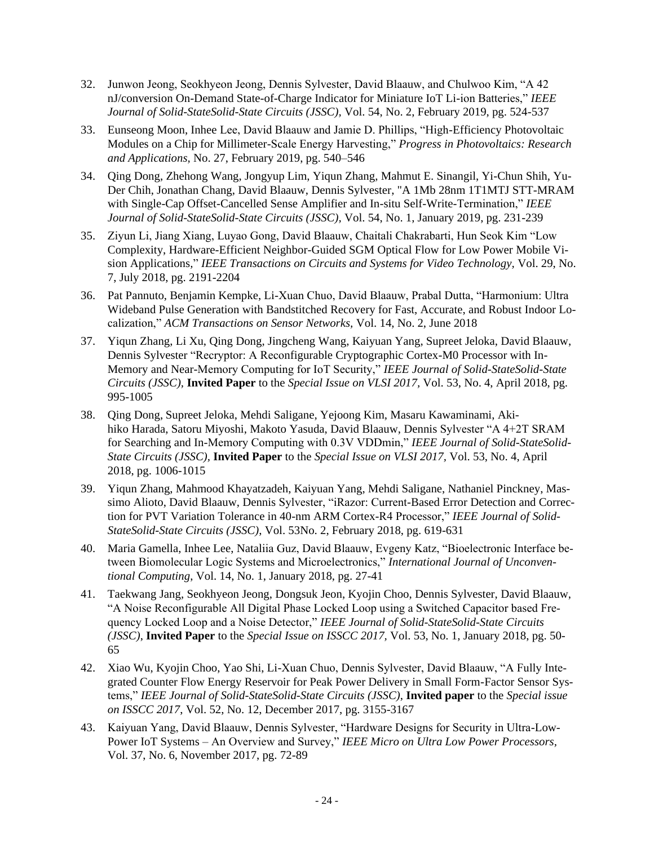- 32. Junwon Jeong, Seokhyeon Jeong, Dennis Sylvester, David Blaauw, and Chulwoo Kim, "A 42 nJ/conversion On-Demand State-of-Charge Indicator for Miniature IoT Li-ion Batteries," *IEEE Journal of Solid-StateSolid-State Circuits (JSSC),* Vol. 54, No. 2, February 2019, pg. 524-537
- 33. Eunseong Moon, Inhee Lee, David Blaauw and Jamie D. Phillips, "High-Efficiency Photovoltaic Modules on a Chip for Millimeter-Scale Energy Harvesting," *Progress in Photovoltaics: Research and Applications,* No. 27, February 2019, pg. 540–546
- 34. Qing Dong, Zhehong Wang, Jongyup Lim, Yiqun Zhang, Mahmut E. Sinangil, Yi-Chun Shih, Yu-Der Chih, Jonathan Chang, David Blaauw, Dennis Sylvester, "A 1Mb 28nm 1T1MTJ STT-MRAM with Single-Cap Offset-Cancelled Sense Amplifier and In-situ Self-Write-Termination," *IEEE Journal of Solid-StateSolid-State Circuits (JSSC),* Vol. 54, No. 1, January 2019, pg. 231-239
- 35. Ziyun Li, Jiang Xiang, Luyao Gong, David Blaauw, Chaitali Chakrabarti, Hun Seok Kim "Low Complexity, Hardware-Efficient Neighbor-Guided SGM Optical Flow for Low Power Mobile Vision Applications*,*" *IEEE Transactions on Circuits and Systems for Video Technology,* Vol. 29, No. 7, July 2018, pg. 2191-2204
- 36. Pat Pannuto, Benjamin Kempke, Li-Xuan Chuo, David Blaauw, Prabal Dutta, "Harmonium: Ultra Wideband Pulse Generation with Bandstitched Recovery for Fast, Accurate, and Robust Indoor Localization," *ACM Transactions on Sensor Networks,* Vol. 14, No. 2, June 2018
- 37. Yiqun Zhang, Li Xu, Qing Dong, Jingcheng Wang, Kaiyuan Yang, Supreet Jeloka, David Blaauw, Dennis Sylvester "Recryptor: A Reconfigurable Cryptographic Cortex-M0 Processor with In-Memory and Near-Memory Computing for IoT Security," *IEEE Journal of Solid-StateSolid-State Circuits (JSSC),* **Invited Paper** to the *Special Issue on VLSI 2017,* Vol. 53, No. 4, April 2018, pg. 995-1005
- 38. Qing Dong, Supreet Jeloka, Mehdi Saligane, Yejoong Kim, Masaru Kawaminami, Akihiko Harada, Satoru Miyoshi, Makoto Yasuda, David Blaauw, Dennis Sylvester "A 4+2T SRAM for Searching and In-Memory Computing with 0.3V VDDmin," *IEEE Journal of Solid-StateSolid-State Circuits (JSSC),* **Invited Paper** to the *Special Issue on VLSI 2017,* Vol. 53, No. 4, April 2018, pg. 1006-1015
- 39. Yiqun Zhang, Mahmood Khayatzadeh, Kaiyuan Yang, Mehdi Saligane, Nathaniel Pinckney, Massimo Alioto, David Blaauw, Dennis Sylvester, "iRazor: Current-Based Error Detection and Correction for PVT Variation Tolerance in 40-nm ARM Cortex-R4 Processor," *IEEE Journal of Solid-StateSolid-State Circuits (JSSC)*, Vol. 53No. 2, February 2018, pg. 619-631
- 40. Maria Gamella, Inhee Lee, Nataliia Guz, David Blaauw, Evgeny Katz, "Bioelectronic Interface between Biomolecular Logic Systems and Microelectronics," *International Journal of Unconventional Computing*, Vol. 14, No. 1, January 2018, pg. 27-41
- 41. Taekwang Jang, Seokhyeon Jeong, Dongsuk Jeon, Kyojin Choo, Dennis Sylvester, David Blaauw, "A Noise Reconfigurable All Digital Phase Locked Loop using a Switched Capacitor based Frequency Locked Loop and a Noise Detector," *IEEE Journal of Solid-StateSolid-State Circuits (JSSC)*, **Invited Paper** to the *Special Issue on ISSCC 2017,* Vol. 53, No. 1, January 2018, pg. 50- 65
- 42. Xiao Wu, Kyojin Choo, Yao Shi, Li-Xuan Chuo, Dennis Sylvester, David Blaauw, "A Fully Integrated Counter Flow Energy Reservoir for Peak Power Delivery in Small Form-Factor Sensor Systems," *IEEE Journal of Solid-StateSolid-State Circuits (JSSC)*, **Invited paper** to the *Special issue on ISSCC 2017*, Vol. 52, No. 12, December 2017, pg. 3155-3167
- 43. Kaiyuan Yang, David Blaauw, Dennis Sylvester, "Hardware Designs for Security in Ultra-Low-Power IoT Systems – An Overview and Survey," *IEEE Micro on Ultra Low Power Processors,*  Vol. 37, No. 6, November 2017, pg. 72-89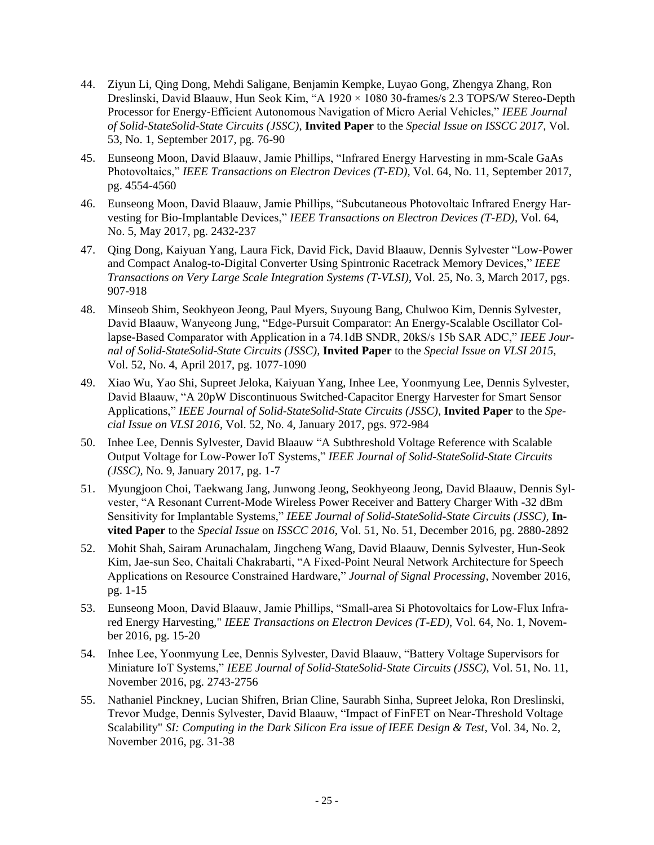- 44. Ziyun Li, Qing Dong, Mehdi Saligane, Benjamin Kempke, Luyao Gong, Zhengya Zhang, Ron Dreslinski, David Blaauw, Hun Seok Kim, "A 1920 × 1080 30-frames/s 2.3 TOPS/W Stereo-Depth Processor for Energy-Efficient Autonomous Navigation of Micro Aerial Vehicles," *IEEE Journal of Solid-StateSolid-State Circuits (JSSC)*, **Invited Paper** to the *Special Issue on ISSCC 2017,* Vol. 53, No. 1, September 2017, pg. 76-90
- 45. Eunseong Moon, David Blaauw, Jamie Phillips, "Infrared Energy Harvesting in mm-Scale GaAs Photovoltaics," *IEEE Transactions on Electron Devices (T-ED),* Vol. 64, No. 11, September 2017, pg. 4554-4560
- 46. Eunseong Moon, David Blaauw, Jamie Phillips, "Subcutaneous Photovoltaic Infrared Energy Harvesting for Bio-Implantable Devices," *IEEE Transactions on Electron Devices (T-ED)*, Vol. 64, No. 5, May 2017, pg. 2432-237
- 47. Qing Dong, Kaiyuan Yang, Laura Fick, David Fick, David Blaauw, Dennis Sylvester "Low-Power and Compact Analog-to-Digital Converter Using Spintronic Racetrack Memory Devices," *IEEE Transactions on Very Large Scale Integration Systems (T-VLSI)*, Vol. 25, No. 3, March 2017, pgs. 907-918
- 48. Minseob Shim, Seokhyeon Jeong, Paul Myers, Suyoung Bang, Chulwoo Kim, Dennis Sylvester, David Blaauw, Wanyeong Jung, "Edge-Pursuit Comparator: An Energy-Scalable Oscillator Collapse-Based Comparator with Application in a 74.1dB SNDR, 20kS/s 15b SAR ADC," *IEEE Journal of Solid-StateSolid-State Circuits (JSSC),* **Invited Paper** to the *Special Issue on VLSI 2015*, Vol. 52, No. 4, April 2017, pg. 1077-1090
- 49. Xiao Wu, Yao Shi, Supreet Jeloka, Kaiyuan Yang, Inhee Lee, Yoonmyung Lee, Dennis Sylvester, David Blaauw, "A 20pW Discontinuous Switched-Capacitor Energy Harvester for Smart Sensor Applications," *IEEE Journal of Solid-StateSolid-State Circuits (JSSC),* **Invited Paper** to the *Special Issue on VLSI 2016*, Vol. 52, No. 4, January 2017, pgs. 972-984
- 50. Inhee Lee, Dennis Sylvester, David Blaauw "A Subthreshold Voltage Reference with Scalable Output Voltage for Low-Power IoT Systems," *IEEE Journal of Solid-StateSolid-State Circuits (JSSC),* No. 9, January 2017, pg. 1-7
- 51. Myungjoon Choi, Taekwang Jang, Junwong Jeong, Seokhyeong Jeong, David Blaauw, Dennis Sylvester, "A Resonant Current-Mode Wireless Power Receiver and Battery Charger With -32 dBm Sensitivity for Implantable Systems," *IEEE Journal of Solid-StateSolid-State Circuits (JSSC),* **Invited Paper** to the *Special Issue* on *ISSCC 2016*, Vol. 51, No. 51, December 2016, pg. 2880-2892
- 52. Mohit Shah, Sairam Arunachalam, Jingcheng Wang, David Blaauw, Dennis Sylvester, Hun-Seok Kim, Jae-sun Seo, Chaitali Chakrabarti, "A Fixed-Point Neural Network Architecture for Speech Applications on Resource Constrained Hardware," *Journal of Signal Processing*, November 2016, pg. 1-15
- 53. Eunseong Moon, David Blaauw, Jamie Phillips, "Small-area Si Photovoltaics for Low-Flux Infrared Energy Harvesting," *IEEE Transactions on Electron Devices (T-ED)*, Vol. 64, No. 1, November 2016, pg. 15-20
- 54. Inhee Lee, Yoonmyung Lee, Dennis Sylvester, David Blaauw, "Battery Voltage Supervisors for Miniature IoT Systems," *IEEE Journal of Solid-StateSolid-State Circuits (JSSC)*, Vol. 51, No. 11, November 2016, pg. 2743-2756
- 55. Nathaniel Pinckney, Lucian Shifren, Brian Cline, Saurabh Sinha, Supreet Jeloka, Ron Dreslinski, Trevor Mudge, Dennis Sylvester, David Blaauw, "Impact of FinFET on Near-Threshold Voltage Scalability" *SI: Computing in the Dark Silicon Era issue of IEEE Design & Test*, Vol. 34, No. 2, November 2016, pg. 31-38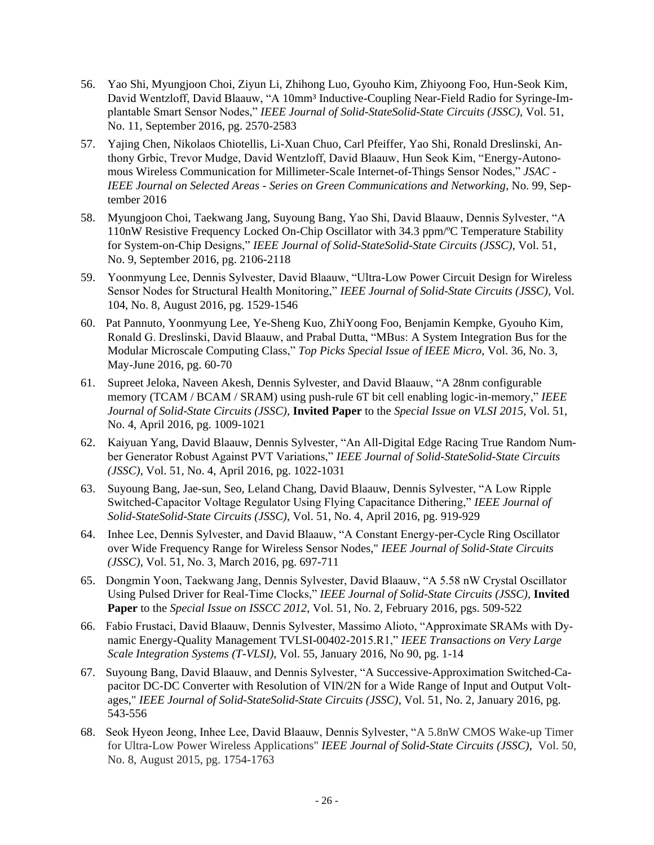- 56. Yao Shi, Myungjoon Choi, Ziyun Li, Zhihong Luo, Gyouho Kim, Zhiyoong Foo, Hun-Seok Kim, David Wentzloff, David Blaauw, "A 10mm<sup>3</sup> Inductive-Coupling Near-Field Radio for Syringe-Implantable Smart Sensor Nodes," *IEEE Journal of Solid-StateSolid-State Circuits (JSSC)*, Vol. 51, No. 11, September 2016, pg. 2570-2583
- 57. Yajing Chen, Nikolaos Chiotellis, Li-Xuan Chuo, Carl Pfeiffer, Yao Shi, Ronald Dreslinski, Anthony Grbic, Trevor Mudge, David Wentzloff, David Blaauw, Hun Seok Kim, "Energy-Autonomous Wireless Communication for Millimeter-Scale Internet-of-Things Sensor Nodes," *JSAC - IEEE Journal on Selected Areas - Series on Green Communications and Networking*, No. 99, September 2016
- 58. Myungjoon Choi, Taekwang Jang, Suyoung Bang, Yao Shi, David Blaauw, Dennis Sylvester, "A 110nW Resistive Frequency Locked On-Chip Oscillator with 34.3 ppm/ºC Temperature Stability for System-on-Chip Designs," *IEEE Journal of Solid-StateSolid-State Circuits (JSSC)*, Vol. 51, No. 9, September 2016, pg. 2106-2118
- 59. Yoonmyung Lee, Dennis Sylvester, David Blaauw, "Ultra-Low Power Circuit Design for Wireless Sensor Nodes for Structural Health Monitoring," *IEEE Journal of Solid-State Circuits (JSSC)*, Vol. 104, No. 8, August 2016, pg. 1529-1546
- 60. Pat Pannuto, Yoonmyung Lee, Ye-Sheng Kuo, ZhiYoong Foo, Benjamin Kempke, Gyouho Kim, Ronald G. Dreslinski, David Blaauw, and Prabal Dutta, "MBus: A System Integration Bus for the Modular Microscale Computing Class," *Top Picks Special Issue of IEEE Micro*, Vol. 36, No. 3, May-June 2016, pg. 60-70
- 61. Supreet Jeloka, Naveen Akesh, Dennis Sylvester, and David Blaauw, "A 28nm configurable memory (TCAM / BCAM / SRAM) using push-rule 6T bit cell enabling logic-in-memory," *IEEE Journal of Solid-State Circuits (JSSC),* **Invited Paper** to the *Special Issue on VLSI 2015*, Vol. 51, No. 4, April 2016, pg. 1009-1021
- 62. Kaiyuan Yang, David Blaauw, Dennis Sylvester, "An All-Digital Edge Racing True Random Number Generator Robust Against PVT Variations," *IEEE Journal of Solid-StateSolid-State Circuits (JSSC)*, Vol. 51, No. 4, April 2016, pg. 1022-1031
- 63. Suyoung Bang, Jae-sun, Seo, Leland Chang, David Blaauw, Dennis Sylvester, "A Low Ripple Switched-Capacitor Voltage Regulator Using Flying Capacitance Dithering," *IEEE Journal of Solid-StateSolid-State Circuits (JSSC)*, Vol. 51, No. 4, April 2016, pg. 919-929
- 64. Inhee Lee, Dennis Sylvester, and David Blaauw, "A Constant Energy-per-Cycle Ring Oscillator over Wide Frequency Range for Wireless Sensor Nodes," *IEEE Journal of Solid-State Circuits (JSSC)*, Vol. 51, No. 3, March 2016, pg. 697-711
- 65. Dongmin Yoon, Taekwang Jang, Dennis Sylvester, David Blaauw, "A 5.58 nW Crystal Oscillator Using Pulsed Driver for Real-Time Clocks," *IEEE Journal of Solid-State Circuits (JSSC),* **Invited Paper** to the *Special Issue on ISSCC 2012*, Vol. 51, No. 2, February 2016, pgs. 509-522
- 66. Fabio Frustaci, David Blaauw, Dennis Sylvester, Massimo Alioto, "Approximate SRAMs with Dynamic Energy-Quality Management TVLSI-00402-2015.R1," *IEEE Transactions on Very Large Scale Integration Systems (T-VLSI)*, Vol. 55, January 2016, No 90, pg. 1-14
- 67. Suyoung Bang, David Blaauw, and Dennis Sylvester, "A Successive-Approximation Switched-Capacitor DC-DC Converter with Resolution of VIN/2N for a Wide Range of Input and Output Voltages," *IEEE Journal of Solid-StateSolid-State Circuits (JSSC)*, Vol. 51, No. 2, January 2016, pg. 543-556
- 68. Seok Hyeon Jeong, Inhee Lee, David Blaauw, Dennis Sylvester, "A 5.8nW CMOS Wake-up Timer for Ultra-Low Power Wireless Applications" *IEEE Journal of Solid-State Circuits (JSSC)*, Vol. 50, No. 8, August 2015, pg. 1754-1763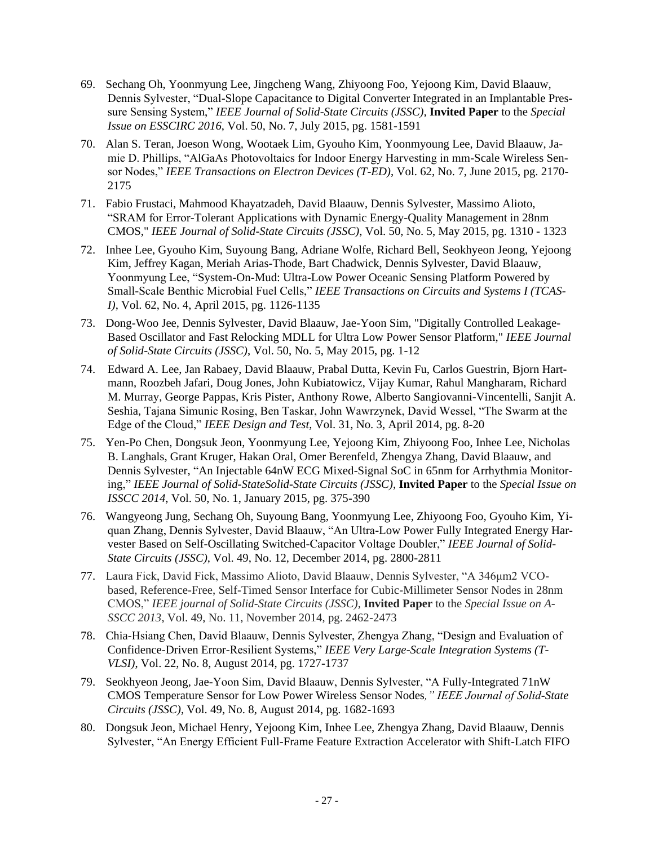- 69. Sechang Oh, Yoonmyung Lee, Jingcheng Wang, Zhiyoong Foo, Yejoong Kim, David Blaauw, Dennis Sylvester, "Dual-Slope Capacitance to Digital Converter Integrated in an Implantable Pressure Sensing System," *IEEE Journal of Solid-State Circuits (JSSC),* **Invited Paper** to the *Special Issue on ESSCIRC 2016*, Vol. 50, No. 7, July 2015, pg. 1581-1591
- 70. Alan S. Teran, Joeson Wong, Wootaek Lim, Gyouho Kim, Yoonmyoung Lee, David Blaauw, Jamie D. Phillips, "AlGaAs Photovoltaics for Indoor Energy Harvesting in mm-Scale Wireless Sensor Nodes," *IEEE Transactions on Electron Devices (T-ED)*, Vol. 62, No. 7, June 2015, pg. 2170- 2175
- 71. Fabio Frustaci, Mahmood Khayatzadeh, David Blaauw, Dennis Sylvester, Massimo Alioto, "SRAM for Error-Tolerant Applications with Dynamic Energy-Quality Management in 28nm CMOS," *IEEE Journal of Solid-State Circuits (JSSC)*, Vol. 50, No. 5, May 2015, pg. 1310 - 1323
- 72. Inhee Lee, Gyouho Kim, Suyoung Bang, Adriane Wolfe, Richard Bell, Seokhyeon Jeong, Yejoong Kim, Jeffrey Kagan, Meriah Arias-Thode, Bart Chadwick, Dennis Sylvester, David Blaauw, Yoonmyung Lee, "System-On-Mud: Ultra-Low Power Oceanic Sensing Platform Powered by Small-Scale Benthic Microbial Fuel Cells," *IEEE Transactions on Circuits and Systems I (TCAS-I)*, Vol. 62, No. 4, April 2015, pg. 1126-1135
- 73. Dong-Woo Jee, Dennis Sylvester, David Blaauw, Jae-Yoon Sim, "Digitally Controlled Leakage-Based Oscillator and Fast Relocking MDLL for Ultra Low Power Sensor Platform," *IEEE Journal of Solid-State Circuits (JSSC)*, Vol. 50, No. 5, May 2015, pg. 1-12
- 74. Edward A. Lee, Jan Rabaey, David Blaauw, Prabal Dutta, Kevin Fu, Carlos Guestrin, Bjorn Hartmann, Roozbeh Jafari, Doug Jones, John Kubiatowicz, Vijay Kumar, Rahul Mangharam, Richard M. Murray, George Pappas, Kris Pister, Anthony Rowe, Alberto Sangiovanni-Vincentelli, Sanjit A. Seshia, Tajana Simunic Rosing, Ben Taskar, John Wawrzynek, David Wessel, "The Swarm at the Edge of the Cloud," *IEEE Design and Test*, Vol. 31, No. 3, April 2014, pg. 8-20
- 75. Yen-Po Chen, Dongsuk Jeon, Yoonmyung Lee, Yejoong Kim, Zhiyoong Foo, Inhee Lee, Nicholas B. Langhals, Grant Kruger, Hakan Oral, Omer Berenfeld, Zhengya Zhang, David Blaauw, and Dennis Sylvester, "An Injectable 64nW ECG Mixed-Signal SoC in 65nm for Arrhythmia Monitoring," *IEEE Journal of Solid-StateSolid-State Circuits (JSSC)*, **Invited Paper** to the *Special Issue on ISSCC 2014*, Vol. 50, No. 1, January 2015, pg. 375-390
- 76. Wangyeong Jung, Sechang Oh, Suyoung Bang, Yoonmyung Lee, Zhiyoong Foo, Gyouho Kim, Yiquan Zhang, Dennis Sylvester, David Blaauw, "An Ultra-Low Power Fully Integrated Energy Harvester Based on Self-Oscillating Switched-Capacitor Voltage Doubler," *IEEE Journal of Solid-State Circuits (JSSC)*, Vol. 49, No. 12, December 2014, pg. 2800-2811
- 77. Laura Fick, David Fick, Massimo Alioto, David Blaauw, Dennis Sylvester, "A 346μm2 VCObased, Reference-Free, Self-Timed Sensor Interface for Cubic-Millimeter Sensor Nodes in 28nm CMOS," *IEEE journal of Solid-State Circuits (JSSC),* **Invited Paper** to the *Special Issue on A-SSCC 2013*, Vol. 49, No. 11, November 2014, pg. 2462-2473
- 78. Chia-Hsiang Chen, David Blaauw, Dennis Sylvester, Zhengya Zhang, "Design and Evaluation of Confidence-Driven Error-Resilient Systems," *IEEE Very Large-Scale Integration Systems (T-VLSI)*, Vol. 22, No. 8, August 2014, pg. 1727-1737
- 79. Seokhyeon Jeong, Jae-Yoon Sim, David Blaauw, Dennis Sylvester, "A Fully-Integrated 71nW CMOS Temperature Sensor for Low Power Wireless Sensor Nodes*," IEEE Journal of Solid-State Circuits (JSSC)*, Vol. 49, No. 8, August 2014, pg. 1682-1693
- 80. Dongsuk Jeon, Michael Henry, Yejoong Kim, Inhee Lee, Zhengya Zhang, David Blaauw, Dennis Sylvester, "An Energy Efficient Full-Frame Feature Extraction Accelerator with Shift-Latch FIFO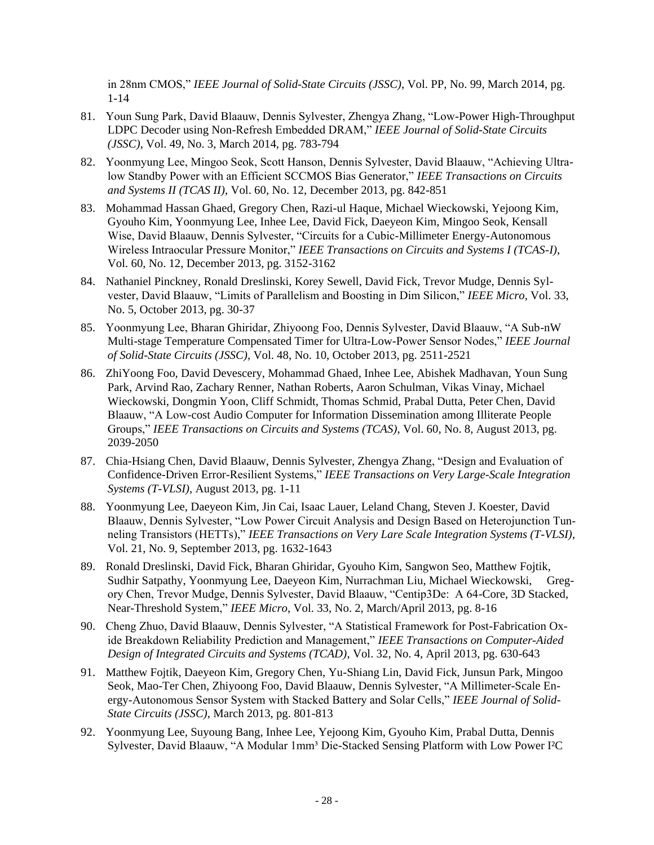in 28nm CMOS," *IEEE Journal of Solid-State Circuits (JSSC)*, Vol. PP, No. 99, March 2014, pg. 1-14

- 81. Youn Sung Park, David Blaauw, Dennis Sylvester, Zhengya Zhang, "Low-Power High-Throughput LDPC Decoder using Non-Refresh Embedded DRAM," *IEEE Journal of Solid-State Circuits (JSSC)*, Vol. 49, No. 3, March 2014, pg. 783-794
- 82. Yoonmyung Lee, Mingoo Seok, Scott Hanson, Dennis Sylvester, David Blaauw, "Achieving Ultralow Standby Power with an Efficient SCCMOS Bias Generator," *IEEE Transactions on Circuits and Systems II (TCAS II)*, Vol. 60, No. 12, December 2013, pg. 842-851
- 83. Mohammad Hassan Ghaed, Gregory Chen, Razi-ul Haque, Michael Wieckowski, Yejoong Kim, Gyouho Kim, Yoonmyung Lee, Inhee Lee, David Fick, Daeyeon Kim, Mingoo Seok, Kensall Wise, David Blaauw, Dennis Sylvester, "Circuits for a Cubic-Millimeter Energy-Autonomous Wireless Intraocular Pressure Monitor," *IEEE Transactions on Circuits and Systems I (TCAS-I)*, Vol. 60, No. 12, December 2013, pg. 3152-3162
- 84. Nathaniel Pinckney, Ronald Dreslinski, Korey Sewell, David Fick, Trevor Mudge, Dennis Sylvester, David Blaauw, "Limits of Parallelism and Boosting in Dim Silicon," *IEEE Micro*, Vol. 33, No. 5, October 2013, pg. 30-37
- 85. Yoonmyung Lee, Bharan Ghiridar, Zhiyoong Foo, Dennis Sylvester, David Blaauw, "A Sub-nW Multi-stage Temperature Compensated Timer for Ultra-Low-Power Sensor Nodes," *IEEE Journal of Solid-State Circuits (JSSC)*, Vol. 48, No. 10, October 2013, pg. 2511-2521
- 86. ZhiYoong Foo, David Devescery, Mohammad Ghaed, Inhee Lee, Abishek Madhavan, Youn Sung Park, Arvind Rao, Zachary Renner, Nathan Roberts, Aaron Schulman, Vikas Vinay, Michael Wieckowski, Dongmin Yoon, Cliff Schmidt, Thomas Schmid, Prabal Dutta, Peter Chen, David Blaauw, "A Low-cost Audio Computer for Information Dissemination among Illiterate People Groups," *IEEE Transactions on Circuits and Systems (TCAS)*, Vol. 60, No. 8, August 2013, pg. 2039-2050
- 87. Chia-Hsiang Chen, David Blaauw, Dennis Sylvester, Zhengya Zhang, "Design and Evaluation of Confidence-Driven Error-Resilient Systems," *IEEE Transactions on Very Large-Scale Integration Systems (T-VLSI)*, August 2013, pg. 1-11
- 88. Yoonmyung Lee, Daeyeon Kim, Jin Cai, Isaac Lauer, Leland Chang, Steven J. Koester, David Blaauw, Dennis Sylvester, "Low Power Circuit Analysis and Design Based on Heterojunction Tunneling Transistors (HETTs)," *IEEE Transactions on Very Lare Scale Integration Systems (T-VLSI)*, Vol. 21, No. 9, September 2013, pg. 1632-1643
- 89. Ronald Dreslinski, David Fick, Bharan Ghiridar, Gyouho Kim, Sangwon Seo, Matthew Fojtik, Sudhir Satpathy, Yoonmyung Lee, Daeyeon Kim, Nurrachman Liu, Michael Wieckowski, Gregory Chen, Trevor Mudge, Dennis Sylvester, David Blaauw, "Centip3De: A 64-Core, 3D Stacked, Near-Threshold System," *IEEE Micro*, Vol. 33, No. 2, March/April 2013, pg. 8-16
- 90. Cheng Zhuo, David Blaauw, Dennis Sylvester, "A Statistical Framework for Post-Fabrication Oxide Breakdown Reliability Prediction and Management," *IEEE Transactions on Computer-Aided Design of Integrated Circuits and Systems (TCAD)*, Vol. 32, No. 4, April 2013, pg. 630-643
- 91. Matthew Fojtik, Daeyeon Kim, Gregory Chen, Yu-Shiang Lin, David Fick, Junsun Park, Mingoo Seok, Mao-Ter Chen, Zhiyoong Foo, David Blaauw, Dennis Sylvester, "A Millimeter-Scale Energy-Autonomous Sensor System with Stacked Battery and Solar Cells," *IEEE Journal of Solid-State Circuits (JSSC)*, March 2013, pg. 801-813
- 92. Yoonmyung Lee, Suyoung Bang, Inhee Lee, Yejoong Kim, Gyouho Kim, Prabal Dutta, Dennis Sylvester, David Blaauw, "A Modular 1mm<sup>3</sup> Die-Stacked Sensing Platform with Low Power I<sup>2</sup>C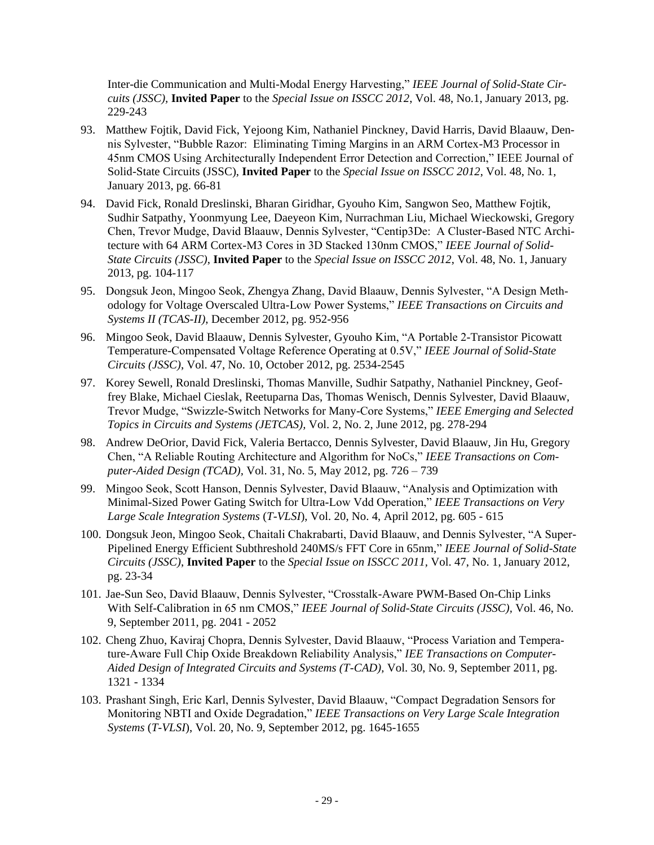Inter-die Communication and Multi-Modal Energy Harvesting," *IEEE Journal of Solid-State Circuits (JSSC),* **Invited Paper** to the *Special Issue on ISSCC 2012*, Vol. 48, No.1, January 2013, pg. 229-243

- 93. Matthew Fojtik, David Fick, Yejoong Kim, Nathaniel Pinckney, David Harris, David Blaauw, Dennis Sylvester, "Bubble Razor: Eliminating Timing Margins in an ARM Cortex-M3 Processor in 45nm CMOS Using Architecturally Independent Error Detection and Correction," IEEE Journal of Solid-State Circuits (JSSC), **Invited Paper** to the *Special Issue on ISSCC 2012*, Vol. 48, No. 1, January 2013, pg. 66-81
- 94. David Fick, Ronald Dreslinski, Bharan Giridhar, Gyouho Kim, Sangwon Seo, Matthew Fojtik, Sudhir Satpathy, Yoonmyung Lee, Daeyeon Kim, Nurrachman Liu, Michael Wieckowski, Gregory Chen, Trevor Mudge, David Blaauw, Dennis Sylvester, "Centip3De: A Cluster-Based NTC Architecture with 64 ARM Cortex-M3 Cores in 3D Stacked 130nm CMOS," *IEEE Journal of Solid-State Circuits (JSSC)*, **Invited Paper** to the *Special Issue on ISSCC 2012*, Vol. 48, No. 1, January 2013, pg. 104-117
- 95. Dongsuk Jeon, Mingoo Seok, Zhengya Zhang, David Blaauw, Dennis Sylvester, "A Design Methodology for Voltage Overscaled Ultra-Low Power Systems," *IEEE Transactions on Circuits and Systems II (TCAS-II)*, December 2012, pg. 952-956
- 96. Mingoo Seok, David Blaauw, Dennis Sylvester, Gyouho Kim, "A Portable 2-Transistor Picowatt Temperature-Compensated Voltage Reference Operating at 0.5V," *IEEE Journal of Solid-State Circuits (JSSC)*, Vol. 47, No. 10, October 2012, pg. 2534-2545
- 97. Korey Sewell, Ronald Dreslinski, Thomas Manville, Sudhir Satpathy, Nathaniel Pinckney, Geoffrey Blake, Michael Cieslak, Reetuparna Das, Thomas Wenisch, Dennis Sylvester, David Blaauw, Trevor Mudge, "Swizzle-Switch Networks for Many-Core Systems," *IEEE Emerging and Selected Topics in Circuits and Systems (JETCAS),* Vol. 2, No. 2, June 2012, pg. 278-294
- 98. Andrew DeOrior, David Fick, Valeria Bertacco, Dennis Sylvester, David Blaauw, Jin Hu, Gregory Chen, "A Reliable Routing Architecture and Algorithm for NoCs," *IEEE Transactions on Computer-Aided Design (TCAD),* Vol. 31, No. 5, May 2012, pg. 726 – 739
- 99. Mingoo Seok, Scott Hanson, Dennis Sylvester, David Blaauw, "Analysis and Optimization with Minimal-Sized Power Gating Switch for Ultra-Low Vdd Operation," *IEEE Transactions on Very Large Scale Integration Systems* (*T-VLSI*), Vol. 20, No. 4, April 2012, pg. 605 - 615
- 100. Dongsuk Jeon, Mingoo Seok, Chaitali Chakrabarti, David Blaauw, and Dennis Sylvester, "A Super-Pipelined Energy Efficient Subthreshold 240MS/s FFT Core in 65nm," *IEEE Journal of Solid-State Circuits (JSSC)*, **Invited Paper** to the *Special Issue on ISSCC 2011,* Vol. 47, No. 1, January 2012, pg. 23-34
- 101. Jae-Sun Seo, David Blaauw, Dennis Sylvester, "Crosstalk-Aware PWM-Based On-Chip Links With Self-Calibration in 65 nm CMOS," *IEEE Journal of Solid-State Circuits (JSSC),* Vol. 46, No. 9, September 2011, pg. 2041 - 2052
- 102. Cheng Zhuo, Kaviraj Chopra, Dennis Sylvester, David Blaauw, "Process Variation and Temperature-Aware Full Chip Oxide Breakdown Reliability Analysis," *IEE Transactions on Computer-Aided Design of Integrated Circuits and Systems (T-CAD),* Vol. 30, No. 9, September 2011, pg. 1321 - 1334
- 103. Prashant Singh, Eric Karl, Dennis Sylvester, David Blaauw, "Compact Degradation Sensors for Monitoring NBTI and Oxide Degradation," *IEEE Transactions on Very Large Scale Integration Systems* (*T-VLSI*), Vol. 20, No. 9, September 2012, pg. 1645-1655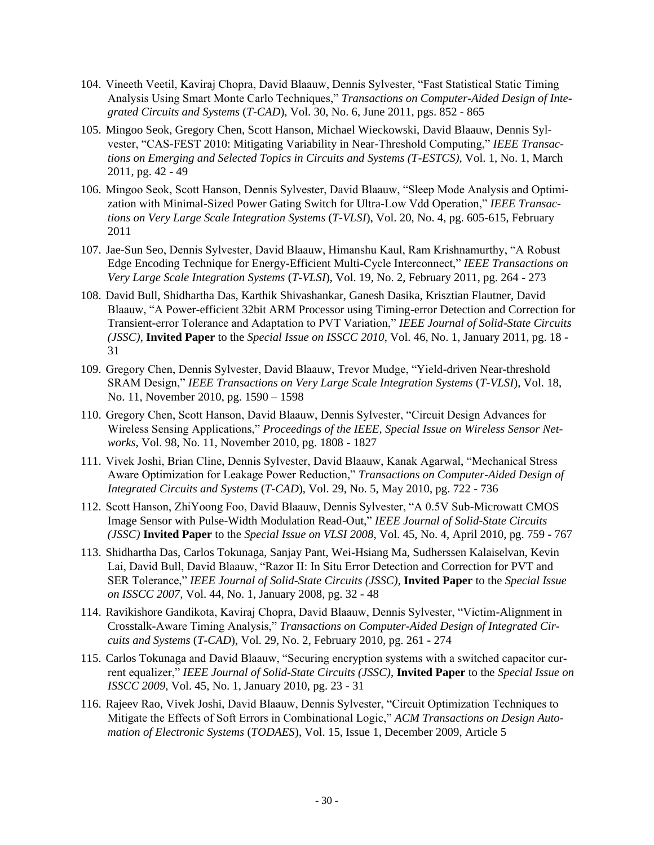- 104. Vineeth Veetil, Kaviraj Chopra, David Blaauw, Dennis Sylvester, "Fast Statistical Static Timing Analysis Using Smart Monte Carlo Techniques," *Transactions on Computer-Aided Design of Integrated Circuits and Systems* (*T-CAD*), Vol. 30, No. 6, June 2011, pgs. 852 - 865
- 105. Mingoo Seok, Gregory Chen, Scott Hanson, Michael Wieckowski, David Blaauw, Dennis Sylvester, "CAS-FEST 2010: Mitigating Variability in Near-Threshold Computing," *IEEE Transactions on Emerging and Selected Topics in Circuits and Systems (T-ESTCS),* Vol. 1, No. 1, March 2011, pg. 42 - 49
- 106. Mingoo Seok, Scott Hanson, Dennis Sylvester, David Blaauw, "Sleep Mode Analysis and Optimization with Minimal-Sized Power Gating Switch for Ultra-Low Vdd Operation," *IEEE Transactions on Very Large Scale Integration Systems* (*T-VLSI*), Vol. 20, No. 4, pg. 605-615, February 2011
- 107. Jae-Sun Seo, Dennis Sylvester, David Blaauw, Himanshu Kaul, Ram Krishnamurthy, "A Robust Edge Encoding Technique for Energy-Efficient Multi-Cycle Interconnect," *IEEE Transactions on Very Large Scale Integration Systems* (*T-VLSI*), Vol. 19, No. 2, February 2011, pg. 264 - 273
- 108. David Bull, Shidhartha Das, Karthik Shivashankar, Ganesh Dasika, Krisztian Flautner, David Blaauw, "A Power-efficient 32bit ARM Processor using Timing-error Detection and Correction for Transient-error Tolerance and Adaptation to PVT Variation," *IEEE Journal of Solid-State Circuits (JSSC)*, **Invited Paper** to the *Special Issue on ISSCC 2010*, Vol. 46, No. 1, January 2011, pg. 18 - 31
- 109. Gregory Chen, Dennis Sylvester, David Blaauw, Trevor Mudge, "Yield-driven Near-threshold SRAM Design," *IEEE Transactions on Very Large Scale Integration Systems* (*T-VLSI*), Vol. 18, No. 11, November 2010, pg. 1590 – 1598
- 110. Gregory Chen, Scott Hanson, David Blaauw, Dennis Sylvester, "Circuit Design Advances for Wireless Sensing Applications," *Proceedings of the IEEE, Special Issue on Wireless Sensor Networks*, Vol. 98, No. 11, November 2010, pg. 1808 - 1827
- 111. Vivek Joshi, Brian Cline, Dennis Sylvester, David Blaauw, Kanak Agarwal, "Mechanical Stress Aware Optimization for Leakage Power Reduction," *Transactions on Computer-Aided Design of Integrated Circuits and Systems* (*T-CAD*), Vol. 29, No. 5, May 2010, pg. 722 - 736
- 112. Scott Hanson, ZhiYoong Foo, David Blaauw, Dennis Sylvester, "A 0.5V Sub-Microwatt CMOS Image Sensor with Pulse-Width Modulation Read-Out," *IEEE Journal of Solid-State Circuits (JSSC)* **Invited Paper** to the *Special Issue on VLSI 2008*, Vol. 45, No. 4, April 2010, pg. 759 - 767
- 113. Shidhartha Das, Carlos Tokunaga, Sanjay Pant, Wei-Hsiang Ma, Sudherssen Kalaiselvan, Kevin Lai, David Bull, David Blaauw, "Razor II: In Situ Error Detection and Correction for PVT and SER Tolerance," *IEEE Journal of Solid-State Circuits (JSSC)*, **Invited Paper** to the *Special Issue on ISSCC 2007,* Vol. 44, No. 1, January 2008, pg. 32 - 48
- 114. Ravikishore Gandikota, Kaviraj Chopra, David Blaauw, Dennis Sylvester, "Victim-Alignment in Crosstalk-Aware Timing Analysis," *Transactions on Computer-Aided Design of Integrated Circuits and Systems* (*T-CAD*), Vol. 29, No. 2, February 2010, pg. 261 - 274
- 115. Carlos Tokunaga and David Blaauw, "Securing encryption systems with a switched capacitor current equalizer," *IEEE Journal of Solid-State Circuits (JSSC)*, **Invited Paper** to the *Special Issue on ISSCC 2009*, Vol. 45, No. 1, January 2010, pg. 23 - 31
- 116. Rajeev Rao, Vivek Joshi, David Blaauw, Dennis Sylvester, "Circuit Optimization Techniques to Mitigate the Effects of Soft Errors in Combinational Logic," *ACM Transactions on Design Automation of Electronic Systems* (*TODAES*), Vol. 15, Issue 1, December 2009, Article 5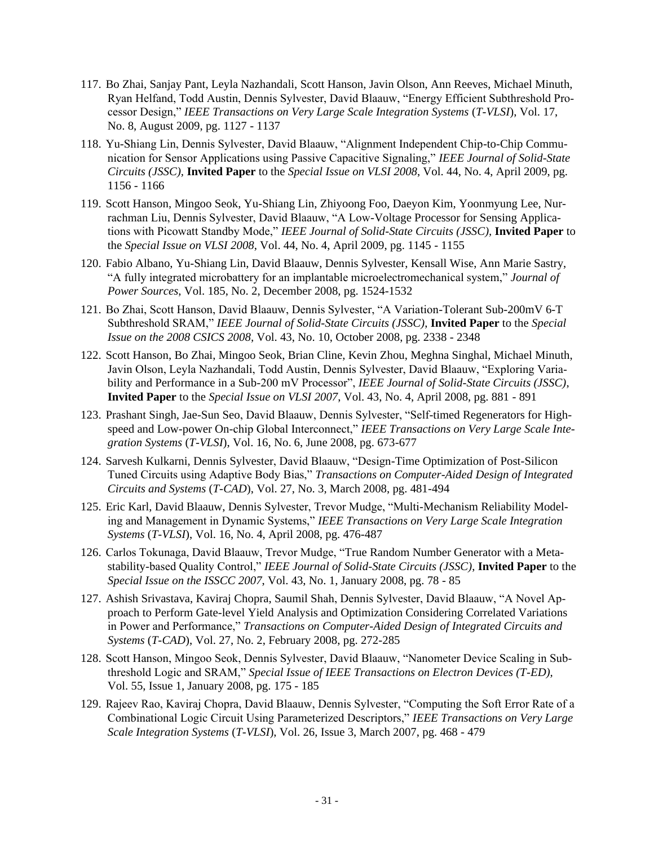- 117. Bo Zhai, Sanjay Pant, Leyla Nazhandali, Scott Hanson, Javin Olson, Ann Reeves, Michael Minuth, Ryan Helfand, Todd Austin, Dennis Sylvester, David Blaauw, "Energy Efficient Subthreshold Processor Design," *IEEE Transactions on Very Large Scale Integration Systems* (*T-VLSI*), Vol. 17, No. 8, August 2009, pg. 1127 - 1137
- 118. Yu-Shiang Lin, Dennis Sylvester, David Blaauw, "Alignment Independent Chip-to-Chip Communication for Sensor Applications using Passive Capacitive Signaling," *IEEE Journal of Solid-State Circuits (JSSC),* **Invited Paper** to the *Special Issue on VLSI 2008*, Vol. 44, No. 4, April 2009, pg. 1156 - 1166
- 119. Scott Hanson, Mingoo Seok, Yu-Shiang Lin, Zhiyoong Foo, Daeyon Kim, Yoonmyung Lee, Nurrachman Liu, Dennis Sylvester, David Blaauw, "A Low-Voltage Processor for Sensing Applications with Picowatt Standby Mode," *IEEE Journal of Solid-State Circuits (JSSC),* **Invited Paper** to the *Special Issue on VLSI 2008*, Vol. 44, No. 4, April 2009, pg. 1145 - 1155
- 120. Fabio Albano, Yu-Shiang Lin, David Blaauw, Dennis Sylvester, Kensall Wise, Ann Marie Sastry, "A fully integrated microbattery for an implantable microelectromechanical system," *Journal of Power Sources*, Vol. 185, No. 2, December 2008, pg. 1524-1532
- 121. Bo Zhai, Scott Hanson, David Blaauw, Dennis Sylvester, "A Variation-Tolerant Sub-200mV 6-T Subthreshold SRAM," *IEEE Journal of Solid-State Circuits (JSSC)*, **Invited Paper** to the *Special Issue on the 2008 CSICS 2008,* Vol. 43, No. 10, October 2008, pg. 2338 - 2348
- 122. Scott Hanson, Bo Zhai, Mingoo Seok, Brian Cline, Kevin Zhou, Meghna Singhal, Michael Minuth, Javin Olson, Leyla Nazhandali, Todd Austin, Dennis Sylvester, David Blaauw, "Exploring Variability and Performance in a Sub-200 mV Processor", *IEEE Journal of Solid-State Circuits (JSSC)*, **Invited Paper** to the *Special Issue on VLSI 2007*, Vol. 43, No. 4, April 2008, pg. 881 - 891
- 123. Prashant Singh, Jae-Sun Seo, David Blaauw, Dennis Sylvester, "Self-timed Regenerators for Highspeed and Low-power On-chip Global Interconnect," *IEEE Transactions on Very Large Scale Integration Systems* (*T-VLSI*), Vol. 16, No. 6, June 2008, pg. 673-677
- 124. Sarvesh Kulkarni, Dennis Sylvester, David Blaauw, "Design-Time Optimization of Post-Silicon Tuned Circuits using Adaptive Body Bias," *Transactions on Computer-Aided Design of Integrated Circuits and Systems* (*T-CAD*), Vol. 27, No. 3, March 2008, pg. 481-494
- 125. Eric Karl, David Blaauw, Dennis Sylvester, Trevor Mudge, "Multi-Mechanism Reliability Modeling and Management in Dynamic Systems," *IEEE Transactions on Very Large Scale Integration Systems* (*T-VLSI*), Vol. 16, No. 4, April 2008, pg. 476-487
- 126. Carlos Tokunaga, David Blaauw, Trevor Mudge, "True Random Number Generator with a Metastability-based Quality Control," *IEEE Journal of Solid-State Circuits (JSSC)*, **Invited Paper** to the *Special Issue on the ISSCC 2007*, Vol. 43, No. 1, January 2008, pg. 78 - 85
- 127. Ashish Srivastava, Kaviraj Chopra, Saumil Shah, Dennis Sylvester, David Blaauw, "A Novel Approach to Perform Gate-level Yield Analysis and Optimization Considering Correlated Variations in Power and Performance," *Transactions on Computer-Aided Design of Integrated Circuits and Systems* (*T-CAD*), Vol. 27, No. 2, February 2008, pg. 272-285
- 128. Scott Hanson, Mingoo Seok, Dennis Sylvester, David Blaauw, "Nanometer Device Scaling in Subthreshold Logic and SRAM," *Special Issue of IEEE Transactions on Electron Devices (T-ED),*  Vol. 55, Issue 1, January 2008, pg. 175 - 185
- 129. Rajeev Rao, Kaviraj Chopra, David Blaauw, Dennis Sylvester, "Computing the Soft Error Rate of a Combinational Logic Circuit Using Parameterized Descriptors," *IEEE Transactions on Very Large Scale Integration Systems* (*T-VLSI*), Vol. 26, Issue 3, March 2007, pg. 468 - 479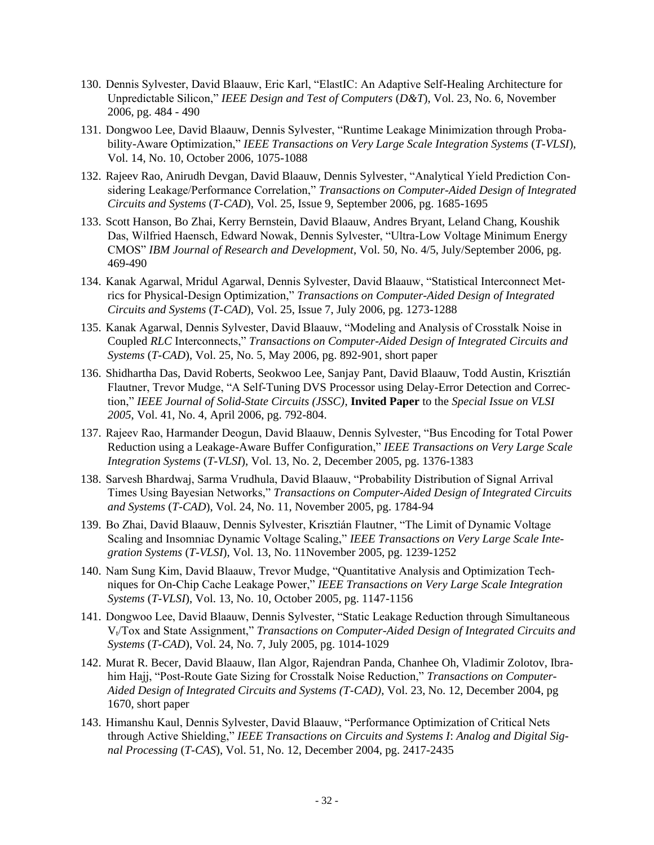- 130. Dennis Sylvester, David Blaauw, Eric Karl, "ElastIC: An Adaptive Self-Healing Architecture for Unpredictable Silicon," *IEEE Design and Test of Computers* (*D&T*), Vol. 23, No. 6, November 2006, pg. 484 - 490
- 131. Dongwoo Lee, David Blaauw, Dennis Sylvester, "Runtime Leakage Minimization through Probability-Aware Optimization," *IEEE Transactions on Very Large Scale Integration Systems* (*T-VLSI*), Vol. 14, No. 10, October 2006, 1075-1088
- 132. Rajeev Rao, Anirudh Devgan, David Blaauw, Dennis Sylvester, "Analytical Yield Prediction Considering Leakage/Performance Correlation," *Transactions on Computer-Aided Design of Integrated Circuits and Systems* (*T-CAD*), Vol. 25, Issue 9, September 2006, pg. 1685-1695
- 133. Scott Hanson, Bo Zhai, Kerry Bernstein, David Blaauw, Andres Bryant, Leland Chang, Koushik Das, Wilfried Haensch, Edward Nowak, Dennis Sylvester, "Ultra-Low Voltage Minimum Energy CMOS" *IBM Journal of Research and Development*, Vol. 50, No. 4/5, July/September 2006, pg. 469-490
- 134. Kanak Agarwal, Mridul Agarwal, Dennis Sylvester, David Blaauw, "Statistical Interconnect Metrics for Physical-Design Optimization," *Transactions on Computer-Aided Design of Integrated Circuits and Systems* (*T-CAD*), Vol. 25, Issue 7, July 2006, pg. 1273-1288
- 135. Kanak Agarwal, Dennis Sylvester, David Blaauw, "Modeling and Analysis of Crosstalk Noise in Coupled *RLC* Interconnects," *Transactions on Computer-Aided Design of Integrated Circuits and Systems* (*T-CAD*), Vol. 25, No. 5, May 2006, pg. 892-901, short paper
- 136. Shidhartha Das, David Roberts, Seokwoo Lee, Sanjay Pant, David Blaauw, Todd Austin, Krisztián Flautner, Trevor Mudge, "A Self-Tuning DVS Processor using Delay-Error Detection and Correction," *IEEE Journal of Solid-State Circuits (JSSC)*, **Invited Paper** to the *Special Issue on VLSI 2005*, Vol. 41, No. 4, April 2006, pg. 792-804.
- 137. Rajeev Rao, Harmander Deogun, David Blaauw, Dennis Sylvester, "Bus Encoding for Total Power Reduction using a Leakage-Aware Buffer Configuration," *IEEE Transactions on Very Large Scale Integration Systems* (*T-VLSI*), Vol. 13, No. 2, December 2005, pg. 1376-1383
- 138. Sarvesh Bhardwaj, Sarma Vrudhula, David Blaauw, "Probability Distribution of Signal Arrival Times Using Bayesian Networks," *Transactions on Computer-Aided Design of Integrated Circuits and Systems* (*T-CAD*), Vol. 24, No. 11, November 2005, pg. 1784-94
- 139. Bo Zhai, David Blaauw, Dennis Sylvester, Krisztián Flautner, "The Limit of Dynamic Voltage Scaling and Insomniac Dynamic Voltage Scaling," *IEEE Transactions on Very Large Scale Integration Systems* (*T-VLSI*), Vol. 13, No. 11November 2005, pg. 1239-1252
- 140. Nam Sung Kim, David Blaauw, Trevor Mudge, "Quantitative Analysis and Optimization Techniques for On-Chip Cache Leakage Power," *IEEE Transactions on Very Large Scale Integration Systems* (*T-VLSI*), Vol. 13, No. 10, October 2005, pg. 1147-1156
- 141. Dongwoo Lee, David Blaauw, Dennis Sylvester, "Static Leakage Reduction through Simultaneous Vt/Tox and State Assignment," *Transactions on Computer-Aided Design of Integrated Circuits and Systems* (*T-CAD*), Vol. 24, No. 7, July 2005, pg. 1014-1029
- 142. Murat R. Becer, David Blaauw, Ilan Algor, Rajendran Panda, Chanhee Oh, Vladimir Zolotov, Ibrahim Hajj, "Post-Route Gate Sizing for Crosstalk Noise Reduction," *Transactions on Computer-Aided Design of Integrated Circuits and Systems (T-CAD)*, Vol. 23, No. 12, December 2004, pg 1670, short paper
- 143. Himanshu Kaul, Dennis Sylvester, David Blaauw, "Performance Optimization of Critical Nets through Active Shielding," *IEEE Transactions on Circuits and Systems I*: *Analog and Digital Signal Processing* (*T-CAS*), Vol. 51, No. 12, December 2004, pg. 2417-2435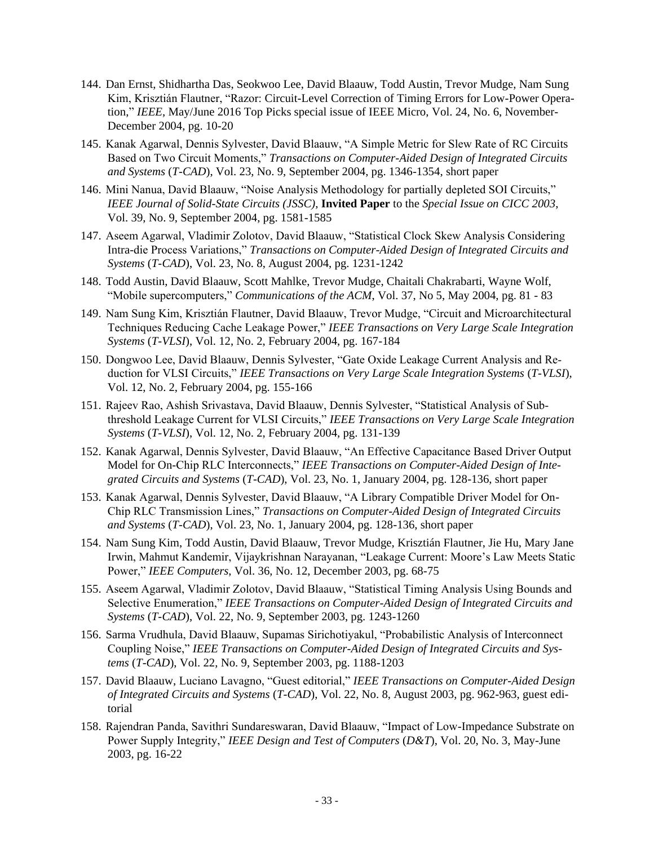- 144. Dan Ernst, Shidhartha Das, Seokwoo Lee, David Blaauw, Todd Austin, Trevor Mudge, Nam Sung Kim, Krisztián Flautner, "Razor: Circuit-Level Correction of Timing Errors for Low-Power Operation," *IEEE*, May/June 2016 Top Picks special issue of IEEE Micro, Vol. 24, No. 6, November-December 2004, pg. 10-20
- 145. Kanak Agarwal, Dennis Sylvester, David Blaauw, "A Simple Metric for Slew Rate of RC Circuits Based on Two Circuit Moments," *Transactions on Computer-Aided Design of Integrated Circuits and Systems* (*T-CAD*), Vol. 23, No. 9, September 2004, pg. 1346-1354, short paper
- 146. Mini Nanua, David Blaauw, "Noise Analysis Methodology for partially depleted SOI Circuits," *IEEE Journal of Solid-State Circuits (JSSC)*, **Invited Paper** to the *Special Issue on CICC 2003*, Vol. 39, No. 9, September 2004, pg. 1581-1585
- 147. Aseem Agarwal, Vladimir Zolotov, David Blaauw, "Statistical Clock Skew Analysis Considering Intra-die Process Variations," *Transactions on Computer-Aided Design of Integrated Circuits and Systems* (*T-CAD*), Vol. 23, No. 8, August 2004, pg. 1231-1242
- 148. Todd Austin, David Blaauw, Scott Mahlke, Trevor Mudge, Chaitali Chakrabarti, Wayne Wolf, "Mobile supercomputers," *Communications of the ACM*, Vol. 37, No 5, May 2004, pg. 81 - 83
- 149. Nam Sung Kim, Krisztián Flautner, David Blaauw, Trevor Mudge, "Circuit and Microarchitectural Techniques Reducing Cache Leakage Power," *IEEE Transactions on Very Large Scale Integration Systems* (*T-VLSI*), Vol. 12, No. 2, February 2004, pg. 167-184
- 150. Dongwoo Lee, David Blaauw, Dennis Sylvester, "Gate Oxide Leakage Current Analysis and Reduction for VLSI Circuits," *IEEE Transactions on Very Large Scale Integration Systems* (*T-VLSI*), Vol. 12, No. 2, February 2004, pg. 155-166
- 151. Rajeev Rao, Ashish Srivastava, David Blaauw, Dennis Sylvester, "Statistical Analysis of Subthreshold Leakage Current for VLSI Circuits," *IEEE Transactions on Very Large Scale Integration Systems* (*T-VLSI*), Vol. 12, No. 2, February 2004, pg. 131-139
- 152. Kanak Agarwal, Dennis Sylvester, David Blaauw, "An Effective Capacitance Based Driver Output Model for On-Chip RLC Interconnects," *IEEE Transactions on Computer-Aided Design of Integrated Circuits and Systems* (*T-CAD*), Vol. 23, No. 1, January 2004, pg. 128-136, short paper
- 153. Kanak Agarwal, Dennis Sylvester, David Blaauw, "A Library Compatible Driver Model for On-Chip RLC Transmission Lines," *Transactions on Computer-Aided Design of Integrated Circuits and Systems* (*T-CAD*), Vol. 23, No. 1, January 2004, pg. 128-136, short paper
- 154. Nam Sung Kim, Todd Austin, David Blaauw, Trevor Mudge, Krisztián Flautner, Jie Hu, Mary Jane Irwin, Mahmut Kandemir, Vijaykrishnan Narayanan, "Leakage Current: Moore's Law Meets Static Power," *IEEE Computers*, Vol. 36, No. 12, December 2003, pg. 68-75
- 155. Aseem Agarwal, Vladimir Zolotov, David Blaauw, "Statistical Timing Analysis Using Bounds and Selective Enumeration," *IEEE Transactions on Computer-Aided Design of Integrated Circuits and Systems* (*T-CAD*), Vol. 22, No. 9, September 2003, pg. 1243-1260
- 156. Sarma Vrudhula, David Blaauw, Supamas Sirichotiyakul, "Probabilistic Analysis of Interconnect Coupling Noise," *IEEE Transactions on Computer-Aided Design of Integrated Circuits and Systems* (*T-CAD*), Vol. 22, No. 9, September 2003, pg. 1188-1203
- 157. David Blaauw, Luciano Lavagno, "Guest editorial," *IEEE Transactions on Computer-Aided Design of Integrated Circuits and Systems* (*T-CAD*), Vol. 22, No. 8, August 2003, pg. 962-963, guest editorial
- 158. Rajendran Panda, Savithri Sundareswaran, David Blaauw, "Impact of Low-Impedance Substrate on Power Supply Integrity," *IEEE Design and Test of Computers* (*D&T*), Vol. 20, No. 3, May-June 2003, pg. 16-22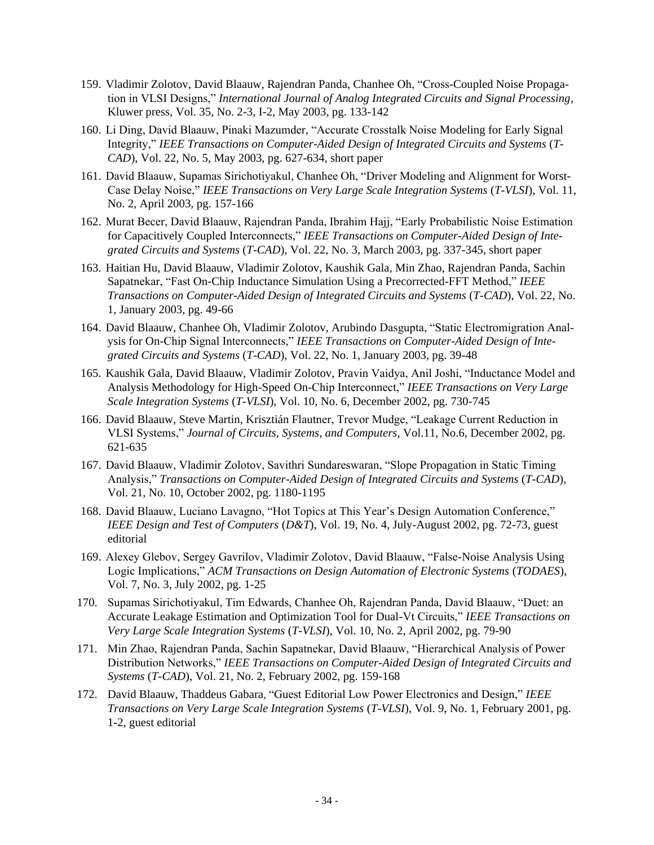- 159. Vladimir Zolotov, David Blaauw, Rajendran Panda, Chanhee Oh, "Cross-Coupled Noise Propagation in VLSI Designs," *International Journal of Analog Integrated Circuits and Signal Processing*, Kluwer press, Vol. 35, No. 2-3, I-2, May 2003, pg. 133-142
- 160. Li Ding, David Blaauw, Pinaki Mazumder, "Accurate Crosstalk Noise Modeling for Early Signal Integrity," *IEEE Transactions on Computer-Aided Design of Integrated Circuits and Systems* (*T-CAD*), Vol. 22, No. 5, May 2003, pg. 627-634, short paper
- 161. David Blaauw, Supamas Sirichotiyakul, Chanhee Oh, "Driver Modeling and Alignment for Worst-Case Delay Noise," *IEEE Transactions on Very Large Scale Integration Systems* (*T-VLSI*), Vol. 11, No. 2, April 2003, pg. 157-166
- 162. Murat Becer, David Blaauw, Rajendran Panda, Ibrahim Hajj, "Early Probabilistic Noise Estimation for Capacitively Coupled Interconnects," *IEEE Transactions on Computer-Aided Design of Integrated Circuits and Systems* (*T-CAD*), Vol. 22, No. 3, March 2003, pg. 337-345, short paper
- 163. Haitian Hu, David Blaauw, Vladimir Zolotov, Kaushik Gala, Min Zhao, Rajendran Panda, Sachin Sapatnekar, "Fast On-Chip Inductance Simulation Using a Precorrected-FFT Method," *IEEE Transactions on Computer-Aided Design of Integrated Circuits and Systems* (*T-CAD*), Vol. 22, No. 1, January 2003, pg. 49-66
- 164. David Blaauw, Chanhee Oh, Vladimir Zolotov, Arubindo Dasgupta, "Static Electromigration Analysis for On-Chip Signal Interconnects," *IEEE Transactions on Computer-Aided Design of Integrated Circuits and Systems* (*T-CAD*), Vol. 22, No. 1, January 2003, pg. 39-48
- 165. Kaushik Gala, David Blaauw, Vladimir Zolotov, Pravin Vaidya, Anil Joshi, "Inductance Model and Analysis Methodology for High-Speed On-Chip Interconnect," *IEEE Transactions on Very Large Scale Integration Systems* (*T-VLSI*), Vol. 10, No. 6, December 2002, pg. 730-745
- 166. David Blaauw, Steve Martin, Krisztián Flautner, Trevor Mudge, "Leakage Current Reduction in VLSI Systems," *Journal of Circuits, Systems, and Computers*, Vol.11, No.6, December 2002, pg. 621-635
- 167. David Blaauw, Vladimir Zolotov, Savithri Sundareswaran, "Slope Propagation in Static Timing Analysis," *Transactions on Computer-Aided Design of Integrated Circuits and Systems* (*T-CAD*), Vol. 21, No. 10, October 2002, pg. 1180-1195
- 168. David Blaauw, Luciano Lavagno, "Hot Topics at This Year's Design Automation Conference," *IEEE Design and Test of Computers* (*D&T*), Vol. 19, No. 4, July-August 2002, pg. 72-73, guest editorial
- 169. Alexey Glebov, Sergey Gavrilov, Vladimir Zolotov, David Blaauw, "False-Noise Analysis Using Logic Implications," *ACM Transactions on Design Automation of Electronic Systems* (*TODAES*), Vol. 7, No. 3, July 2002, pg. 1-25
- 170. Supamas Sirichotiyakul, Tim Edwards, Chanhee Oh, Rajendran Panda, David Blaauw, "Duet: an Accurate Leakage Estimation and Optimization Tool for Dual-Vt Circuits," *IEEE Transactions on Very Large Scale Integration Systems* (*T-VLSI*), Vol. 10, No. 2, April 2002, pg. 79-90
- 171. Min Zhao, Rajendran Panda, Sachin Sapatnekar, David Blaauw, "Hierarchical Analysis of Power Distribution Networks," *IEEE Transactions on Computer-Aided Design of Integrated Circuits and Systems* (*T-CAD*), Vol. 21, No. 2, February 2002, pg. 159-168
- 172. David Blaauw, Thaddeus Gabara*,* "Guest Editorial Low Power Electronics and Design," *IEEE Transactions on Very Large Scale Integration Systems* (*T-VLSI*), Vol. 9, No. 1, February 2001, pg. 1-2, guest editorial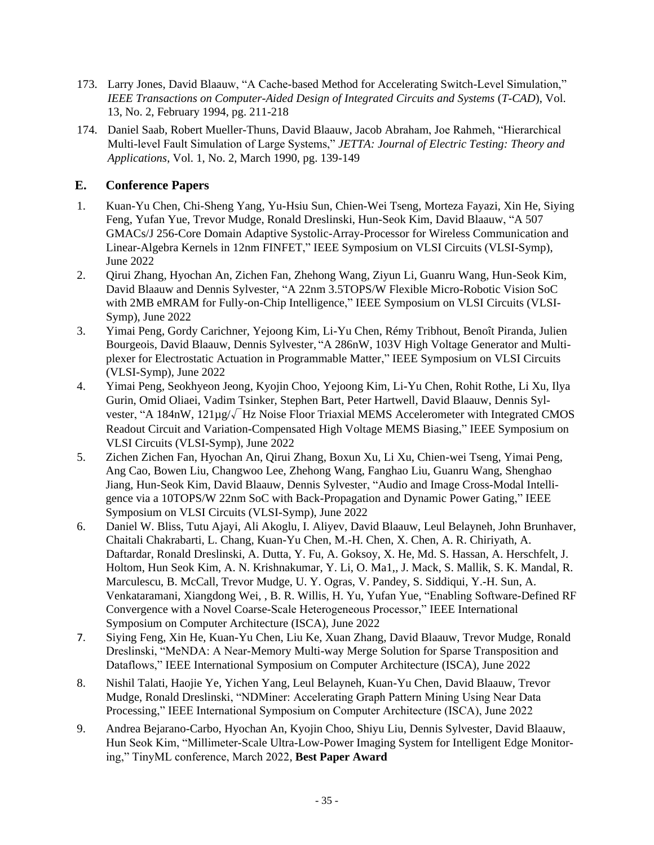- 173. Larry Jones, David Blaauw, "A Cache-based Method for Accelerating Switch-Level Simulation," *IEEE Transactions on Computer-Aided Design of Integrated Circuits and Systems* (*T-CAD*), Vol. 13, No. 2, February 1994, pg. 211-218
- 174. Daniel Saab, Robert Mueller-Thuns, David Blaauw, Jacob Abraham, Joe Rahmeh, "Hierarchical Multi-level Fault Simulation of Large Systems," *JETTA: Journal of Electric Testing: Theory and Applications*, Vol. 1, No. 2, March 1990, pg. 139-149

#### **E. Conference Papers**

- 1. Kuan-Yu Chen, Chi-Sheng Yang, Yu-Hsiu Sun, Chien-Wei Tseng, Morteza Fayazi, Xin He, Siying Feng, Yufan Yue, Trevor Mudge, Ronald Dreslinski, Hun-Seok Kim, David Blaauw, "A 507 GMACs/J 256-Core Domain Adaptive Systolic-Array-Processor for Wireless Communication and Linear-Algebra Kernels in 12nm FINFET," IEEE Symposium on VLSI Circuits (VLSI-Symp), June 2022
- 2. Qirui Zhang, Hyochan An, Zichen Fan, Zhehong Wang, Ziyun Li, Guanru Wang, Hun-Seok Kim, David Blaauw and Dennis Sylvester, "A 22nm 3.5TOPS/W Flexible Micro-Robotic Vision SoC with 2MB eMRAM for Fully-on-Chip Intelligence," IEEE Symposium on VLSI Circuits (VLSI-Symp), June 2022
- 3. Yimai Peng, Gordy Carichner, Yejoong Kim, Li-Yu Chen, Rémy Tribhout, Benoît Piranda, Julien Bourgeois, David Blaauw, Dennis Sylvester, "A 286nW, 103V High Voltage Generator and Multiplexer for Electrostatic Actuation in Programmable Matter," IEEE Symposium on VLSI Circuits (VLSI-Symp), June 2022
- 4. Yimai Peng, Seokhyeon Jeong, Kyojin Choo, Yejoong Kim, Li-Yu Chen, Rohit Rothe, Li Xu, Ilya Gurin, Omid Oliaei, Vadim Tsinker, Stephen Bart, Peter Hartwell, David Blaauw, Dennis Sylvester, "A 184nW, 121μg/√Hz Noise Floor Triaxial MEMS Accelerometer with Integrated CMOS Readout Circuit and Variation-Compensated High Voltage MEMS Biasing," IEEE Symposium on VLSI Circuits (VLSI-Symp), June 2022
- 5. Zichen Zichen Fan, Hyochan An, Qirui Zhang, Boxun Xu, Li Xu, Chien-wei Tseng, Yimai Peng, Ang Cao, Bowen Liu, Changwoo Lee, Zhehong Wang, Fanghao Liu, Guanru Wang, Shenghao Jiang, Hun-Seok Kim, David Blaauw, Dennis Sylvester, "Audio and Image Cross-Modal Intelligence via a 10TOPS/W 22nm SoC with Back-Propagation and Dynamic Power Gating," IEEE Symposium on VLSI Circuits (VLSI-Symp), June 2022
- 6. Daniel W. Bliss, Tutu Ajayi, Ali Akoglu, I. Aliyev, David Blaauw, Leul Belayneh, John Brunhaver, Chaitali Chakrabarti, L. Chang, Kuan-Yu Chen, M.-H. Chen, X. Chen, A. R. Chiriyath, A. Daftardar, Ronald Dreslinski, A. Dutta, Y. Fu, A. Goksoy, X. He, Md. S. Hassan, A. Herschfelt, J. Holtom, Hun Seok Kim, A. N. Krishnakumar, Y. Li, O. Ma1,, J. Mack, S. Mallik, S. K. Mandal, R. Marculescu, B. McCall, Trevor Mudge, U. Y. Ogras, V. Pandey, S. Siddiqui, Y.-H. Sun, A. Venkataramani, Xiangdong Wei, , B. R. Willis, H. Yu, Yufan Yue, "Enabling Software-Defined RF Convergence with a Novel Coarse-Scale Heterogeneous Processor," IEEE International Symposium on Computer Architecture (ISCA), June 2022
- 7. Siying Feng, Xin He, Kuan-Yu Chen, Liu Ke, Xuan Zhang, David Blaauw, Trevor Mudge, Ronald Dreslinski, "MeNDA: A Near-Memory Multi-way Merge Solution for Sparse Transposition and Dataflows," IEEE International Symposium on Computer Architecture (ISCA), June 2022
- 8. Nishil Talati, Haojie Ye, Yichen Yang, Leul Belayneh, Kuan-Yu Chen, David Blaauw, Trevor Mudge, Ronald Dreslinski, "NDMiner: Accelerating Graph Pattern Mining Using Near Data Processing," IEEE International Symposium on Computer Architecture (ISCA), June 2022
- 9. Andrea Bejarano-Carbo, Hyochan An, Kyojin Choo, Shiyu Liu, Dennis Sylvester, David Blaauw, Hun Seok Kim, "Millimeter-Scale Ultra-Low-Power Imaging System for Intelligent Edge Monitoring," TinyML conference, March 2022, **Best Paper Award**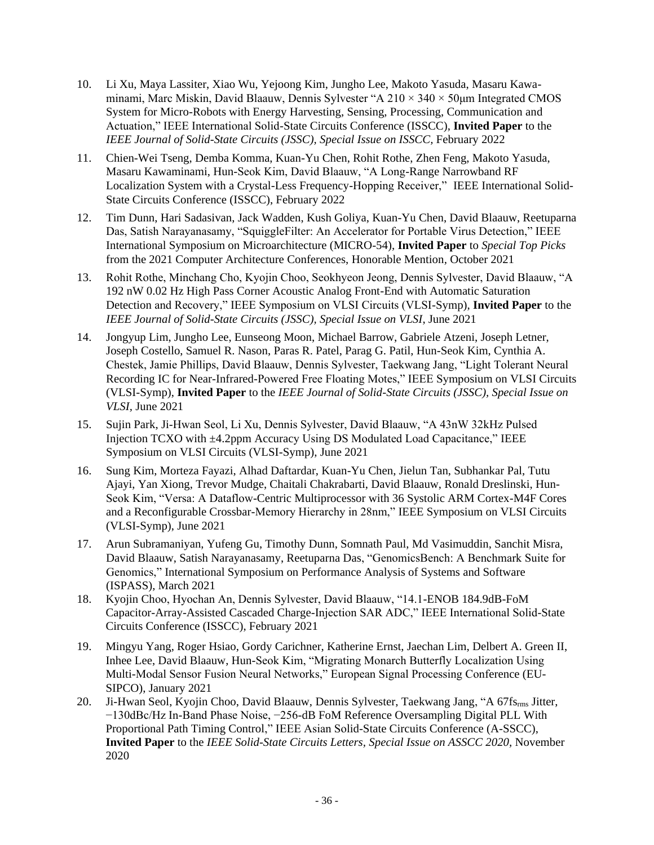- 10. Li Xu, Maya Lassiter, Xiao Wu, Yejoong Kim, Jungho Lee, Makoto Yasuda, Masaru Kawaminami, Marc Miskin, David Blaauw, Dennis Sylvester "A  $210 \times 340 \times 50$ um Integrated CMOS System for Micro-Robots with Energy Harvesting, Sensing, Processing, Communication and Actuation," IEEE International Solid-State Circuits Conference (ISSCC), **Invited Paper** to the *IEEE Journal of Solid-State Circuits (JSSC), Special Issue on ISSCC,* February 2022
- 11. Chien-Wei Tseng, Demba Komma, Kuan-Yu Chen, Rohit Rothe, Zhen Feng, Makoto Yasuda, Masaru Kawaminami, Hun-Seok Kim, David Blaauw, "A Long-Range Narrowband RF Localization System with a Crystal-Less Frequency-Hopping Receiver," IEEE International Solid-State Circuits Conference (ISSCC), February 2022
- 12. Tim Dunn, Hari Sadasivan, Jack Wadden, Kush Goliya, Kuan-Yu Chen, David Blaauw, Reetuparna Das, Satish Narayanasamy, "SquiggleFilter: An Accelerator for Portable Virus Detection," IEEE International Symposium on Microarchitecture (MICRO-54), **Invited Paper** to *Special Top Picks* from the 2021 Computer Architecture Conferences, Honorable Mention*,* October 2021
- 13. Rohit Rothe, Minchang Cho, Kyojin Choo, Seokhyeon Jeong, Dennis Sylvester, David Blaauw, "A 192 nW 0.02 Hz High Pass Corner Acoustic Analog Front-End with Automatic Saturation Detection and Recovery," IEEE Symposium on VLSI Circuits (VLSI-Symp), **Invited Paper** to the *IEEE Journal of Solid-State Circuits (JSSC), Special Issue on VLSI*, June 2021
- 14. Jongyup Lim, Jungho Lee, Eunseong Moon, Michael Barrow, Gabriele Atzeni, Joseph Letner, Joseph Costello, Samuel R. Nason, Paras R. Patel, Parag G. Patil, Hun-Seok Kim, Cynthia A. Chestek, Jamie Phillips, David Blaauw, Dennis Sylvester, Taekwang Jang, "Light Tolerant Neural Recording IC for Near-Infrared-Powered Free Floating Motes," IEEE Symposium on VLSI Circuits (VLSI-Symp), **Invited Paper** to the *IEEE Journal of Solid-State Circuits (JSSC), Special Issue on VLSI,* June 2021
- 15. Sujin Park, Ji-Hwan Seol, Li Xu, Dennis Sylvester, David Blaauw, "A 43nW 32kHz Pulsed Injection TCXO with ±4.2ppm Accuracy Using DS Modulated Load Capacitance," IEEE Symposium on VLSI Circuits (VLSI-Symp), June 2021
- 16. Sung Kim, Morteza Fayazi, Alhad Daftardar, Kuan-Yu Chen, Jielun Tan, Subhankar Pal, Tutu Ajayi, Yan Xiong, Trevor Mudge, Chaitali Chakrabarti, David Blaauw, Ronald Dreslinski, Hun-Seok Kim, "Versa: A Dataflow-Centric Multiprocessor with 36 Systolic ARM Cortex-M4F Cores and a Reconfigurable Crossbar-Memory Hierarchy in 28nm," IEEE Symposium on VLSI Circuits (VLSI-Symp), June 2021
- 17. Arun Subramaniyan, Yufeng Gu, Timothy Dunn, Somnath Paul, Md Vasimuddin, Sanchit Misra, David Blaauw, Satish Narayanasamy, Reetuparna Das, "GenomicsBench: A Benchmark Suite for Genomics," International Symposium on Performance Analysis of Systems and Software (ISPASS), March 2021
- 18. Kyojin Choo, Hyochan An, Dennis Sylvester, David Blaauw, "14.1-ENOB 184.9dB-FoM Capacitor-Array-Assisted Cascaded Charge-Injection SAR ADC," IEEE International Solid-State Circuits Conference (ISSCC), February 2021
- 19. Mingyu Yang, Roger Hsiao, Gordy Carichner, Katherine Ernst, Jaechan Lim, Delbert A. Green II, Inhee Lee, David Blaauw, Hun-Seok Kim, "Migrating Monarch Butterfly Localization Using Multi-Modal Sensor Fusion Neural Networks," European Signal Processing Conference (EU-SIPCO), January 2021
- 20. Ji-Hwan Seol, Kyojin Choo, David Blaauw, Dennis Sylvester, Taekwang Jang, "A 67fsrms Jitter, −130dBc/Hz In-Band Phase Noise, −256-dB FoM Reference Oversampling Digital PLL With Proportional Path Timing Control," IEEE Asian Solid-State Circuits Conference (A-SSCC), **Invited Paper** to the *IEEE Solid-State Circuits Letters, Special Issue on ASSCC 2020,* November 2020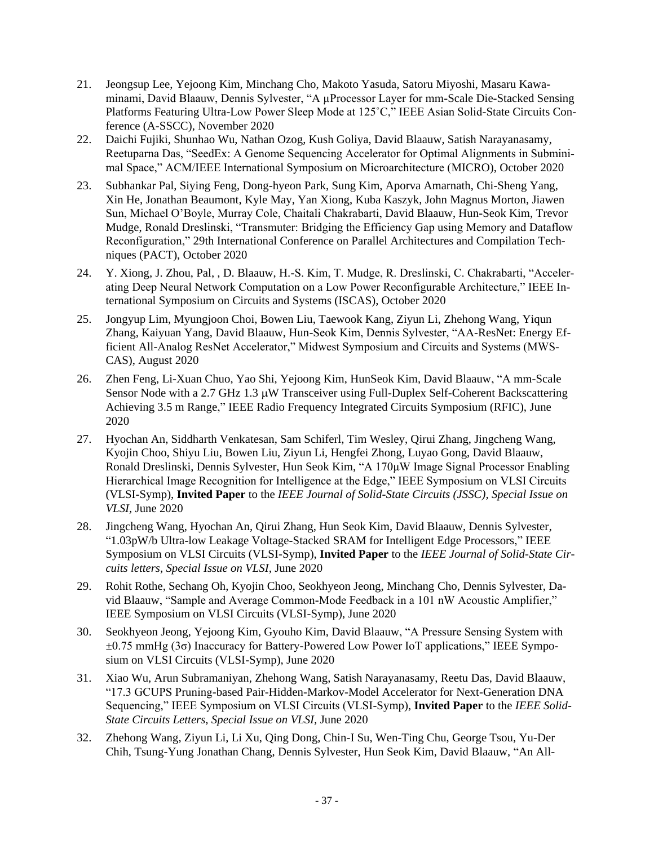- 21. Jeongsup Lee, Yejoong Kim, Minchang Cho, Makoto Yasuda, Satoru Miyoshi, Masaru Kawaminami, David Blaauw, Dennis Sylvester, "A µProcessor Layer for mm-Scale Die-Stacked Sensing Platforms Featuring Ultra-Low Power Sleep Mode at 125˚C," IEEE Asian Solid-State Circuits Conference (A-SSCC), November 2020
- 22. Daichi Fujiki, Shunhao Wu, Nathan Ozog, Kush Goliya, David Blaauw, Satish Narayanasamy, Reetuparna Das, "SeedEx: A Genome Sequencing Accelerator for Optimal Alignments in Subminimal Space," ACM/IEEE International Symposium on Microarchitecture (MICRO), October 2020
- 23. Subhankar Pal, Siying Feng, Dong-hyeon Park, Sung Kim, Aporva Amarnath, Chi-Sheng Yang, Xin He, Jonathan Beaumont, Kyle May, Yan Xiong, Kuba Kaszyk, John Magnus Morton, Jiawen Sun, Michael O'Boyle, Murray Cole, Chaitali Chakrabarti, David Blaauw, Hun-Seok Kim, Trevor Mudge, Ronald Dreslinski, "Transmuter: Bridging the Efficiency Gap using Memory and Dataflow Reconfiguration," 29th International Conference on Parallel Architectures and Compilation Techniques (PACT), October 2020
- 24. Y. Xiong, J. Zhou, Pal, , D. Blaauw, H.-S. Kim, T. Mudge, R. Dreslinski, C. Chakrabarti, "Accelerating Deep Neural Network Computation on a Low Power Reconfigurable Architecture," IEEE International Symposium on Circuits and Systems (ISCAS), October 2020
- 25. Jongyup Lim, Myungjoon Choi, Bowen Liu, Taewook Kang, Ziyun Li, Zhehong Wang, Yiqun Zhang, Kaiyuan Yang, David Blaauw, Hun-Seok Kim, Dennis Sylvester, "AA-ResNet: Energy Efficient All-Analog ResNet Accelerator," Midwest Symposium and Circuits and Systems (MWS-CAS), August 2020
- 26. Zhen Feng, Li-Xuan Chuo, Yao Shi, Yejoong Kim, HunSeok Kim, David Blaauw, "A mm-Scale Sensor Node with a 2.7 GHz 1.3  $\mu$ W Transceiver using Full-Duplex Self-Coherent Backscattering Achieving 3.5 m Range," IEEE Radio Frequency Integrated Circuits Symposium (RFIC), June 2020
- 27. Hyochan An, Siddharth Venkatesan, Sam Schiferl, Tim Wesley, Qirui Zhang, Jingcheng Wang, Kyojin Choo, Shiyu Liu, Bowen Liu, Ziyun Li, Hengfei Zhong, Luyao Gong, David Blaauw, Ronald Dreslinski, Dennis Sylvester, Hun Seok Kim, "A 170μW Image Signal Processor Enabling Hierarchical Image Recognition for Intelligence at the Edge," IEEE Symposium on VLSI Circuits (VLSI-Symp), **Invited Paper** to the *IEEE Journal of Solid-State Circuits (JSSC), Special Issue on VLSI,* June 2020
- 28. Jingcheng Wang, Hyochan An, Qirui Zhang, Hun Seok Kim, David Blaauw, Dennis Sylvester, "1.03pW/b Ultra-low Leakage Voltage-Stacked SRAM for Intelligent Edge Processors," IEEE Symposium on VLSI Circuits (VLSI-Symp), **Invited Paper** to the *IEEE Journal of Solid-State Circuits letters, Special Issue on VLSI,* June 2020
- 29. Rohit Rothe, Sechang Oh, Kyojin Choo, Seokhyeon Jeong, Minchang Cho, Dennis Sylvester, David Blaauw, "Sample and Average Common-Mode Feedback in a 101 nW Acoustic Amplifier," IEEE Symposium on VLSI Circuits (VLSI-Symp), June 2020
- 30. Seokhyeon Jeong, Yejoong Kim, Gyouho Kim, David Blaauw, "A Pressure Sensing System with ±0.75 mmHg (3σ) Inaccuracy for Battery-Powered Low Power IoT applications," IEEE Symposium on VLSI Circuits (VLSI-Symp), June 2020
- 31. Xiao Wu, Arun Subramaniyan, Zhehong Wang, Satish Narayanasamy, Reetu Das, David Blaauw, "17.3 GCUPS Pruning-based Pair-Hidden-Markov-Model Accelerator for Next-Generation DNA Sequencing," IEEE Symposium on VLSI Circuits (VLSI-Symp), **Invited Paper** to the *IEEE Solid-State Circuits Letters, Special Issue on VLSI,* June 2020
- 32. Zhehong Wang, Ziyun Li, Li Xu, Qing Dong, Chin-I Su, Wen-Ting Chu, George Tsou, Yu-Der Chih, Tsung-Yung Jonathan Chang, Dennis Sylvester, Hun Seok Kim, David Blaauw, "An All-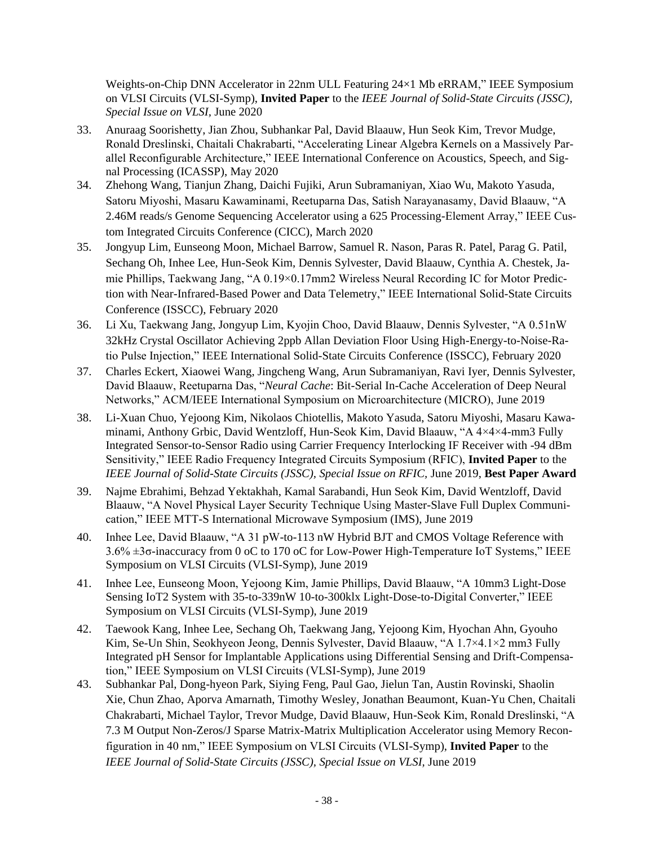Weights-on-Chip DNN Accelerator in 22nm ULL Featuring 24×1 Mb eRRAM," IEEE Symposium on VLSI Circuits (VLSI-Symp), **Invited Paper** to the *IEEE Journal of Solid-State Circuits (JSSC), Special Issue on VLSI,* June 2020

- 33. Anuraag Soorishetty, Jian Zhou, Subhankar Pal, David Blaauw, Hun Seok Kim, Trevor Mudge, Ronald Dreslinski, Chaitali Chakrabarti, "Accelerating Linear Algebra Kernels on a Massively Parallel Reconfigurable Architecture," IEEE International Conference on Acoustics, Speech, and Signal Processing (ICASSP), May 2020
- 34. Zhehong Wang, Tianjun Zhang, Daichi Fujiki, Arun Subramaniyan, Xiao Wu, Makoto Yasuda, Satoru Miyoshi, Masaru Kawaminami, Reetuparna Das, Satish Narayanasamy, David Blaauw, "A 2.46M reads/s Genome Sequencing Accelerator using a 625 Processing-Element Array," IEEE Custom Integrated Circuits Conference (CICC), March 2020
- 35. Jongyup Lim, Eunseong Moon, Michael Barrow, Samuel R. Nason, Paras R. Patel, Parag G. Patil, Sechang Oh, Inhee Lee, Hun-Seok Kim, Dennis Sylvester, David Blaauw, Cynthia A. Chestek, Jamie Phillips, Taekwang Jang, "A 0.19×0.17mm2 Wireless Neural Recording IC for Motor Prediction with Near-Infrared-Based Power and Data Telemetry," IEEE International Solid-State Circuits Conference (ISSCC), February 2020
- 36. Li Xu, Taekwang Jang, Jongyup Lim, Kyojin Choo, David Blaauw, Dennis Sylvester, "A 0.51nW 32kHz Crystal Oscillator Achieving 2ppb Allan Deviation Floor Using High-Energy-to-Noise-Ratio Pulse Injection," IEEE International Solid-State Circuits Conference (ISSCC), February 2020
- 37. Charles Eckert, Xiaowei Wang, Jingcheng Wang, Arun Subramaniyan, Ravi Iyer, Dennis Sylvester, David Blaauw, Reetuparna Das, "*Neural Cache*: Bit-Serial In-Cache Acceleration of Deep Neural Networks," ACM/IEEE International Symposium on Microarchitecture (MICRO), June 2019
- 38. Li-Xuan Chuo, Yejoong Kim, Nikolaos Chiotellis, Makoto Yasuda, Satoru Miyoshi, Masaru Kawaminami, Anthony Grbic, David Wentzloff, Hun-Seok Kim, David Blaauw, "A 4×4×4-mm3 Fully Integrated Sensor-to-Sensor Radio using Carrier Frequency Interlocking IF Receiver with -94 dBm Sensitivity," IEEE Radio Frequency Integrated Circuits Symposium (RFIC), **Invited Paper** to the *IEEE Journal of Solid-State Circuits (JSSC), Special Issue on RFIC,* June 2019, **Best Paper Award**
- 39. Najme Ebrahimi, Behzad Yektakhah, Kamal Sarabandi, Hun Seok Kim, David Wentzloff, David Blaauw, "A Novel Physical Layer Security Technique Using Master-Slave Full Duplex Communication," IEEE MTT-S International Microwave Symposium (IMS), June 2019
- 40. Inhee Lee, David Blaauw, "A 31 pW-to-113 nW Hybrid BJT and CMOS Voltage Reference with 3.6% ±3σ-inaccuracy from 0 oC to 170 oC for Low-Power High-Temperature IoT Systems," IEEE Symposium on VLSI Circuits (VLSI-Symp), June 2019
- 41. Inhee Lee, Eunseong Moon, Yejoong Kim, Jamie Phillips, David Blaauw, "A 10mm3 Light-Dose Sensing IoT2 System with 35-to-339nW 10-to-300klx Light-Dose-to-Digital Converter," IEEE Symposium on VLSI Circuits (VLSI-Symp), June 2019
- 42. Taewook Kang, Inhee Lee, Sechang Oh, Taekwang Jang, Yejoong Kim, Hyochan Ahn, Gyouho Kim, Se-Un Shin, Seokhyeon Jeong, Dennis Sylvester, David Blaauw, "A 1.7×4.1×2 mm3 Fully Integrated pH Sensor for Implantable Applications using Differential Sensing and Drift-Compensation," IEEE Symposium on VLSI Circuits (VLSI-Symp), June 2019
- 43. Subhankar Pal, Dong-hyeon Park, Siying Feng, Paul Gao, Jielun Tan, Austin Rovinski, Shaolin Xie, Chun Zhao, Aporva Amarnath, Timothy Wesley, Jonathan Beaumont, Kuan-Yu Chen, Chaitali Chakrabarti, Michael Taylor, Trevor Mudge, David Blaauw, Hun-Seok Kim, Ronald Dreslinski, "A 7.3 M Output Non-Zeros/J Sparse Matrix-Matrix Multiplication Accelerator using Memory Reconfiguration in 40 nm," IEEE Symposium on VLSI Circuits (VLSI-Symp), **Invited Paper** to the *IEEE Journal of Solid-State Circuits (JSSC), Special Issue on VLSI,* June 2019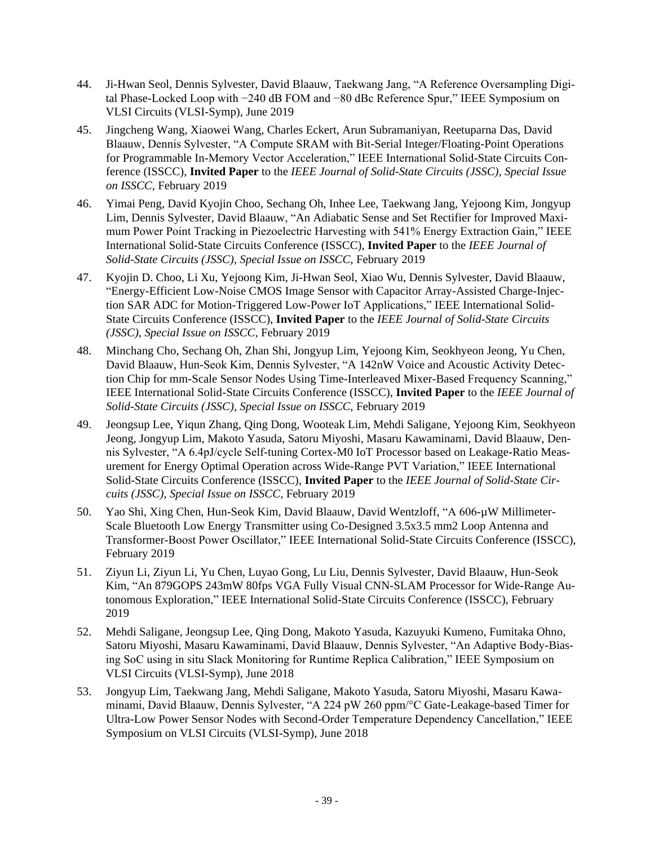- 44. Ji-Hwan Seol, Dennis Sylvester, David Blaauw, Taekwang Jang, "A Reference Oversampling Digital Phase-Locked Loop with −240 dB FOM and −80 dBc Reference Spur," IEEE Symposium on VLSI Circuits (VLSI-Symp), June 2019
- 45. Jingcheng Wang, Xiaowei Wang, Charles Eckert, Arun Subramaniyan, Reetuparna Das, David Blaauw, Dennis Sylvester, "A Compute SRAM with Bit-Serial Integer/Floating-Point Operations for Programmable In-Memory Vector Acceleration," IEEE International Solid-State Circuits Conference (ISSCC), **Invited Paper** to the *IEEE Journal of Solid-State Circuits (JSSC), Special Issue on ISSCC,* February 2019
- 46. Yimai Peng, David Kyojin Choo, Sechang Oh, Inhee Lee, Taekwang Jang, Yejoong Kim, Jongyup Lim, Dennis Sylvester, David Blaauw, "An Adiabatic Sense and Set Rectifier for Improved Maximum Power Point Tracking in Piezoelectric Harvesting with 541% Energy Extraction Gain," IEEE International Solid-State Circuits Conference (ISSCC), **Invited Paper** to the *IEEE Journal of Solid-State Circuits (JSSC), Special Issue on ISSCC,* February 2019
- 47. Kyojin D. Choo, Li Xu, Yejoong Kim, Ji-Hwan Seol, Xiao Wu, Dennis Sylvester, David Blaauw, "Energy-Efficient Low-Noise CMOS Image Sensor with Capacitor Array-Assisted Charge-Injection SAR ADC for Motion-Triggered Low-Power IoT Applications," IEEE International Solid-State Circuits Conference (ISSCC), **Invited Paper** to the *IEEE Journal of Solid-State Circuits (JSSC), Special Issue on ISSCC,* February 2019
- 48. Minchang Cho, Sechang Oh, Zhan Shi, Jongyup Lim, Yejoong Kim, Seokhyeon Jeong, Yu Chen, David Blaauw, Hun-Seok Kim, Dennis Sylvester, "A 142nW Voice and Acoustic Activity Detection Chip for mm-Scale Sensor Nodes Using Time-Interleaved Mixer-Based Frequency Scanning," IEEE International Solid-State Circuits Conference (ISSCC), **Invited Paper** to the *IEEE Journal of Solid-State Circuits (JSSC), Special Issue on ISSCC,* February 2019
- 49. Jeongsup Lee, Yiqun Zhang, Qing Dong, Wooteak Lim, Mehdi Saligane, Yejoong Kim, Seokhyeon Jeong, Jongyup Lim, Makoto Yasuda, Satoru Miyoshi, Masaru Kawaminami, David Blaauw, Dennis Sylvester, "A 6.4pJ/cycle Self-tuning Cortex-M0 IoT Processor based on Leakage-Ratio Measurement for Energy Optimal Operation across Wide-Range PVT Variation," IEEE International Solid-State Circuits Conference (ISSCC), **Invited Paper** to the *IEEE Journal of Solid-State Circuits (JSSC), Special Issue on ISSCC,* February 2019
- 50. Yao Shi, Xing Chen, Hun-Seok Kim, David Blaauw, David Wentzloff, "A 606-µW Millimeter-Scale Bluetooth Low Energy Transmitter using Co-Designed 3.5x3.5 mm2 Loop Antenna and Transformer-Boost Power Oscillator," IEEE International Solid-State Circuits Conference (ISSCC), February 2019
- 51. Ziyun Li, Ziyun Li, Yu Chen, Luyao Gong, Lu Liu, Dennis Sylvester, David Blaauw, Hun-Seok Kim, "An 879GOPS 243mW 80fps VGA Fully Visual CNN-SLAM Processor for Wide-Range Autonomous Exploration," IEEE International Solid-State Circuits Conference (ISSCC), February 2019
- 52. Mehdi Saligane, Jeongsup Lee, Qing Dong, Makoto Yasuda, Kazuyuki Kumeno, Fumitaka Ohno, Satoru Miyoshi, Masaru Kawaminami, David Blaauw, Dennis Sylvester, "An Adaptive Body-Biasing SoC using in situ Slack Monitoring for Runtime Replica Calibration," IEEE Symposium on VLSI Circuits (VLSI-Symp), June 2018
- 53. Jongyup Lim, Taekwang Jang, Mehdi Saligane, Makoto Yasuda, Satoru Miyoshi, Masaru Kawaminami, David Blaauw, Dennis Sylvester, "A 224 pW 260 ppm/°C Gate-Leakage-based Timer for Ultra-Low Power Sensor Nodes with Second-Order Temperature Dependency Cancellation," IEEE Symposium on VLSI Circuits (VLSI-Symp), June 2018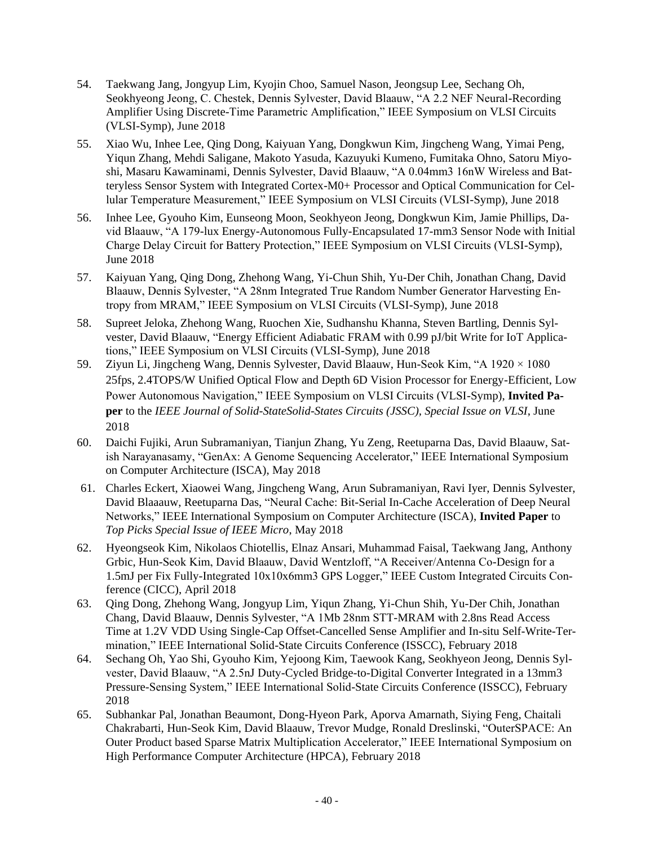- 54. Taekwang Jang, Jongyup Lim, Kyojin Choo, Samuel Nason, Jeongsup Lee, Sechang Oh, Seokhyeong Jeong, C. Chestek, Dennis Sylvester, David Blaauw, "A 2.2 NEF Neural-Recording Amplifier Using Discrete-Time Parametric Amplification," IEEE Symposium on VLSI Circuits (VLSI-Symp), June 2018
- 55. Xiao Wu, Inhee Lee, Qing Dong, Kaiyuan Yang, Dongkwun Kim, Jingcheng Wang, Yimai Peng, Yiqun Zhang, Mehdi Saligane, Makoto Yasuda, Kazuyuki Kumeno, Fumitaka Ohno, Satoru Miyoshi, Masaru Kawaminami, Dennis Sylvester, David Blaauw, "A 0.04mm3 16nW Wireless and Batteryless Sensor System with Integrated Cortex-M0+ Processor and Optical Communication for Cellular Temperature Measurement," IEEE Symposium on VLSI Circuits (VLSI-Symp), June 2018
- 56. Inhee Lee, Gyouho Kim, Eunseong Moon, Seokhyeon Jeong, Dongkwun Kim, Jamie Phillips, David Blaauw, "A 179-lux Energy-Autonomous Fully-Encapsulated 17-mm3 Sensor Node with Initial Charge Delay Circuit for Battery Protection," IEEE Symposium on VLSI Circuits (VLSI-Symp), June 2018
- 57. Kaiyuan Yang, Qing Dong, Zhehong Wang, Yi-Chun Shih, Yu-Der Chih, Jonathan Chang, David Blaauw, Dennis Sylvester, "A 28nm Integrated True Random Number Generator Harvesting Entropy from MRAM," IEEE Symposium on VLSI Circuits (VLSI-Symp), June 2018
- 58. Supreet Jeloka, Zhehong Wang, Ruochen Xie, Sudhanshu Khanna, Steven Bartling, Dennis Sylvester, David Blaauw, "Energy Efficient Adiabatic FRAM with 0.99 pJ/bit Write for IoT Applications," IEEE Symposium on VLSI Circuits (VLSI-Symp), June 2018
- 59. Ziyun Li, Jingcheng Wang, Dennis Sylvester, David Blaauw, Hun-Seok Kim, "A 1920 × 1080 25fps, 2.4TOPS/W Unified Optical Flow and Depth 6D Vision Processor for Energy-Efficient, Low Power Autonomous Navigation," IEEE Symposium on VLSI Circuits (VLSI-Symp), **Invited Paper** to the *IEEE Journal of Solid-StateSolid-States Circuits (JSSC), Special Issue on VLSI*, June 2018
- 60. Daichi Fujiki, Arun Subramaniyan, Tianjun Zhang, Yu Zeng, Reetuparna Das, David Blaauw, Satish Narayanasamy, "GenAx: A Genome Sequencing Accelerator," IEEE International Symposium on Computer Architecture (ISCA), May 2018
- 61. Charles Eckert, Xiaowei Wang, Jingcheng Wang, Arun Subramaniyan, Ravi Iyer, Dennis Sylvester, David Blaaauw, Reetuparna Das, "Neural Cache: Bit-Serial In-Cache Acceleration of Deep Neural Networks," IEEE International Symposium on Computer Architecture (ISCA), **Invited Paper** to *Top Picks Special Issue of IEEE Micro*, May 2018
- 62. Hyeongseok Kim, Nikolaos Chiotellis, Elnaz Ansari, Muhammad Faisal, Taekwang Jang, Anthony Grbic, Hun-Seok Kim, David Blaauw, David Wentzloff, "A Receiver/Antenna Co-Design for a 1.5mJ per Fix Fully-Integrated 10x10x6mm3 GPS Logger," IEEE Custom Integrated Circuits Conference (CICC), April 2018
- 63. Qing Dong, Zhehong Wang, Jongyup Lim, Yiqun Zhang, Yi-Chun Shih, Yu-Der Chih, Jonathan Chang, David Blaauw, Dennis Sylvester, "A 1Mb 28nm STT-MRAM with 2.8ns Read Access Time at 1.2V VDD Using Single-Cap Offset-Cancelled Sense Amplifier and In-situ Self-Write-Termination," IEEE International Solid-State Circuits Conference (ISSCC), February 2018
- 64. Sechang Oh, Yao Shi, Gyouho Kim, Yejoong Kim, Taewook Kang, Seokhyeon Jeong, Dennis Sylvester, David Blaauw, "A 2.5nJ Duty-Cycled Bridge-to-Digital Converter Integrated in a 13mm3 Pressure-Sensing System," IEEE International Solid-State Circuits Conference (ISSCC), February 2018
- 65. Subhankar Pal, Jonathan Beaumont, Dong-Hyeon Park, Aporva Amarnath, Siying Feng, Chaitali Chakrabarti, Hun-Seok Kim, David Blaauw, Trevor Mudge, Ronald Dreslinski, "OuterSPACE: An Outer Product based Sparse Matrix Multiplication Accelerator," IEEE International Symposium on High Performance Computer Architecture (HPCA), February 2018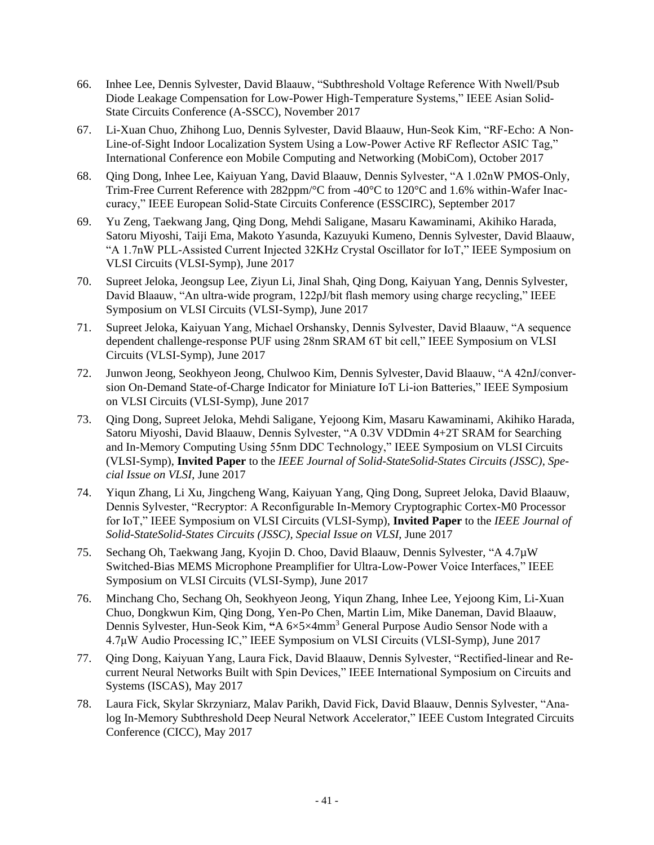- 66. Inhee Lee, Dennis Sylvester, David Blaauw, "Subthreshold Voltage Reference With Nwell/Psub Diode Leakage Compensation for Low-Power High-Temperature Systems," IEEE Asian Solid-State Circuits Conference (A-SSCC), November 2017
- 67. Li-Xuan Chuo, Zhihong Luo, Dennis Sylvester, David Blaauw, Hun-Seok Kim, "RF-Echo: A Non-Line-of-Sight Indoor Localization System Using a Low-Power Active RF Reflector ASIC Tag," International Conference eon Mobile Computing and Networking (MobiCom), October 2017
- 68. Qing Dong, Inhee Lee, Kaiyuan Yang, David Blaauw, Dennis Sylvester, "A 1.02nW PMOS-Only, Trim-Free Current Reference with 282ppm/°C from -40°C to 120°C and 1.6% within-Wafer Inaccuracy," IEEE European Solid-State Circuits Conference (ESSCIRC), September 2017
- 69. Yu Zeng, Taekwang Jang, Qing Dong, Mehdi Saligane, Masaru Kawaminami, Akihiko Harada, Satoru Miyoshi, Taiji Ema, Makoto Yasunda, Kazuyuki Kumeno, Dennis Sylvester, David Blaauw, "A 1.7nW PLL-Assisted Current Injected 32KHz Crystal Oscillator for IoT," IEEE Symposium on VLSI Circuits (VLSI-Symp), June 2017
- 70. Supreet Jeloka, Jeongsup Lee, Ziyun Li, Jinal Shah, Qing Dong, Kaiyuan Yang, Dennis Sylvester, David Blaauw, "An ultra-wide program, 122pJ/bit flash memory using charge recycling," IEEE Symposium on VLSI Circuits (VLSI-Symp), June 2017
- 71. Supreet Jeloka, Kaiyuan Yang, Michael Orshansky, Dennis Sylvester, David Blaauw, "A sequence dependent challenge-response PUF using 28nm SRAM 6T bit cell," IEEE Symposium on VLSI Circuits (VLSI-Symp), June 2017
- 72. Junwon Jeong, Seokhyeon Jeong, Chulwoo Kim, Dennis Sylvester, David Blaauw, "A 42nJ/conversion On-Demand State-of-Charge Indicator for Miniature IoT Li-ion Batteries," IEEE Symposium on VLSI Circuits (VLSI-Symp), June 2017
- 73. Qing Dong, Supreet Jeloka, Mehdi Saligane, Yejoong Kim, Masaru Kawaminami, Akihiko Harada, Satoru Miyoshi, David Blaauw, Dennis Sylvester, "A 0.3V VDDmin 4+2T SRAM for Searching and In-Memory Computing Using 55nm DDC Technology," IEEE Symposium on VLSI Circuits (VLSI-Symp), **Invited Paper** to the *IEEE Journal of Solid-StateSolid-States Circuits (JSSC), Special Issue on VLSI*, June 2017
- 74. Yiqun Zhang, Li Xu, Jingcheng Wang, Kaiyuan Yang, Qing Dong, Supreet Jeloka, David Blaauw, Dennis Sylvester, "Recryptor: A Reconfigurable In-Memory Cryptographic Cortex-M0 Processor for IoT," IEEE Symposium on VLSI Circuits (VLSI-Symp), **Invited Paper** to the *IEEE Journal of Solid-StateSolid-States Circuits (JSSC), Special Issue on VLSI*, June 2017
- 75. Sechang Oh, Taekwang Jang, Kyojin D. Choo, David Blaauw, Dennis Sylvester, "A 4.7µW Switched-Bias MEMS Microphone Preamplifier for Ultra-Low-Power Voice Interfaces," IEEE Symposium on VLSI Circuits (VLSI-Symp), June 2017
- 76. Minchang Cho, Sechang Oh, Seokhyeon Jeong, Yiqun Zhang, Inhee Lee, Yejoong Kim, Li-Xuan Chuo, Dongkwun Kim, Qing Dong, Yen-Po Chen, Martin Lim, Mike Daneman, David Blaauw, Dennis Sylvester, Hun-Seok Kim, **"**A 6×5×4mm<sup>3</sup> General Purpose Audio Sensor Node with a 4.7μW Audio Processing IC," IEEE Symposium on VLSI Circuits (VLSI-Symp), June 2017
- 77. Qing Dong, Kaiyuan Yang, Laura Fick, David Blaauw, Dennis Sylvester, "Rectified-linear and Recurrent Neural Networks Built with Spin Devices," IEEE International Symposium on Circuits and Systems (ISCAS), May 2017
- 78. Laura Fick, Skylar Skrzyniarz, Malav Parikh, David Fick, David Blaauw, Dennis Sylvester, "Analog In-Memory Subthreshold Deep Neural Network Accelerator," IEEE Custom Integrated Circuits Conference (CICC), May 2017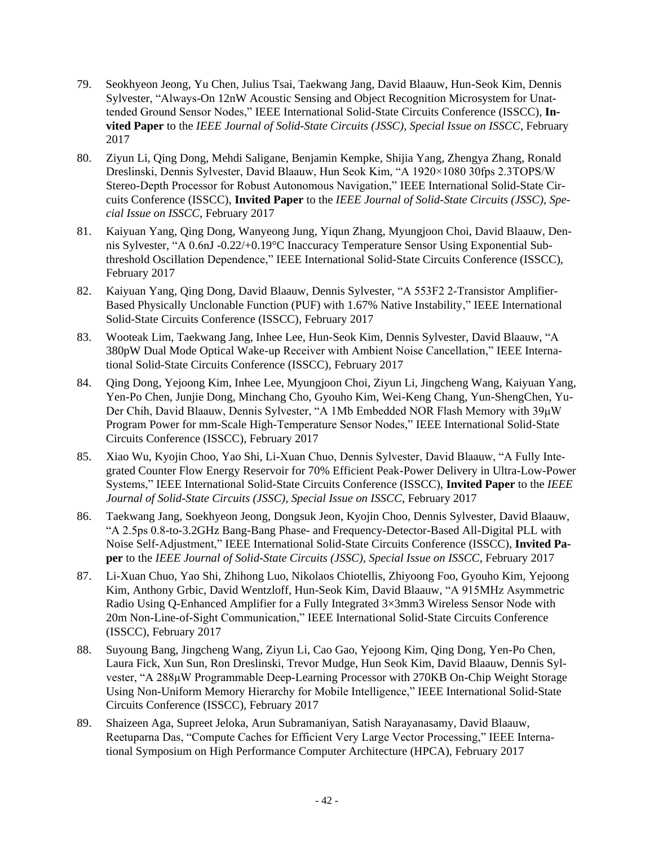- 79. Seokhyeon Jeong, Yu Chen, Julius Tsai, Taekwang Jang, David Blaauw, Hun-Seok Kim, Dennis Sylvester, "Always-On 12nW Acoustic Sensing and Object Recognition Microsystem for Unattended Ground Sensor Nodes," IEEE International Solid-State Circuits Conference (ISSCC), **Invited Paper** to the *IEEE Journal of Solid-State Circuits (JSSC), Special Issue on ISSCC*, February 2017
- 80. Ziyun Li, Qing Dong, Mehdi Saligane, Benjamin Kempke, Shijia Yang, Zhengya Zhang, Ronald Dreslinski, Dennis Sylvester, David Blaauw, Hun Seok Kim, "A 1920×1080 30fps 2.3TOPS/W Stereo-Depth Processor for Robust Autonomous Navigation," IEEE International Solid-State Circuits Conference (ISSCC), **Invited Paper** to the *IEEE Journal of Solid-State Circuits (JSSC), Special Issue on ISSCC*, February 2017
- 81. Kaiyuan Yang, Qing Dong, Wanyeong Jung, Yiqun Zhang, Myungjoon Choi, David Blaauw, Dennis Sylvester, "A 0.6nJ -0.22/+0.19°C Inaccuracy Temperature Sensor Using Exponential Subthreshold Oscillation Dependence," IEEE International Solid-State Circuits Conference (ISSCC), February 2017
- 82. Kaiyuan Yang, Qing Dong, David Blaauw, Dennis Sylvester, "A 553F2 2-Transistor Amplifier-Based Physically Unclonable Function (PUF) with 1.67% Native Instability," IEEE International Solid-State Circuits Conference (ISSCC), February 2017
- 83. Wooteak Lim, Taekwang Jang, Inhee Lee, Hun-Seok Kim, Dennis Sylvester, David Blaauw, "A 380pW Dual Mode Optical Wake-up Receiver with Ambient Noise Cancellation," IEEE International Solid-State Circuits Conference (ISSCC), February 2017
- 84. Qing Dong, Yejoong Kim, Inhee Lee, Myungjoon Choi, Ziyun Li, Jingcheng Wang, Kaiyuan Yang, Yen-Po Chen, Junjie Dong, Minchang Cho, Gyouho Kim, Wei-Keng Chang, Yun-ShengChen, Yu-Der Chih, David Blaauw, Dennis Sylvester, "A 1Mb Embedded NOR Flash Memory with 39μW Program Power for mm-Scale High-Temperature Sensor Nodes," IEEE International Solid-State Circuits Conference (ISSCC), February 2017
- 85. Xiao Wu, Kyojin Choo, Yao Shi, Li-Xuan Chuo, Dennis Sylvester, David Blaauw, "A Fully Integrated Counter Flow Energy Reservoir for 70% Efficient Peak-Power Delivery in Ultra-Low-Power Systems," IEEE International Solid-State Circuits Conference (ISSCC), **Invited Paper** to the *IEEE Journal of Solid-State Circuits (JSSC), Special Issue on ISSCC*, February 2017
- 86. Taekwang Jang, Soekhyeon Jeong, Dongsuk Jeon, Kyojin Choo, Dennis Sylvester, David Blaauw, "A 2.5ps 0.8-to-3.2GHz Bang-Bang Phase- and Frequency-Detector-Based All-Digital PLL with Noise Self-Adjustment," IEEE International Solid-State Circuits Conference (ISSCC), **Invited Paper** to the *IEEE Journal of Solid-State Circuits (JSSC), Special Issue on ISSCC*, February 2017
- 87. Li-Xuan Chuo, Yao Shi, Zhihong Luo, Nikolaos Chiotellis, Zhiyoong Foo, Gyouho Kim, Yejoong Kim, Anthony Grbic, David Wentzloff, Hun-Seok Kim, David Blaauw, "A 915MHz Asymmetric Radio Using Q-Enhanced Amplifier for a Fully Integrated 3×3mm3 Wireless Sensor Node with 20m Non-Line-of-Sight Communication," IEEE International Solid-State Circuits Conference (ISSCC), February 2017
- 88. Suyoung Bang, Jingcheng Wang, Ziyun Li, Cao Gao, Yejoong Kim, Qing Dong, Yen-Po Chen, Laura Fick, Xun Sun, Ron Dreslinski, Trevor Mudge, Hun Seok Kim, David Blaauw, Dennis Sylvester, "A 288μW Programmable Deep-Learning Processor with 270KB On-Chip Weight Storage Using Non-Uniform Memory Hierarchy for Mobile Intelligence," IEEE International Solid-State Circuits Conference (ISSCC), February 2017
- 89. Shaizeen Aga, Supreet Jeloka, Arun Subramaniyan, Satish Narayanasamy, David Blaauw, Reetuparna Das, "Compute Caches for Efficient Very Large Vector Processing," IEEE International Symposium on High Performance Computer Architecture (HPCA), February 2017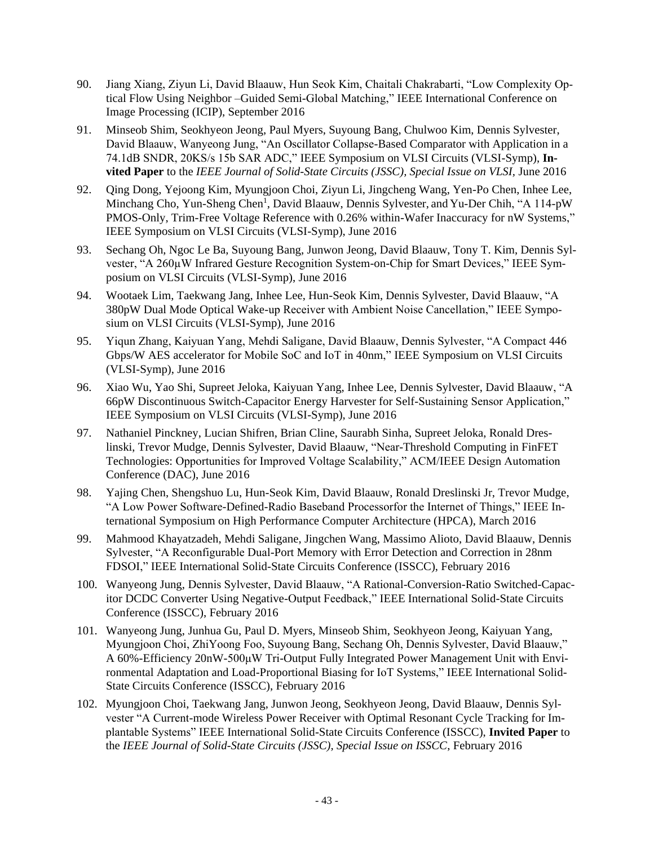- 90. Jiang Xiang, Ziyun Li, David Blaauw, Hun Seok Kim, Chaitali Chakrabarti, "Low Complexity Optical Flow Using Neighbor –Guided Semi-Global Matching," IEEE International Conference on Image Processing (ICIP), September 2016
- 91. Minseob Shim, Seokhyeon Jeong, Paul Myers, Suyoung Bang, Chulwoo Kim, Dennis Sylvester, David Blaauw, Wanyeong Jung, "An Oscillator Collapse-Based Comparator with Application in a 74.1dB SNDR, 20KS/s 15b SAR ADC," IEEE Symposium on VLSI Circuits (VLSI-Symp), **Invited Paper** to the *IEEE Journal of Solid-State Circuits (JSSC), Special Issue on VLSI,* June 2016
- 92. Qing Dong, Yejoong Kim, Myungjoon Choi, Ziyun Li, Jingcheng Wang, Yen-Po Chen, Inhee Lee, Minchang Cho, Yun-Sheng Chen<sup>1</sup>, David Blaauw, Dennis Sylvester, and Yu-Der Chih, "A 114-pW PMOS-Only, Trim-Free Voltage Reference with 0.26% within-Wafer Inaccuracy for nW Systems," IEEE Symposium on VLSI Circuits (VLSI-Symp), June 2016
- 93. Sechang Oh, Ngoc Le Ba, Suyoung Bang, Junwon Jeong, David Blaauw, Tony T. Kim, Dennis Sylvester, "A 260µW Infrared Gesture Recognition System-on-Chip for Smart Devices," IEEE Symposium on VLSI Circuits (VLSI-Symp), June 2016
- 94. Wootaek Lim, Taekwang Jang, Inhee Lee, Hun-Seok Kim, Dennis Sylvester, David Blaauw, "A 380pW Dual Mode Optical Wake-up Receiver with Ambient Noise Cancellation," IEEE Symposium on VLSI Circuits (VLSI-Symp), June 2016
- 95. Yiqun Zhang, Kaiyuan Yang, Mehdi Saligane, David Blaauw, Dennis Sylvester, "A Compact 446 Gbps/W AES accelerator for Mobile SoC and IoT in 40nm," IEEE Symposium on VLSI Circuits (VLSI-Symp), June 2016
- 96. Xiao Wu, Yao Shi, Supreet Jeloka, Kaiyuan Yang, Inhee Lee, Dennis Sylvester, David Blaauw, "A 66pW Discontinuous Switch-Capacitor Energy Harvester for Self-Sustaining Sensor Application," IEEE Symposium on VLSI Circuits (VLSI-Symp), June 2016
- 97. Nathaniel Pinckney, Lucian Shifren, Brian Cline, Saurabh Sinha, Supreet Jeloka, Ronald Dreslinski, Trevor Mudge, Dennis Sylvester, David Blaauw, "Near-Threshold Computing in FinFET Technologies: Opportunities for Improved Voltage Scalability," ACM/IEEE Design Automation Conference (DAC), June 2016
- 98. Yajing Chen, Shengshuo Lu, Hun-Seok Kim, David Blaauw, Ronald Dreslinski Jr, Trevor Mudge, "A Low Power Software-Defined-Radio Baseband Processorfor the Internet of Things," IEEE International Symposium on High Performance Computer Architecture (HPCA), March 2016
- 99. Mahmood Khayatzadeh, Mehdi Saligane, Jingchen Wang, Massimo Alioto, David Blaauw, Dennis Sylvester, "A Reconfigurable Dual-Port Memory with Error Detection and Correction in 28nm FDSOI," IEEE International Solid-State Circuits Conference (ISSCC), February 2016
- 100. Wanyeong Jung, Dennis Sylvester, David Blaauw, "A Rational-Conversion-Ratio Switched-Capacitor DCDC Converter Using Negative-Output Feedback," IEEE International Solid-State Circuits Conference (ISSCC), February 2016
- 101. Wanyeong Jung, Junhua Gu, Paul D. Myers, Minseob Shim, Seokhyeon Jeong, Kaiyuan Yang, Myungjoon Choi, ZhiYoong Foo, Suyoung Bang, Sechang Oh, Dennis Sylvester, David Blaauw," A 60%-Efficiency 20nW-500μW Tri-Output Fully Integrated Power Management Unit with Environmental Adaptation and Load-Proportional Biasing for IoT Systems," IEEE International Solid-State Circuits Conference (ISSCC), February 2016
- 102. Myungjoon Choi, Taekwang Jang, Junwon Jeong, Seokhyeon Jeong, David Blaauw, Dennis Sylvester "A Current-mode Wireless Power Receiver with Optimal Resonant Cycle Tracking for Implantable Systems" IEEE International Solid-State Circuits Conference (ISSCC), **Invited Paper** to the *IEEE Journal of Solid-State Circuits (JSSC), Special Issue on ISSCC*, February 2016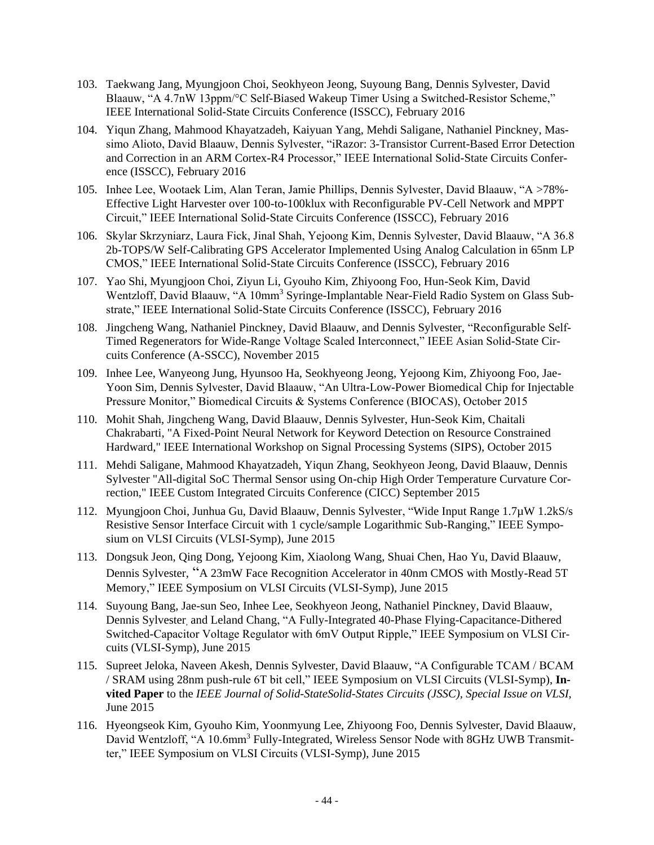- 103. Taekwang Jang, Myungjoon Choi, Seokhyeon Jeong, Suyoung Bang, Dennis Sylvester, David Blaauw, "A 4.7nW 13ppm/°C Self-Biased Wakeup Timer Using a Switched-Resistor Scheme," IEEE International Solid-State Circuits Conference (ISSCC), February 2016
- 104. Yiqun Zhang, Mahmood Khayatzadeh, Kaiyuan Yang, Mehdi Saligane, Nathaniel Pinckney, Massimo Alioto, David Blaauw, Dennis Sylvester, "iRazor: 3-Transistor Current-Based Error Detection and Correction in an ARM Cortex-R4 Processor," IEEE International Solid-State Circuits Conference (ISSCC), February 2016
- 105. Inhee Lee, Wootaek Lim, Alan Teran, Jamie Phillips, Dennis Sylvester, David Blaauw, "A >78%- Effective Light Harvester over 100-to-100klux with Reconfigurable PV-Cell Network and MPPT Circuit," IEEE International Solid-State Circuits Conference (ISSCC), February 2016
- 106. Skylar Skrzyniarz, Laura Fick, Jinal Shah, Yejoong Kim, Dennis Sylvester, David Blaauw, "A 36.8 2b-TOPS/W Self-Calibrating GPS Accelerator Implemented Using Analog Calculation in 65nm LP CMOS," IEEE International Solid-State Circuits Conference (ISSCC), February 2016
- 107. Yao Shi, Myungjoon Choi, Ziyun Li, Gyouho Kim, Zhiyoong Foo, Hun-Seok Kim, David Wentzloff, David Blaauw, "A 10mm<sup>3</sup> Syringe-Implantable Near-Field Radio System on Glass Substrate," IEEE International Solid-State Circuits Conference (ISSCC), February 2016
- 108. Jingcheng Wang, Nathaniel Pinckney, David Blaauw, and Dennis Sylvester, "Reconfigurable Self-Timed Regenerators for Wide-Range Voltage Scaled Interconnect," IEEE Asian Solid-State Circuits Conference (A-SSCC), November 2015
- 109. Inhee Lee, Wanyeong Jung, Hyunsoo Ha, Seokhyeong Jeong, Yejoong Kim, Zhiyoong Foo, Jae-Yoon Sim, Dennis Sylvester, David Blaauw, "An Ultra-Low-Power Biomedical Chip for Injectable Pressure Monitor," Biomedical Circuits & Systems Conference (BIOCAS), October 2015
- 110. Mohit Shah, Jingcheng Wang, David Blaauw, Dennis Sylvester, Hun-Seok Kim, Chaitali Chakrabarti, "A Fixed-Point Neural Network for Keyword Detection on Resource Constrained Hardward," IEEE International Workshop on Signal Processing Systems (SIPS), October 2015
- 111. Mehdi Saligane, Mahmood Khayatzadeh, Yiqun Zhang, Seokhyeon Jeong, David Blaauw, Dennis Sylvester "All-digital SoC Thermal Sensor using On-chip High Order Temperature Curvature Correction," IEEE Custom Integrated Circuits Conference (CICC) September 2015
- 112. Myungjoon Choi, Junhua Gu, David Blaauw, Dennis Sylvester, "Wide Input Range 1.7µW 1.2kS/s Resistive Sensor Interface Circuit with 1 cycle/sample Logarithmic Sub-Ranging," IEEE Symposium on VLSI Circuits (VLSI-Symp), June 2015
- 113. Dongsuk Jeon, Qing Dong, Yejoong Kim, Xiaolong Wang, Shuai Chen, Hao Yu, David Blaauw, Dennis Sylvester, "A 23mW Face Recognition Accelerator in 40nm CMOS with Mostly-Read 5T Memory," IEEE Symposium on VLSI Circuits (VLSI-Symp), June 2015
- 114. Suyoung Bang, Jae-sun Seo, Inhee Lee, Seokhyeon Jeong, Nathaniel Pinckney, David Blaauw, Dennis Sylvester, and Leland Chang, "A Fully-Integrated 40-Phase Flying-Capacitance-Dithered Switched-Capacitor Voltage Regulator with 6mV Output Ripple," IEEE Symposium on VLSI Circuits (VLSI-Symp), June 2015
- 115. Supreet Jeloka, Naveen Akesh, Dennis Sylvester, David Blaauw, "A Configurable TCAM / BCAM / SRAM using 28nm push-rule 6T bit cell," IEEE Symposium on VLSI Circuits (VLSI-Symp), **Invited Paper** to the *IEEE Journal of Solid-StateSolid-States Circuits (JSSC), Special Issue on VLSI*, June 2015
- 116. Hyeongseok Kim, Gyouho Kim, Yoonmyung Lee, Zhiyoong Foo, Dennis Sylvester, David Blaauw, David Wentzloff, "A 10.6mm<sup>3</sup> Fully-Integrated, Wireless Sensor Node with 8GHz UWB Transmitter," IEEE Symposium on VLSI Circuits (VLSI-Symp), June 2015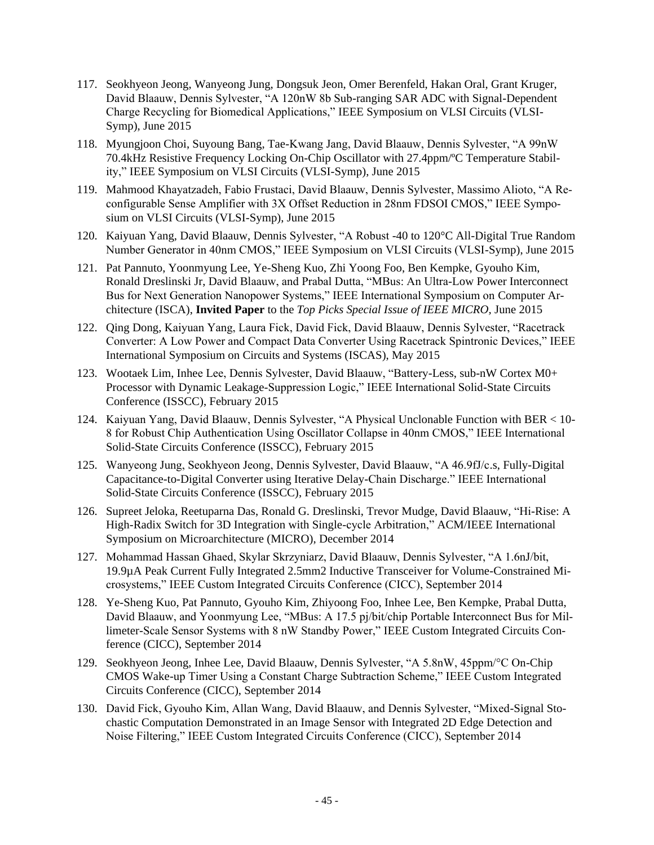- 117. Seokhyeon Jeong, Wanyeong Jung, Dongsuk Jeon, Omer Berenfeld, Hakan Oral, Grant Kruger, David Blaauw, Dennis Sylvester, "A 120nW 8b Sub-ranging SAR ADC with Signal-Dependent Charge Recycling for Biomedical Applications," IEEE Symposium on VLSI Circuits (VLSI-Symp), June 2015
- 118. Myungjoon Choi, Suyoung Bang, Tae-Kwang Jang, David Blaauw, Dennis Sylvester, "A 99nW 70.4kHz Resistive Frequency Locking On-Chip Oscillator with 27.4ppm/ºC Temperature Stability," IEEE Symposium on VLSI Circuits (VLSI-Symp), June 2015
- 119. Mahmood Khayatzadeh, Fabio Frustaci, David Blaauw, Dennis Sylvester, Massimo Alioto, "A Reconfigurable Sense Amplifier with 3X Offset Reduction in 28nm FDSOI CMOS," IEEE Symposium on VLSI Circuits (VLSI-Symp), June 2015
- 120. Kaiyuan Yang, David Blaauw, Dennis Sylvester, "A Robust -40 to 120°C All-Digital True Random Number Generator in 40nm CMOS," IEEE Symposium on VLSI Circuits (VLSI-Symp), June 2015
- 121. Pat Pannuto, Yoonmyung Lee, Ye-Sheng Kuo, Zhi Yoong Foo, Ben Kempke, Gyouho Kim, Ronald Dreslinski Jr, David Blaauw, and Prabal Dutta, "MBus: An Ultra-Low Power Interconnect Bus for Next Generation Nanopower Systems," IEEE International Symposium on Computer Architecture (ISCA), **Invited Paper** to the *Top Picks Special Issue of IEEE MICRO,* June 2015
- 122. Qing Dong, Kaiyuan Yang, Laura Fick, David Fick, David Blaauw, Dennis Sylvester, "Racetrack Converter: A Low Power and Compact Data Converter Using Racetrack Spintronic Devices," IEEE International Symposium on Circuits and Systems (ISCAS), May 2015
- 123. Wootaek Lim, Inhee Lee, Dennis Sylvester, David Blaauw, "Battery-Less, sub-nW Cortex M0+ Processor with Dynamic Leakage-Suppression Logic," IEEE International Solid-State Circuits Conference (ISSCC), February 2015
- 124. Kaiyuan Yang, David Blaauw, Dennis Sylvester, "A Physical Unclonable Function with BER < 10- 8 for Robust Chip Authentication Using Oscillator Collapse in 40nm CMOS," IEEE International Solid-State Circuits Conference (ISSCC), February 2015
- 125. Wanyeong Jung, Seokhyeon Jeong, Dennis Sylvester, David Blaauw, "A 46.9fJ/c.s, Fully-Digital Capacitance-to-Digital Converter using Iterative Delay-Chain Discharge." IEEE International Solid-State Circuits Conference (ISSCC), February 2015
- 126. Supreet Jeloka, Reetuparna Das, Ronald G. Dreslinski, Trevor Mudge, David Blaauw, "Hi-Rise: A High-Radix Switch for 3D Integration with Single-cycle Arbitration," ACM/IEEE International Symposium on Microarchitecture (MICRO), December 2014
- 127. Mohammad Hassan Ghaed, Skylar Skrzyniarz, David Blaauw, Dennis Sylvester, "A 1.6nJ/bit, 19.9µA Peak Current Fully Integrated 2.5mm2 Inductive Transceiver for Volume-Constrained Microsystems," IEEE Custom Integrated Circuits Conference (CICC), September 2014
- 128. Ye-Sheng Kuo, Pat Pannuto, Gyouho Kim, Zhiyoong Foo, Inhee Lee, Ben Kempke, Prabal Dutta, David Blaauw, and Yoonmyung Lee, "MBus: A 17.5 pj/bit/chip Portable Interconnect Bus for Millimeter-Scale Sensor Systems with 8 nW Standby Power," IEEE Custom Integrated Circuits Conference (CICC), September 2014
- 129. Seokhyeon Jeong, Inhee Lee, David Blaauw, Dennis Sylvester, "A 5.8nW, 45ppm/°C On-Chip CMOS Wake-up Timer Using a Constant Charge Subtraction Scheme," IEEE Custom Integrated Circuits Conference (CICC), September 2014
- 130. David Fick, Gyouho Kim, Allan Wang, David Blaauw, and Dennis Sylvester, "Mixed-Signal Stochastic Computation Demonstrated in an Image Sensor with Integrated 2D Edge Detection and Noise Filtering," IEEE Custom Integrated Circuits Conference (CICC), September 2014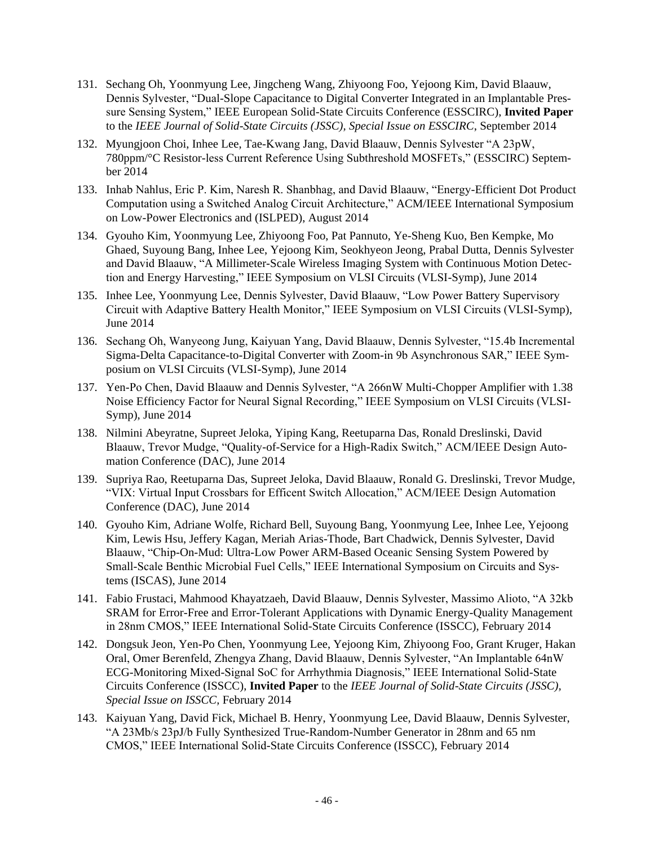- 131. Sechang Oh, Yoonmyung Lee, Jingcheng Wang, Zhiyoong Foo, Yejoong Kim, David Blaauw, Dennis Sylvester, "Dual-Slope Capacitance to Digital Converter Integrated in an Implantable Pressure Sensing System," IEEE European Solid-State Circuits Conference (ESSCIRC), **Invited Paper** to the *IEEE Journal of Solid-State Circuits (JSSC), Special Issue on ESSCIRC*, September 2014
- 132. Myungjoon Choi, Inhee Lee, Tae-Kwang Jang, David Blaauw, Dennis Sylvester "A 23pW, 780ppm/°C Resistor-less Current Reference Using Subthreshold MOSFETs," (ESSCIRC) September 2014
- 133. Inhab Nahlus, Eric P. Kim, Naresh R. Shanbhag, and David Blaauw, "Energy-Efficient Dot Product Computation using a Switched Analog Circuit Architecture," ACM/IEEE International Symposium on Low-Power Electronics and (ISLPED), August 2014
- 134. Gyouho Kim, Yoonmyung Lee, Zhiyoong Foo, Pat Pannuto, Ye-Sheng Kuo, Ben Kempke, Mo Ghaed, Suyoung Bang, Inhee Lee, Yejoong Kim, Seokhyeon Jeong, Prabal Dutta, Dennis Sylvester and David Blaauw, "A Millimeter-Scale Wireless Imaging System with Continuous Motion Detection and Energy Harvesting," IEEE Symposium on VLSI Circuits (VLSI-Symp), June 2014
- 135. Inhee Lee, Yoonmyung Lee, Dennis Sylvester, David Blaauw, "Low Power Battery Supervisory Circuit with Adaptive Battery Health Monitor," IEEE Symposium on VLSI Circuits (VLSI-Symp), June 2014
- 136. Sechang Oh, Wanyeong Jung, Kaiyuan Yang, David Blaauw, Dennis Sylvester, "15.4b Incremental Sigma-Delta Capacitance-to-Digital Converter with Zoom-in 9b Asynchronous SAR," IEEE Symposium on VLSI Circuits (VLSI-Symp), June 2014
- 137. Yen-Po Chen, David Blaauw and Dennis Sylvester, "A 266nW Multi-Chopper Amplifier with 1.38 Noise Efficiency Factor for Neural Signal Recording," IEEE Symposium on VLSI Circuits (VLSI-Symp), June 2014
- 138. Nilmini Abeyratne, Supreet Jeloka, Yiping Kang, Reetuparna Das, Ronald Dreslinski, David Blaauw, Trevor Mudge, "Quality-of-Service for a High-Radix Switch," ACM/IEEE Design Automation Conference (DAC), June 2014
- 139. Supriya Rao, Reetuparna Das, Supreet Jeloka, David Blaauw, Ronald G. Dreslinski, Trevor Mudge, "VIX: Virtual Input Crossbars for Efficent Switch Allocation," ACM/IEEE Design Automation Conference (DAC), June 2014
- 140. Gyouho Kim, Adriane Wolfe, Richard Bell, Suyoung Bang, Yoonmyung Lee, Inhee Lee, Yejoong Kim, Lewis Hsu, Jeffery Kagan, Meriah Arias-Thode, Bart Chadwick, Dennis Sylvester, David Blaauw, "Chip-On-Mud: Ultra-Low Power ARM-Based Oceanic Sensing System Powered by Small-Scale Benthic Microbial Fuel Cells," IEEE International Symposium on Circuits and Systems (ISCAS), June 2014
- 141. Fabio Frustaci, Mahmood Khayatzaeh, David Blaauw, Dennis Sylvester, Massimo Alioto, "A 32kb SRAM for Error-Free and Error-Tolerant Applications with Dynamic Energy-Quality Management in 28nm CMOS," IEEE International Solid-State Circuits Conference (ISSCC), February 2014
- 142. Dongsuk Jeon, Yen-Po Chen, Yoonmyung Lee, Yejoong Kim, Zhiyoong Foo, Grant Kruger, Hakan Oral, Omer Berenfeld, Zhengya Zhang, David Blaauw, Dennis Sylvester, "An Implantable 64nW ECG-Monitoring Mixed-Signal SoC for Arrhythmia Diagnosis," IEEE International Solid-State Circuits Conference (ISSCC), **Invited Paper** to the *IEEE Journal of Solid-State Circuits (JSSC), Special Issue on ISSCC,* February 2014
- 143. Kaiyuan Yang, David Fick, Michael B. Henry, Yoonmyung Lee, David Blaauw, Dennis Sylvester, "A 23Mb/s 23pJ/b Fully Synthesized True-Random-Number Generator in 28nm and 65 nm CMOS," IEEE International Solid-State Circuits Conference (ISSCC), February 2014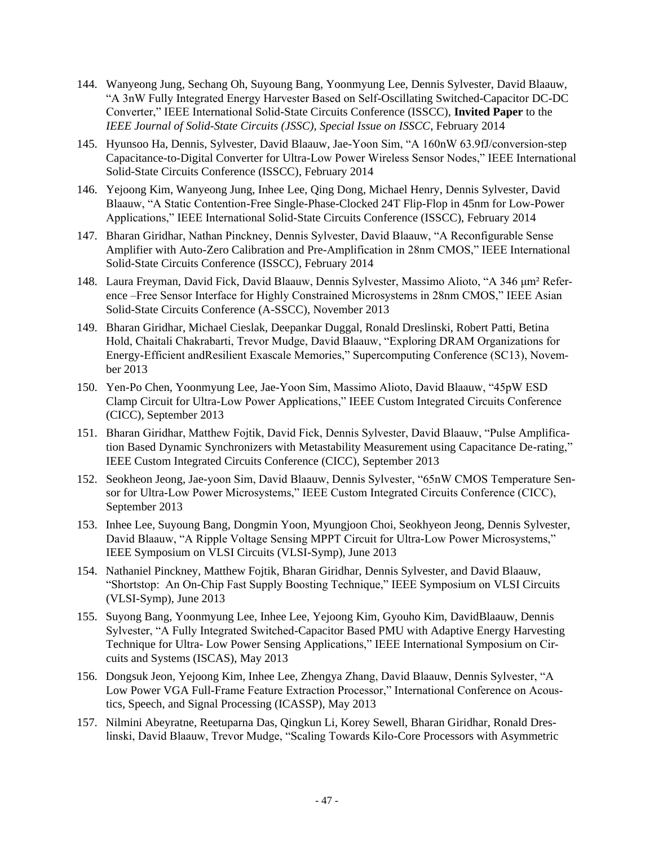- 144. Wanyeong Jung, Sechang Oh, Suyoung Bang, Yoonmyung Lee, Dennis Sylvester, David Blaauw, "A 3nW Fully Integrated Energy Harvester Based on Self-Oscillating Switched-Capacitor DC-DC Converter," IEEE International Solid-State Circuits Conference (ISSCC), **Invited Paper** to the *IEEE Journal of Solid-State Circuits (JSSC), Special Issue on ISSCC*, February 2014
- 145. Hyunsoo Ha, Dennis, Sylvester, David Blaauw, Jae-Yoon Sim, "A 160nW 63.9fJ/conversion-step Capacitance-to-Digital Converter for Ultra-Low Power Wireless Sensor Nodes," IEEE International Solid-State Circuits Conference (ISSCC), February 2014
- 146. Yejoong Kim, Wanyeong Jung, Inhee Lee, Qing Dong, Michael Henry, Dennis Sylvester, David Blaauw, "A Static Contention-Free Single-Phase-Clocked 24T Flip-Flop in 45nm for Low-Power Applications," IEEE International Solid-State Circuits Conference (ISSCC), February 2014
- 147. Bharan Giridhar, Nathan Pinckney, Dennis Sylvester, David Blaauw, "A Reconfigurable Sense Amplifier with Auto-Zero Calibration and Pre-Amplification in 28nm CMOS," IEEE International Solid-State Circuits Conference (ISSCC), February 2014
- 148. Laura Freyman, David Fick, David Blaauw, Dennis Sylvester, Massimo Alioto, "A 346 μm² Reference –Free Sensor Interface for Highly Constrained Microsystems in 28nm CMOS," IEEE Asian Solid-State Circuits Conference (A-SSCC), November 2013
- 149. Bharan Giridhar, Michael Cieslak, Deepankar Duggal, Ronald Dreslinski, Robert Patti, Betina Hold, Chaitali Chakrabarti, Trevor Mudge, David Blaauw, "Exploring DRAM Organizations for Energy-Efficient andResilient Exascale Memories," Supercomputing Conference (SC13), November 2013
- 150. Yen-Po Chen, Yoonmyung Lee, Jae-Yoon Sim, Massimo Alioto, David Blaauw, "45pW ESD Clamp Circuit for Ultra-Low Power Applications," IEEE Custom Integrated Circuits Conference (CICC), September 2013
- 151. Bharan Giridhar, Matthew Fojtik, David Fick, Dennis Sylvester, David Blaauw, "Pulse Amplification Based Dynamic Synchronizers with Metastability Measurement using Capacitance De-rating," IEEE Custom Integrated Circuits Conference (CICC), September 2013
- 152. Seokheon Jeong, Jae-yoon Sim, David Blaauw, Dennis Sylvester, "65nW CMOS Temperature Sensor for Ultra-Low Power Microsystems," IEEE Custom Integrated Circuits Conference (CICC), September 2013
- 153. Inhee Lee, Suyoung Bang, Dongmin Yoon, Myungjoon Choi, Seokhyeon Jeong, Dennis Sylvester, David Blaauw, "A Ripple Voltage Sensing MPPT Circuit for Ultra-Low Power Microsystems," IEEE Symposium on VLSI Circuits (VLSI-Symp), June 2013
- 154. Nathaniel Pinckney, Matthew Fojtik, Bharan Giridhar, Dennis Sylvester, and David Blaauw, "Shortstop: An On-Chip Fast Supply Boosting Technique," IEEE Symposium on VLSI Circuits (VLSI-Symp), June 2013
- 155. Suyong Bang, Yoonmyung Lee, Inhee Lee, Yejoong Kim, Gyouho Kim, DavidBlaauw, Dennis Sylvester, "A Fully Integrated Switched-Capacitor Based PMU with Adaptive Energy Harvesting Technique for Ultra- Low Power Sensing Applications," IEEE International Symposium on Circuits and Systems (ISCAS), May 2013
- 156. Dongsuk Jeon, Yejoong Kim, Inhee Lee, Zhengya Zhang, David Blaauw, Dennis Sylvester, "A Low Power VGA Full-Frame Feature Extraction Processor," International Conference on Acoustics, Speech, and Signal Processing (ICASSP), May 2013
- 157. Nilmini Abeyratne, Reetuparna Das, Qingkun Li, Korey Sewell, Bharan Giridhar, Ronald Dreslinski, David Blaauw, Trevor Mudge, "Scaling Towards Kilo-Core Processors with Asymmetric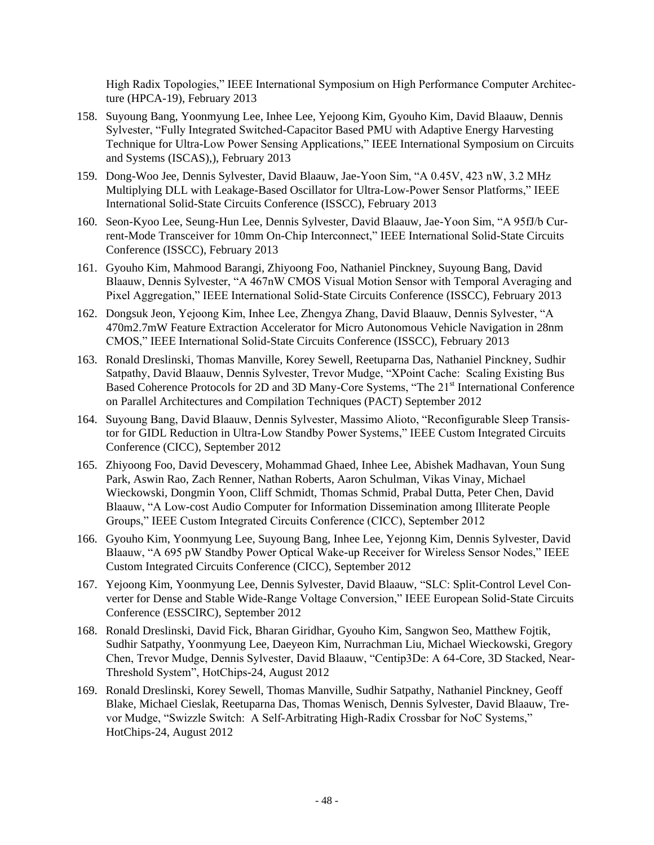High Radix Topologies," IEEE International Symposium on High Performance Computer Architecture (HPCA-19), February 2013

- 158. Suyoung Bang, Yoonmyung Lee, Inhee Lee, Yejoong Kim, Gyouho Kim, David Blaauw, Dennis Sylvester, "Fully Integrated Switched-Capacitor Based PMU with Adaptive Energy Harvesting Technique for Ultra-Low Power Sensing Applications," IEEE International Symposium on Circuits and Systems (ISCAS),), February 2013
- 159. Dong-Woo Jee, Dennis Sylvester, David Blaauw, Jae-Yoon Sim, "A 0.45V, 423 nW, 3.2 MHz Multiplying DLL with Leakage-Based Oscillator for Ultra-Low-Power Sensor Platforms," IEEE International Solid-State Circuits Conference (ISSCC), February 2013
- 160. Seon-Kyoo Lee, Seung-Hun Lee, Dennis Sylvester, David Blaauw, Jae-Yoon Sim, "A 95fJ/b Current-Mode Transceiver for 10mm On-Chip Interconnect," IEEE International Solid-State Circuits Conference (ISSCC), February 2013
- 161. Gyouho Kim, Mahmood Barangi, Zhiyoong Foo, Nathaniel Pinckney, Suyoung Bang, David Blaauw, Dennis Sylvester, "A 467nW CMOS Visual Motion Sensor with Temporal Averaging and Pixel Aggregation," IEEE International Solid-State Circuits Conference (ISSCC), February 2013
- 162. Dongsuk Jeon, Yejoong Kim, Inhee Lee, Zhengya Zhang, David Blaauw, Dennis Sylvester, "A 470m2.7mW Feature Extraction Accelerator for Micro Autonomous Vehicle Navigation in 28nm CMOS," IEEE International Solid-State Circuits Conference (ISSCC), February 2013
- 163. Ronald Dreslinski, Thomas Manville, Korey Sewell, Reetuparna Das, Nathaniel Pinckney, Sudhir Satpathy, David Blaauw, Dennis Sylvester, Trevor Mudge, "XPoint Cache: Scaling Existing Bus Based Coherence Protocols for 2D and 3D Many-Core Systems, "The 21<sup>st</sup> International Conference on Parallel Architectures and Compilation Techniques (PACT) September 2012
- 164. Suyoung Bang, David Blaauw, Dennis Sylvester, Massimo Alioto, "Reconfigurable Sleep Transistor for GIDL Reduction in Ultra-Low Standby Power Systems," IEEE Custom Integrated Circuits Conference (CICC), September 2012
- 165. Zhiyoong Foo, David Devescery, Mohammad Ghaed, Inhee Lee, Abishek Madhavan, Youn Sung Park, Aswin Rao, Zach Renner, Nathan Roberts, Aaron Schulman, Vikas Vinay, Michael Wieckowski, Dongmin Yoon, Cliff Schmidt, Thomas Schmid, Prabal Dutta, Peter Chen, David Blaauw, "A Low-cost Audio Computer for Information Dissemination among Illiterate People Groups," IEEE Custom Integrated Circuits Conference (CICC), September 2012
- 166. Gyouho Kim, Yoonmyung Lee, Suyoung Bang, Inhee Lee, Yejonng Kim, Dennis Sylvester, David Blaauw, "A 695 pW Standby Power Optical Wake-up Receiver for Wireless Sensor Nodes," IEEE Custom Integrated Circuits Conference (CICC), September 2012
- 167. Yejoong Kim, Yoonmyung Lee, Dennis Sylvester, David Blaauw, "SLC: Split-Control Level Converter for Dense and Stable Wide-Range Voltage Conversion," IEEE European Solid-State Circuits Conference (ESSCIRC), September 2012
- 168. Ronald Dreslinski, David Fick, Bharan Giridhar, Gyouho Kim, Sangwon Seo, Matthew Fojtik, Sudhir Satpathy, Yoonmyung Lee, Daeyeon Kim, Nurrachman Liu, Michael Wieckowski, Gregory Chen, Trevor Mudge, Dennis Sylvester, David Blaauw, "Centip3De: A 64-Core, 3D Stacked, Near-Threshold System", HotChips-24, August 2012
- 169. Ronald Dreslinski, Korey Sewell, Thomas Manville, Sudhir Satpathy, Nathaniel Pinckney, Geoff Blake, Michael Cieslak, Reetuparna Das, Thomas Wenisch, Dennis Sylvester, David Blaauw, Trevor Mudge, "Swizzle Switch: A Self-Arbitrating High-Radix Crossbar for NoC Systems," HotChips-24, August 2012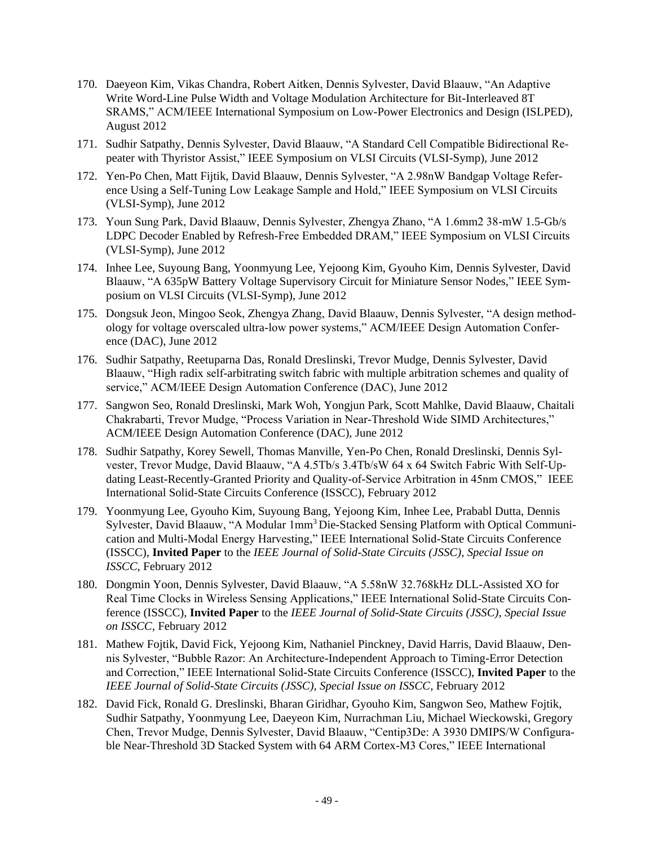- 170. Daeyeon Kim, Vikas Chandra, Robert Aitken, Dennis Sylvester, David Blaauw, "An Adaptive Write Word-Line Pulse Width and Voltage Modulation Architecture for Bit-Interleaved 8T SRAMS," ACM/IEEE International Symposium on Low-Power Electronics and Design (ISLPED), August 2012
- 171. Sudhir Satpathy, Dennis Sylvester, David Blaauw, "A Standard Cell Compatible Bidirectional Repeater with Thyristor Assist," IEEE Symposium on VLSI Circuits (VLSI-Symp), June 2012
- 172. Yen-Po Chen, Matt Fijtik, David Blaauw, Dennis Sylvester, "A 2.98nW Bandgap Voltage Reference Using a Self-Tuning Low Leakage Sample and Hold," IEEE Symposium on VLSI Circuits (VLSI-Symp), June 2012
- 173. Youn Sung Park, David Blaauw, Dennis Sylvester, Zhengya Zhano, "A 1.6mm2 38-mW 1.5-Gb/s LDPC Decoder Enabled by Refresh-Free Embedded DRAM," IEEE Symposium on VLSI Circuits (VLSI-Symp), June 2012
- 174. Inhee Lee, Suyoung Bang, Yoonmyung Lee, Yejoong Kim, Gyouho Kim, Dennis Sylvester, David Blaauw, "A 635pW Battery Voltage Supervisory Circuit for Miniature Sensor Nodes," IEEE Symposium on VLSI Circuits (VLSI-Symp), June 2012
- 175. Dongsuk Jeon, Mingoo Seok, Zhengya Zhang, David Blaauw, Dennis Sylvester, "A design methodology for voltage overscaled ultra-low power systems," ACM/IEEE Design Automation Conference (DAC), June 2012
- 176. Sudhir Satpathy, Reetuparna Das, Ronald Dreslinski, Trevor Mudge, Dennis Sylvester, David Blaauw, "High radix self-arbitrating switch fabric with multiple arbitration schemes and quality of service," ACM/IEEE Design Automation Conference (DAC), June 2012
- 177. Sangwon Seo, Ronald Dreslinski, Mark Woh, Yongjun Park, Scott Mahlke, David Blaauw, Chaitali Chakrabarti, Trevor Mudge, "Process Variation in Near-Threshold Wide SIMD Architectures," ACM/IEEE Design Automation Conference (DAC), June 2012
- 178. Sudhir Satpathy, Korey Sewell, Thomas Manville, Yen-Po Chen, Ronald Dreslinski, Dennis Sylvester, Trevor Mudge, David Blaauw, "A 4.5Tb/s 3.4Tb/sW 64 x 64 Switch Fabric With Self-Updating Least-Recently-Granted Priority and Quality-of-Service Arbitration in 45nm CMOS," IEEE International Solid-State Circuits Conference (ISSCC), February 2012
- 179. Yoonmyung Lee, Gyouho Kim, Suyoung Bang, Yejoong Kim, Inhee Lee, Prababl Dutta, Dennis Sylvester, David Blaauw, "A Modular 1mm<sup>3</sup> Die-Stacked Sensing Platform with Optical Communication and Multi-Modal Energy Harvesting," IEEE International Solid-State Circuits Conference (ISSCC), **Invited Paper** to the *IEEE Journal of Solid-State Circuits (JSSC), Special Issue on ISSCC,* February 2012
- 180. Dongmin Yoon, Dennis Sylvester, David Blaauw, "A 5.58nW 32.768kHz DLL-Assisted XO for Real Time Clocks in Wireless Sensing Applications," IEEE International Solid-State Circuits Conference (ISSCC), **Invited Paper** to the *IEEE Journal of Solid-State Circuits (JSSC), Special Issue on ISSCC,* February 2012
- 181. Mathew Fojtik, David Fick, Yejoong Kim, Nathaniel Pinckney, David Harris, David Blaauw, Dennis Sylvester, "Bubble Razor: An Architecture-Independent Approach to Timing-Error Detection and Correction," IEEE International Solid-State Circuits Conference (ISSCC), **Invited Paper** to the *IEEE Journal of Solid-State Circuits (JSSC), Special Issue on ISSCC,* February 2012
- 182. David Fick, Ronald G. Dreslinski, Bharan Giridhar, Gyouho Kim, Sangwon Seo, Mathew Fojtik, Sudhir Satpathy, Yoonmyung Lee, Daeyeon Kim, Nurrachman Liu, Michael Wieckowski, Gregory Chen, Trevor Mudge, Dennis Sylvester, David Blaauw, "Centip3De: A 3930 DMIPS/W Configurable Near-Threshold 3D Stacked System with 64 ARM Cortex-M3 Cores," IEEE International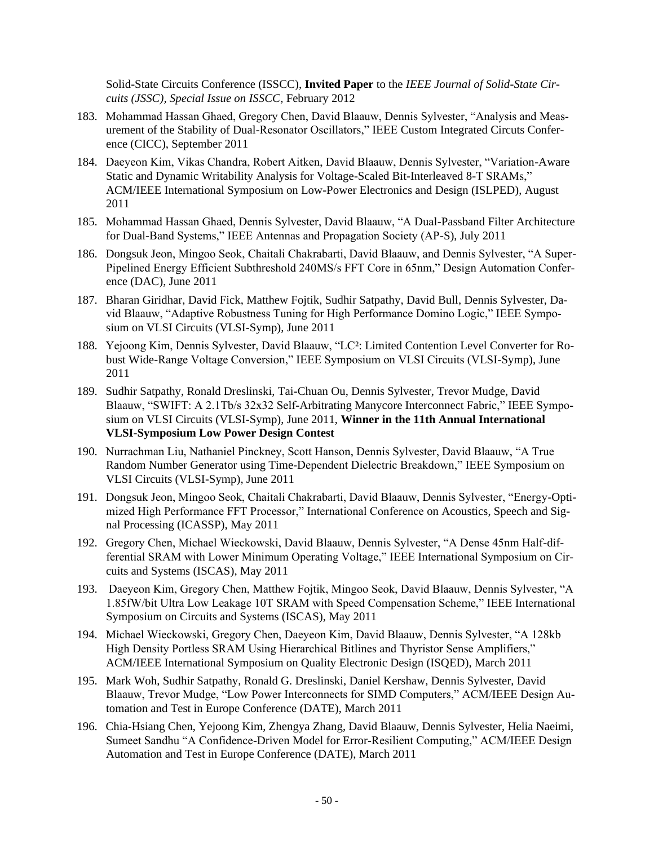Solid-State Circuits Conference (ISSCC), **Invited Paper** to the *IEEE Journal of Solid-State Circuits (JSSC), Special Issue on ISSCC,* February 2012

- 183. Mohammad Hassan Ghaed, Gregory Chen, David Blaauw, Dennis Sylvester, "Analysis and Measurement of the Stability of Dual-Resonator Oscillators," IEEE Custom Integrated Circuts Conference (CICC), September 2011
- 184. Daeyeon Kim, Vikas Chandra, Robert Aitken, David Blaauw, Dennis Sylvester, "Variation-Aware Static and Dynamic Writability Analysis for Voltage-Scaled Bit-Interleaved 8-T SRAMs," ACM/IEEE International Symposium on Low-Power Electronics and Design (ISLPED), August 2011
- 185. Mohammad Hassan Ghaed, Dennis Sylvester, David Blaauw, "A Dual-Passband Filter Architecture for Dual-Band Systems," IEEE Antennas and Propagation Society (AP-S), July 2011
- 186. Dongsuk Jeon, Mingoo Seok, Chaitali Chakrabarti, David Blaauw, and Dennis Sylvester, "A Super-Pipelined Energy Efficient Subthreshold 240MS/s FFT Core in 65nm," Design Automation Conference (DAC), June 2011
- 187. Bharan Giridhar, David Fick, Matthew Fojtik, Sudhir Satpathy, David Bull, Dennis Sylvester, David Blaauw, "Adaptive Robustness Tuning for High Performance Domino Logic," IEEE Symposium on VLSI Circuits (VLSI-Symp), June 2011
- 188. Yejoong Kim, Dennis Sylvester, David Blaauw, "LC²: Limited Contention Level Converter for Robust Wide-Range Voltage Conversion," IEEE Symposium on VLSI Circuits (VLSI-Symp), June 2011
- 189. Sudhir Satpathy, Ronald Dreslinski, Tai-Chuan Ou, Dennis Sylvester, Trevor Mudge, David Blaauw, "SWIFT: A 2.1Tb/s 32x32 Self-Arbitrating Manycore Interconnect Fabric," IEEE Symposium on VLSI Circuits (VLSI-Symp), June 2011, **Winner in the 11th Annual International VLSI-Symposium Low Power Design Contest**
- 190. Nurrachman Liu, Nathaniel Pinckney, Scott Hanson, Dennis Sylvester, David Blaauw, "A True Random Number Generator using Time-Dependent Dielectric Breakdown," IEEE Symposium on VLSI Circuits (VLSI-Symp), June 2011
- 191. Dongsuk Jeon, Mingoo Seok, Chaitali Chakrabarti, David Blaauw, Dennis Sylvester, "Energy-Optimized High Performance FFT Processor," International Conference on Acoustics, Speech and Signal Processing (ICASSP), May 2011
- 192. Gregory Chen, Michael Wieckowski, David Blaauw, Dennis Sylvester, "A Dense 45nm Half-differential SRAM with Lower Minimum Operating Voltage," IEEE International Symposium on Circuits and Systems (ISCAS), May 2011
- 193. Daeyeon Kim, Gregory Chen, Matthew Fojtik, Mingoo Seok, David Blaauw, Dennis Sylvester, "A 1.85fW/bit Ultra Low Leakage 10T SRAM with Speed Compensation Scheme," IEEE International Symposium on Circuits and Systems (ISCAS), May 2011
- 194. Michael Wieckowski, Gregory Chen, Daeyeon Kim, David Blaauw, Dennis Sylvester, "A 128kb High Density Portless SRAM Using Hierarchical Bitlines and Thyristor Sense Amplifiers," ACM/IEEE International Symposium on Quality Electronic Design (ISQED), March 2011
- 195. Mark Woh, Sudhir Satpathy, Ronald G. Dreslinski, Daniel Kershaw, Dennis Sylvester, David Blaauw, Trevor Mudge, "Low Power Interconnects for SIMD Computers," ACM/IEEE Design Automation and Test in Europe Conference (DATE), March 2011
- 196. Chia-Hsiang Chen, Yejoong Kim, Zhengya Zhang, David Blaauw, Dennis Sylvester, Helia Naeimi, Sumeet Sandhu "A Confidence-Driven Model for Error-Resilient Computing," ACM/IEEE Design Automation and Test in Europe Conference (DATE), March 2011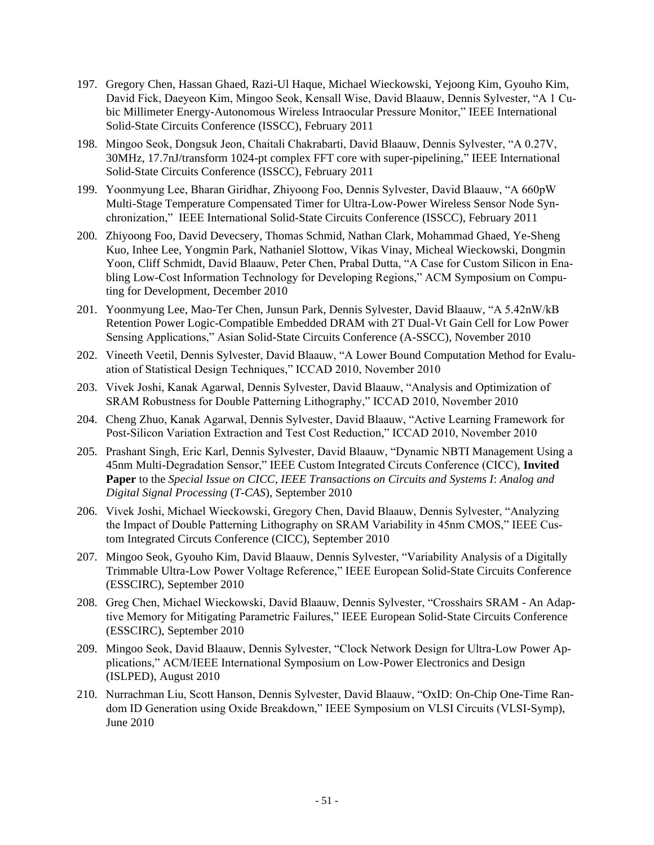- 197. Gregory Chen, Hassan Ghaed, Razi-Ul Haque, Michael Wieckowski, Yejoong Kim, Gyouho Kim, David Fick, Daeyeon Kim, Mingoo Seok, Kensall Wise, David Blaauw, Dennis Sylvester, "A 1 Cubic Millimeter Energy-Autonomous Wireless Intraocular Pressure Monitor," IEEE International Solid-State Circuits Conference (ISSCC), February 2011
- 198. Mingoo Seok, Dongsuk Jeon, Chaitali Chakrabarti, David Blaauw, Dennis Sylvester, "A 0.27V, 30MHz, 17.7nJ/transform 1024-pt complex FFT core with super-pipelining," IEEE International Solid-State Circuits Conference (ISSCC), February 2011
- 199. Yoonmyung Lee, Bharan Giridhar, Zhiyoong Foo, Dennis Sylvester, David Blaauw, "A 660pW Multi-Stage Temperature Compensated Timer for Ultra-Low-Power Wireless Sensor Node Synchronization," IEEE International Solid-State Circuits Conference (ISSCC), February 2011
- 200. Zhiyoong Foo, David Devecsery, Thomas Schmid, Nathan Clark, Mohammad Ghaed, Ye-Sheng Kuo, Inhee Lee, Yongmin Park, Nathaniel Slottow, Vikas Vinay, Micheal Wieckowski, Dongmin Yoon, Cliff Schmidt, David Blaauw, Peter Chen, Prabal Dutta, "A Case for Custom Silicon in Enabling Low-Cost Information Technology for Developing Regions," ACM Symposium on Computing for Development, December 2010
- 201. Yoonmyung Lee, Mao-Ter Chen, Junsun Park, Dennis Sylvester, David Blaauw, "A 5.42nW/kB Retention Power Logic-Compatible Embedded DRAM with 2T Dual-Vt Gain Cell for Low Power Sensing Applications," Asian Solid-State Circuits Conference (A-SSCC), November 2010
- 202. Vineeth Veetil, Dennis Sylvester, David Blaauw, "A Lower Bound Computation Method for Evaluation of Statistical Design Techniques," ICCAD 2010, November 2010
- 203. Vivek Joshi, Kanak Agarwal, Dennis Sylvester, David Blaauw, "Analysis and Optimization of SRAM Robustness for Double Patterning Lithography," ICCAD 2010, November 2010
- 204. Cheng Zhuo, Kanak Agarwal, Dennis Sylvester, David Blaauw, "Active Learning Framework for Post-Silicon Variation Extraction and Test Cost Reduction," ICCAD 2010, November 2010
- 205. Prashant Singh, Eric Karl, Dennis Sylvester, David Blaauw, "Dynamic NBTI Management Using a 45nm Multi-Degradation Sensor," IEEE Custom Integrated Circuts Conference (CICC), **Invited Paper** to the *Special Issue on CICC, IEEE Transactions on Circuits and Systems I*: *Analog and Digital Signal Processing* (*T-CAS*), September 2010
- 206. Vivek Joshi, Michael Wieckowski, Gregory Chen, David Blaauw, Dennis Sylvester, "Analyzing the Impact of Double Patterning Lithography on SRAM Variability in 45nm CMOS," IEEE Custom Integrated Circuts Conference (CICC), September 2010
- 207. Mingoo Seok, Gyouho Kim, David Blaauw, Dennis Sylvester, "Variability Analysis of a Digitally Trimmable Ultra-Low Power Voltage Reference," IEEE European Solid-State Circuits Conference (ESSCIRC), September 2010
- 208. Greg Chen, Michael Wieckowski, David Blaauw, Dennis Sylvester, "Crosshairs SRAM An Adaptive Memory for Mitigating Parametric Failures," IEEE European Solid-State Circuits Conference (ESSCIRC), September 2010
- 209. Mingoo Seok, David Blaauw, Dennis Sylvester, "Clock Network Design for Ultra-Low Power Applications," ACM/IEEE International Symposium on Low-Power Electronics and Design (ISLPED), August 2010
- 210. Nurrachman Liu, Scott Hanson, Dennis Sylvester, David Blaauw, "OxID: On-Chip One-Time Random ID Generation using Oxide Breakdown," IEEE Symposium on VLSI Circuits (VLSI-Symp), June 2010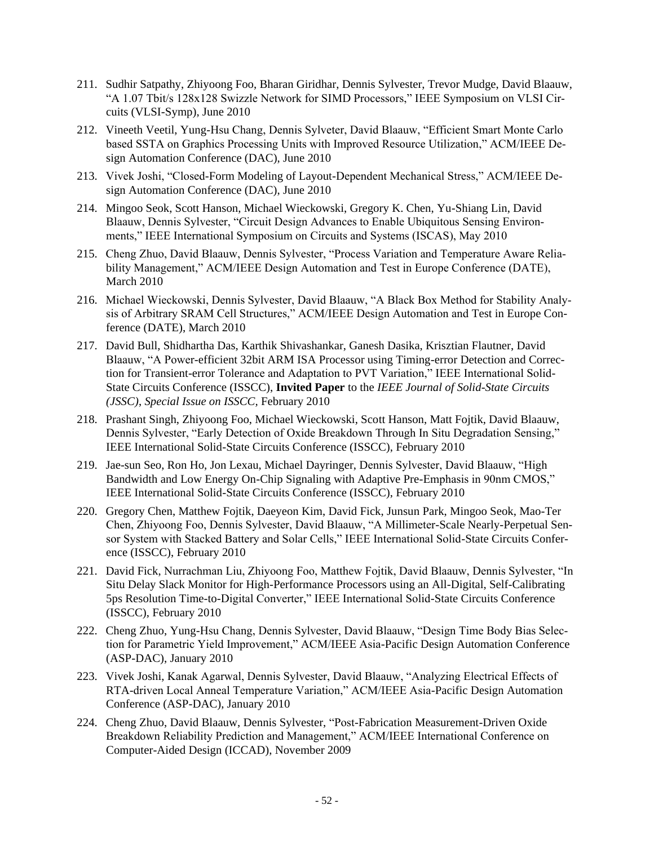- 211. Sudhir Satpathy, Zhiyoong Foo, Bharan Giridhar, Dennis Sylvester, Trevor Mudge, David Blaauw, "A 1.07 Tbit/s 128x128 Swizzle Network for SIMD Processors," IEEE Symposium on VLSI Circuits (VLSI-Symp), June 2010
- 212. Vineeth Veetil, Yung-Hsu Chang, Dennis Sylveter, David Blaauw, "Efficient Smart Monte Carlo based SSTA on Graphics Processing Units with Improved Resource Utilization," ACM/IEEE Design Automation Conference (DAC), June 2010
- 213. Vivek Joshi, "Closed-Form Modeling of Layout-Dependent Mechanical Stress," ACM/IEEE Design Automation Conference (DAC), June 2010
- 214. Mingoo Seok, Scott Hanson, Michael Wieckowski, Gregory K. Chen, Yu-Shiang Lin, David Blaauw, Dennis Sylvester, "Circuit Design Advances to Enable Ubiquitous Sensing Environments," IEEE International Symposium on Circuits and Systems (ISCAS), May 2010
- 215. Cheng Zhuo, David Blaauw, Dennis Sylvester, "Process Variation and Temperature Aware Reliability Management," ACM/IEEE Design Automation and Test in Europe Conference (DATE), March 2010
- 216. Michael Wieckowski, Dennis Sylvester, David Blaauw, "A Black Box Method for Stability Analysis of Arbitrary SRAM Cell Structures," ACM/IEEE Design Automation and Test in Europe Conference (DATE), March 2010
- 217. David Bull, Shidhartha Das, Karthik Shivashankar, Ganesh Dasika, Krisztian Flautner, David Blaauw, "A Power-efficient 32bit ARM ISA Processor using Timing-error Detection and Correction for Transient-error Tolerance and Adaptation to PVT Variation," IEEE International Solid-State Circuits Conference (ISSCC), **Invited Paper** to the *IEEE Journal of Solid-State Circuits (JSSC)*, *Special Issue on ISSCC,* February 2010
- 218. Prashant Singh, Zhiyoong Foo, Michael Wieckowski, Scott Hanson, Matt Fojtik, David Blaauw, Dennis Sylvester, "Early Detection of Oxide Breakdown Through In Situ Degradation Sensing," IEEE International Solid-State Circuits Conference (ISSCC), February 2010
- 219. Jae-sun Seo, Ron Ho, Jon Lexau, Michael Dayringer, Dennis Sylvester, David Blaauw, "High Bandwidth and Low Energy On-Chip Signaling with Adaptive Pre-Emphasis in 90nm CMOS," IEEE International Solid-State Circuits Conference (ISSCC), February 2010
- 220. Gregory Chen, Matthew Fojtik, Daeyeon Kim, David Fick, Junsun Park, Mingoo Seok, Mao-Ter Chen, Zhiyoong Foo, Dennis Sylvester, David Blaauw, "A Millimeter-Scale Nearly-Perpetual Sensor System with Stacked Battery and Solar Cells," IEEE International Solid-State Circuits Conference (ISSCC), February 2010
- 221. David Fick, Nurrachman Liu, Zhiyoong Foo, Matthew Fojtik, David Blaauw, Dennis Sylvester, "In Situ Delay Slack Monitor for High-Performance Processors using an All-Digital, Self-Calibrating 5ps Resolution Time-to-Digital Converter," IEEE International Solid-State Circuits Conference (ISSCC), February 2010
- 222. Cheng Zhuo, Yung-Hsu Chang, Dennis Sylvester, David Blaauw, "Design Time Body Bias Selection for Parametric Yield Improvement," ACM/IEEE Asia-Pacific Design Automation Conference (ASP-DAC), January 2010
- 223. Vivek Joshi, Kanak Agarwal, Dennis Sylvester, David Blaauw, "Analyzing Electrical Effects of RTA-driven Local Anneal Temperature Variation," ACM/IEEE Asia-Pacific Design Automation Conference (ASP-DAC), January 2010
- 224. Cheng Zhuo, David Blaauw, Dennis Sylvester, "Post-Fabrication Measurement-Driven Oxide Breakdown Reliability Prediction and Management," ACM/IEEE International Conference on Computer-Aided Design (ICCAD), November 2009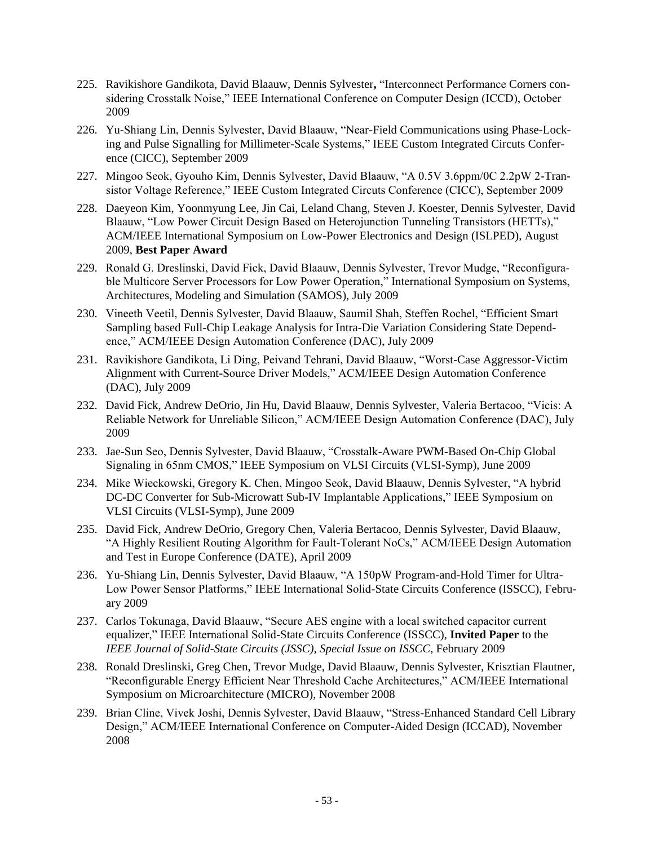- 225. Ravikishore Gandikota, David Blaauw, Dennis Sylvester**,** "Interconnect Performance Corners considering Crosstalk Noise," IEEE International Conference on Computer Design (ICCD), October 2009
- 226. Yu-Shiang Lin, Dennis Sylvester, David Blaauw, "Near-Field Communications using Phase-Locking and Pulse Signalling for Millimeter-Scale Systems," IEEE Custom Integrated Circuts Conference (CICC), September 2009
- 227. Mingoo Seok, Gyouho Kim, Dennis Sylvester, David Blaauw, "A 0.5V 3.6ppm/0C 2.2pW 2-Transistor Voltage Reference," IEEE Custom Integrated Circuts Conference (CICC), September 2009
- 228. Daeyeon Kim, Yoonmyung Lee, Jin Cai, Leland Chang, Steven J. Koester, Dennis Sylvester, David Blaauw, "Low Power Circuit Design Based on Heterojunction Tunneling Transistors (HETTs)," ACM/IEEE International Symposium on Low-Power Electronics and Design (ISLPED), August 2009, **Best Paper Award**
- 229. Ronald G. Dreslinski, David Fick, David Blaauw, Dennis Sylvester, Trevor Mudge, "Reconfigurable Multicore Server Processors for Low Power Operation," International Symposium on Systems, Architectures, Modeling and Simulation (SAMOS), July 2009
- 230. Vineeth Veetil, Dennis Sylvester, David Blaauw, Saumil Shah, Steffen Rochel, "Efficient Smart Sampling based Full-Chip Leakage Analysis for Intra-Die Variation Considering State Dependence," ACM/IEEE Design Automation Conference (DAC), July 2009
- 231. Ravikishore Gandikota, Li Ding, Peivand Tehrani, David Blaauw, "Worst-Case Aggressor-Victim Alignment with Current-Source Driver Models," ACM/IEEE Design Automation Conference (DAC), July 2009
- 232. David Fick, Andrew DeOrio, Jin Hu, David Blaauw, Dennis Sylvester, Valeria Bertacoo, "Vicis: A Reliable Network for Unreliable Silicon," ACM/IEEE Design Automation Conference (DAC), July 2009
- 233. Jae-Sun Seo, Dennis Sylvester, David Blaauw, "Crosstalk-Aware PWM-Based On-Chip Global Signaling in 65nm CMOS," IEEE Symposium on VLSI Circuits (VLSI-Symp), June 2009
- 234. Mike Wieckowski, Gregory K. Chen, Mingoo Seok, David Blaauw, Dennis Sylvester, "A hybrid DC-DC Converter for Sub-Microwatt Sub-IV Implantable Applications," IEEE Symposium on VLSI Circuits (VLSI-Symp), June 2009
- 235. David Fick, Andrew DeOrio, Gregory Chen, Valeria Bertacoo, Dennis Sylvester, David Blaauw, "A Highly Resilient Routing Algorithm for Fault-Tolerant NoCs," ACM/IEEE Design Automation and Test in Europe Conference (DATE), April 2009
- 236. Yu-Shiang Lin, Dennis Sylvester, David Blaauw, "A 150pW Program-and-Hold Timer for Ultra-Low Power Sensor Platforms," IEEE International Solid-State Circuits Conference (ISSCC), February 2009
- 237. Carlos Tokunaga, David Blaauw, "Secure AES engine with a local switched capacitor current equalizer," IEEE International Solid-State Circuits Conference (ISSCC), **Invited Paper** to the *IEEE Journal of Solid-State Circuits (JSSC)*, *Special Issue on ISSCC*, February 2009
- 238. Ronald Dreslinski, Greg Chen, Trevor Mudge, David Blaauw, Dennis Sylvester, Krisztian Flautner, "Reconfigurable Energy Efficient Near Threshold Cache Architectures," ACM/IEEE International Symposium on Microarchitecture (MICRO), November 2008
- 239. Brian Cline, Vivek Joshi, Dennis Sylvester, David Blaauw, "Stress-Enhanced Standard Cell Library Design," ACM/IEEE International Conference on Computer-Aided Design (ICCAD), November 2008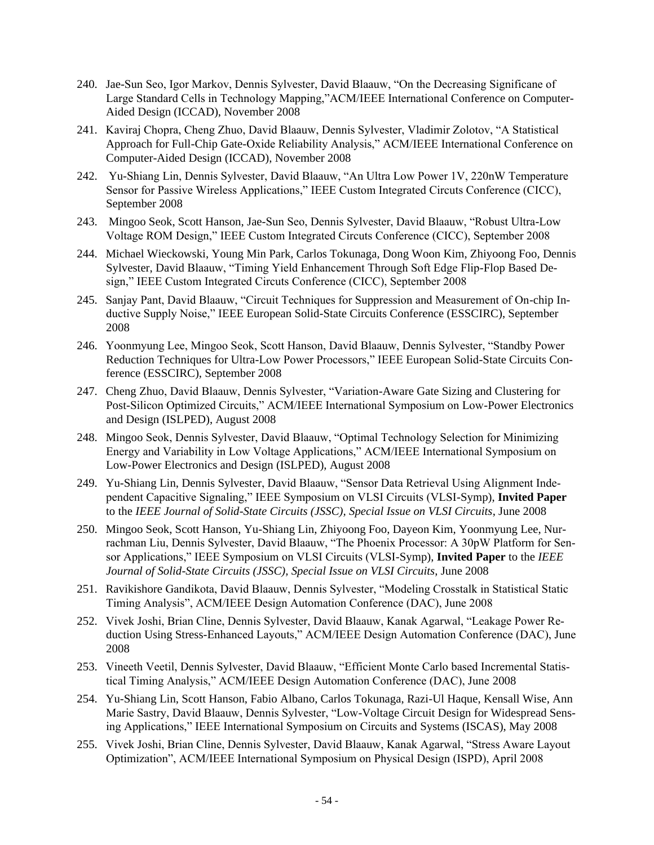- 240. Jae-Sun Seo, Igor Markov, Dennis Sylvester, David Blaauw, "On the Decreasing Significane of Large Standard Cells in Technology Mapping,"ACM/IEEE International Conference on Computer-Aided Design (ICCAD), November 2008
- 241. Kaviraj Chopra, Cheng Zhuo, David Blaauw, Dennis Sylvester, Vladimir Zolotov, "A Statistical Approach for Full-Chip Gate-Oxide Reliability Analysis," ACM/IEEE International Conference on Computer-Aided Design (ICCAD), November 2008
- 242. Yu-Shiang Lin, Dennis Sylvester, David Blaauw, "An Ultra Low Power 1V, 220nW Temperature Sensor for Passive Wireless Applications," IEEE Custom Integrated Circuts Conference (CICC), September 2008
- 243. Mingoo Seok, Scott Hanson, Jae-Sun Seo, Dennis Sylvester, David Blaauw, "Robust Ultra-Low Voltage ROM Design," IEEE Custom Integrated Circuts Conference (CICC), September 2008
- 244. Michael Wieckowski, Young Min Park, Carlos Tokunaga, Dong Woon Kim, Zhiyoong Foo, Dennis Sylvester, David Blaauw, "Timing Yield Enhancement Through Soft Edge Flip-Flop Based Design," IEEE Custom Integrated Circuts Conference (CICC), September 2008
- 245. Sanjay Pant, David Blaauw, "Circuit Techniques for Suppression and Measurement of On-chip Inductive Supply Noise," IEEE European Solid-State Circuits Conference (ESSCIRC), September 2008
- 246. Yoonmyung Lee, Mingoo Seok, Scott Hanson, David Blaauw, Dennis Sylvester, "Standby Power Reduction Techniques for Ultra-Low Power Processors," IEEE European Solid-State Circuits Conference (ESSCIRC), September 2008
- 247. Cheng Zhuo, David Blaauw, Dennis Sylvester, "Variation-Aware Gate Sizing and Clustering for Post-Silicon Optimized Circuits," ACM/IEEE International Symposium on Low-Power Electronics and Design (ISLPED), August 2008
- 248. Mingoo Seok, Dennis Sylvester, David Blaauw, "Optimal Technology Selection for Minimizing Energy and Variability in Low Voltage Applications," ACM/IEEE International Symposium on Low-Power Electronics and Design (ISLPED), August 2008
- 249. Yu-Shiang Lin, Dennis Sylvester, David Blaauw, "Sensor Data Retrieval Using Alignment Independent Capacitive Signaling," IEEE Symposium on VLSI Circuits (VLSI-Symp), **Invited Paper**  to the *IEEE Journal of Solid-State Circuits (JSSC), Special Issue on VLSI Circuits*, June 2008
- 250. Mingoo Seok, Scott Hanson, Yu-Shiang Lin, Zhiyoong Foo, Dayeon Kim, Yoonmyung Lee, Nurrachman Liu, Dennis Sylvester, David Blaauw, "The Phoenix Processor: A 30pW Platform for Sensor Applications," IEEE Symposium on VLSI Circuits (VLSI-Symp), **Invited Paper** to the *IEEE Journal of Solid-State Circuits (JSSC), Special Issue on VLSI Circuits*, June 2008
- 251. Ravikishore Gandikota, David Blaauw, Dennis Sylvester, "Modeling Crosstalk in Statistical Static Timing Analysis", ACM/IEEE Design Automation Conference (DAC), June 2008
- 252. Vivek Joshi, Brian Cline, Dennis Sylvester, David Blaauw, Kanak Agarwal, "Leakage Power Reduction Using Stress-Enhanced Layouts," ACM/IEEE Design Automation Conference (DAC), June 2008
- 253. Vineeth Veetil, Dennis Sylvester, David Blaauw, "Efficient Monte Carlo based Incremental Statistical Timing Analysis," ACM/IEEE Design Automation Conference (DAC), June 2008
- 254. Yu-Shiang Lin, Scott Hanson, Fabio Albano, Carlos Tokunaga, Razi-Ul Haque, Kensall Wise, Ann Marie Sastry, David Blaauw, Dennis Sylvester, "Low-Voltage Circuit Design for Widespread Sensing Applications," IEEE International Symposium on Circuits and Systems (ISCAS), May 2008
- 255. Vivek Joshi, Brian Cline, Dennis Sylvester, David Blaauw, Kanak Agarwal, "Stress Aware Layout Optimization", ACM/IEEE International Symposium on Physical Design (ISPD), April 2008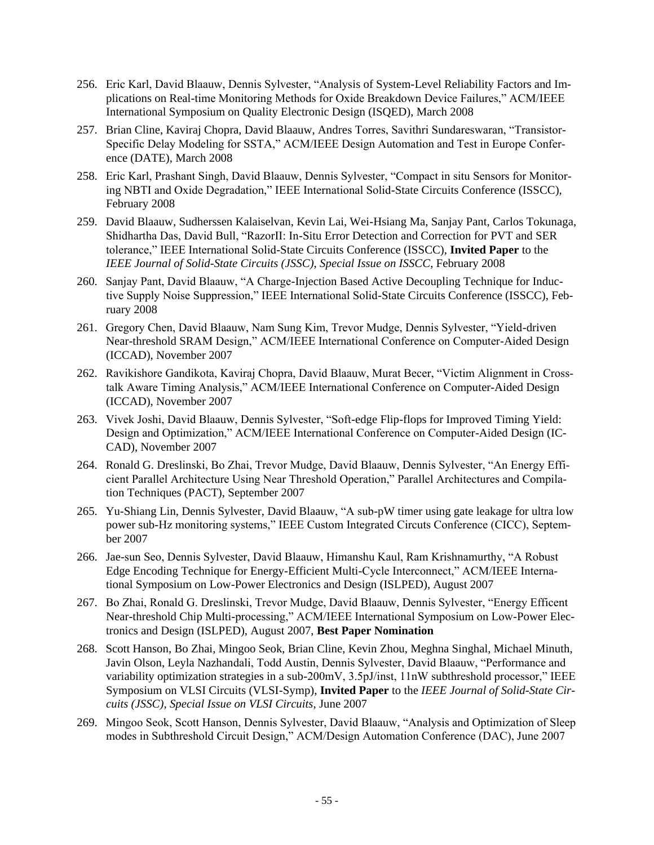- 256. Eric Karl, David Blaauw, Dennis Sylvester, "Analysis of System-Level Reliability Factors and Implications on Real-time Monitoring Methods for Oxide Breakdown Device Failures," ACM/IEEE International Symposium on Quality Electronic Design (ISQED), March 2008
- 257. Brian Cline, Kaviraj Chopra, David Blaauw, Andres Torres, Savithri Sundareswaran, "Transistor-Specific Delay Modeling for SSTA," ACM/IEEE Design Automation and Test in Europe Conference (DATE), March 2008
- 258. Eric Karl, Prashant Singh, David Blaauw, Dennis Sylvester, "Compact in situ Sensors for Monitoring NBTI and Oxide Degradation," IEEE International Solid-State Circuits Conference (ISSCC), February 2008
- 259. David Blaauw, Sudherssen Kalaiselvan, Kevin Lai, Wei-Hsiang Ma, Sanjay Pant, Carlos Tokunaga, Shidhartha Das, David Bull, "RazorII: In-Situ Error Detection and Correction for PVT and SER tolerance," IEEE International Solid-State Circuits Conference (ISSCC), **Invited Paper** to the *IEEE Journal of Solid-State Circuits (JSSC)*, *Special Issue on ISSCC*, February 2008
- 260. Sanjay Pant, David Blaauw, "A Charge-Injection Based Active Decoupling Technique for Inductive Supply Noise Suppression," IEEE International Solid-State Circuits Conference (ISSCC), February 2008
- 261. Gregory Chen, David Blaauw, Nam Sung Kim, Trevor Mudge, Dennis Sylvester, "Yield-driven Near-threshold SRAM Design," ACM/IEEE International Conference on Computer-Aided Design (ICCAD), November 2007
- 262. Ravikishore Gandikota, Kaviraj Chopra, David Blaauw, Murat Becer, "Victim Alignment in Crosstalk Aware Timing Analysis," ACM/IEEE International Conference on Computer-Aided Design (ICCAD), November 2007
- 263. Vivek Joshi, David Blaauw, Dennis Sylvester, "Soft-edge Flip-flops for Improved Timing Yield: Design and Optimization," ACM/IEEE International Conference on Computer-Aided Design (IC-CAD), November 2007
- 264. Ronald G. Dreslinski, Bo Zhai, Trevor Mudge, David Blaauw, Dennis Sylvester, "An Energy Efficient Parallel Architecture Using Near Threshold Operation," Parallel Architectures and Compilation Techniques (PACT), September 2007
- 265. Yu-Shiang Lin, Dennis Sylvester, David Blaauw, "A sub-pW timer using gate leakage for ultra low power sub-Hz monitoring systems," IEEE Custom Integrated Circuts Conference (CICC), September 2007
- 266. Jae-sun Seo, Dennis Sylvester, David Blaauw, Himanshu Kaul, Ram Krishnamurthy, "A Robust Edge Encoding Technique for Energy-Efficient Multi-Cycle Interconnect," ACM/IEEE International Symposium on Low-Power Electronics and Design (ISLPED), August 2007
- 267. Bo Zhai, Ronald G. Dreslinski, Trevor Mudge, David Blaauw, Dennis Sylvester, "Energy Efficent Near-threshold Chip Multi-processing," ACM/IEEE International Symposium on Low-Power Electronics and Design (ISLPED), August 2007, **Best Paper Nomination**
- 268. Scott Hanson, Bo Zhai, Mingoo Seok, Brian Cline, Kevin Zhou, Meghna Singhal, Michael Minuth, Javin Olson, Leyla Nazhandali, Todd Austin, Dennis Sylvester, David Blaauw, "Performance and variability optimization strategies in a sub-200mV, 3.5pJ/inst, 11nW subthreshold processor," IEEE Symposium on VLSI Circuits (VLSI-Symp), **Invited Paper** to the *IEEE Journal of Solid-State Circuits (JSSC)*, *Special Issue on VLSI Circuits*, June 2007
- 269. Mingoo Seok, Scott Hanson, Dennis Sylvester, David Blaauw, "Analysis and Optimization of Sleep modes in Subthreshold Circuit Design," ACM/Design Automation Conference (DAC), June 2007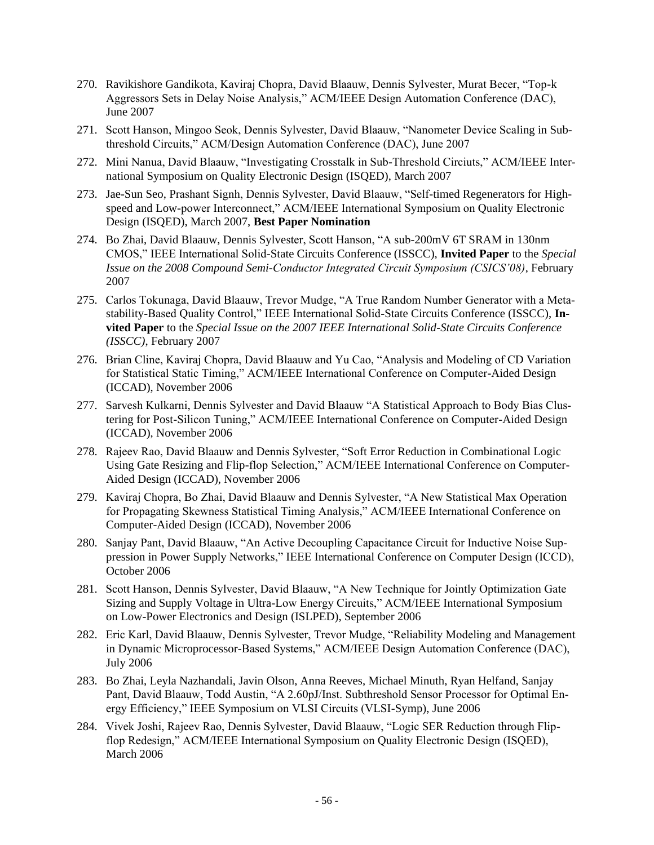- 270. Ravikishore Gandikota, Kaviraj Chopra, David Blaauw, Dennis Sylvester, Murat Becer, "Top-k Aggressors Sets in Delay Noise Analysis," ACM/IEEE Design Automation Conference (DAC), June 2007
- 271. Scott Hanson, Mingoo Seok, Dennis Sylvester, David Blaauw, "Nanometer Device Scaling in Subthreshold Circuits," ACM/Design Automation Conference (DAC), June 2007
- 272. Mini Nanua, David Blaauw, "Investigating Crosstalk in Sub-Threshold Circiuts," ACM/IEEE International Symposium on Quality Electronic Design (ISQED), March 2007
- 273. Jae-Sun Seo, Prashant Signh, Dennis Sylvester, David Blaauw, "Self-timed Regenerators for Highspeed and Low-power Interconnect," ACM/IEEE International Symposium on Quality Electronic Design (ISQED), March 2007, **Best Paper Nomination**
- 274. Bo Zhai, David Blaauw, Dennis Sylvester, Scott Hanson, "A sub-200mV 6T SRAM in 130nm CMOS," IEEE International Solid-State Circuits Conference (ISSCC), **Invited Paper** to the *Special Issue on the 2008 Compound Semi-Conductor Integrated Circuit Symposium (CSICS'08)*, February 2007
- 275. Carlos Tokunaga, David Blaauw, Trevor Mudge, "A True Random Number Generator with a Metastability-Based Quality Control," IEEE International Solid-State Circuits Conference (ISSCC), **Invited Paper** to the *Special Issue on the 2007 IEEE International Solid-State Circuits Conference (ISSCC)*, February 2007
- 276. Brian Cline, Kaviraj Chopra, David Blaauw and Yu Cao, "Analysis and Modeling of CD Variation for Statistical Static Timing," ACM/IEEE International Conference on Computer-Aided Design (ICCAD), November 2006
- 277. Sarvesh Kulkarni, Dennis Sylvester and David Blaauw "A Statistical Approach to Body Bias Clustering for Post-Silicon Tuning," ACM/IEEE International Conference on Computer-Aided Design (ICCAD), November 2006
- 278. Rajeev Rao, David Blaauw and Dennis Sylvester, "Soft Error Reduction in Combinational Logic Using Gate Resizing and Flip-flop Selection," ACM/IEEE International Conference on Computer-Aided Design (ICCAD), November 2006
- 279. Kaviraj Chopra, Bo Zhai, David Blaauw and Dennis Sylvester, "A New Statistical Max Operation for Propagating Skewness Statistical Timing Analysis," ACM/IEEE International Conference on Computer-Aided Design (ICCAD), November 2006
- 280. Sanjay Pant, David Blaauw, "An Active Decoupling Capacitance Circuit for Inductive Noise Suppression in Power Supply Networks," IEEE International Conference on Computer Design (ICCD), October 2006
- 281. Scott Hanson, Dennis Sylvester, David Blaauw, "A New Technique for Jointly Optimization Gate Sizing and Supply Voltage in Ultra-Low Energy Circuits," ACM/IEEE International Symposium on Low-Power Electronics and Design (ISLPED), September 2006
- 282. Eric Karl, David Blaauw, Dennis Sylvester, Trevor Mudge, "Reliability Modeling and Management in Dynamic Microprocessor-Based Systems," ACM/IEEE Design Automation Conference (DAC), July 2006
- 283. Bo Zhai, Leyla Nazhandali, Javin Olson, Anna Reeves, Michael Minuth, Ryan Helfand, Sanjay Pant, David Blaauw, Todd Austin, "A 2.60pJ/Inst. Subthreshold Sensor Processor for Optimal Energy Efficiency," IEEE Symposium on VLSI Circuits (VLSI-Symp), June 2006
- 284. Vivek Joshi, Rajeev Rao, Dennis Sylvester, David Blaauw, "Logic SER Reduction through Flipflop Redesign," ACM/IEEE International Symposium on Quality Electronic Design (ISQED), March 2006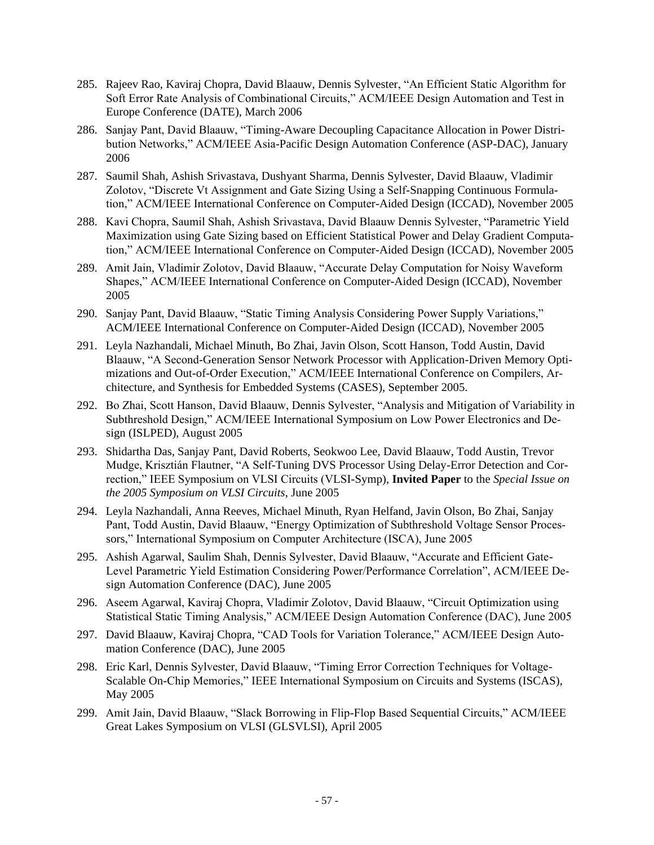- 285. Rajeev Rao, Kaviraj Chopra, David Blaauw, Dennis Sylvester, "An Efficient Static Algorithm for Soft Error Rate Analysis of Combinational Circuits," ACM/IEEE Design Automation and Test in Europe Conference (DATE), March 2006
- 286. Sanjay Pant, David Blaauw, "Timing-Aware Decoupling Capacitance Allocation in Power Distribution Networks," ACM/IEEE Asia-Pacific Design Automation Conference (ASP-DAC), January 2006
- 287. Saumil Shah, Ashish Srivastava, Dushyant Sharma, Dennis Sylvester, David Blaauw, Vladimir Zolotov, "Discrete Vt Assignment and Gate Sizing Using a Self-Snapping Continuous Formulation," ACM/IEEE International Conference on Computer-Aided Design (ICCAD), November 2005
- 288. Kavi Chopra, Saumil Shah, Ashish Srivastava, David Blaauw Dennis Sylvester, "Parametric Yield Maximization using Gate Sizing based on Efficient Statistical Power and Delay Gradient Computation," ACM/IEEE International Conference on Computer-Aided Design (ICCAD), November 2005
- 289. Amit Jain, Vladimir Zolotov, David Blaauw, "Accurate Delay Computation for Noisy Waveform Shapes," ACM/IEEE International Conference on Computer-Aided Design (ICCAD), November 2005
- 290. Sanjay Pant, David Blaauw, "Static Timing Analysis Considering Power Supply Variations," ACM/IEEE International Conference on Computer-Aided Design (ICCAD), November 2005
- 291. Leyla Nazhandali, Michael Minuth, Bo Zhai, Javin Olson, Scott Hanson, Todd Austin, David Blaauw, "A Second-Generation Sensor Network Processor with Application-Driven Memory Optimizations and Out-of-Order Execution," ACM/IEEE International Conference on Compilers, Architecture, and Synthesis for Embedded Systems (CASES), September 2005.
- 292. Bo Zhai, Scott Hanson, David Blaauw, Dennis Sylvester, "Analysis and Mitigation of Variability in Subthreshold Design," ACM/IEEE International Symposium on Low Power Electronics and Design (ISLPED), August 2005
- 293. Shidartha Das, Sanjay Pant, David Roberts, Seokwoo Lee, David Blaauw, Todd Austin, Trevor Mudge, Krisztián Flautner, "A Self-Tuning DVS Processor Using Delay-Error Detection and Correction," IEEE Symposium on VLSI Circuits (VLSI-Symp), **Invited Paper** to the *Special Issue on the 2005 Symposium on VLSI Circuits*, June 2005
- 294. Leyla Nazhandali, Anna Reeves, Michael Minuth, Ryan Helfand, Javin Olson, Bo Zhai, Sanjay Pant, Todd Austin, David Blaauw, "Energy Optimization of Subthreshold Voltage Sensor Processors," International Symposium on Computer Architecture (ISCA), June 2005
- 295. Ashish Agarwal, Saulim Shah, Dennis Sylvester, David Blaauw, "Accurate and Efficient Gate-Level Parametric Yield Estimation Considering Power/Performance Correlation", ACM/IEEE Design Automation Conference (DAC), June 2005
- 296. Aseem Agarwal, Kaviraj Chopra, Vladimir Zolotov, David Blaauw, "Circuit Optimization using Statistical Static Timing Analysis," ACM/IEEE Design Automation Conference (DAC), June 2005
- 297. David Blaauw, Kaviraj Chopra, "CAD Tools for Variation Tolerance," ACM/IEEE Design Automation Conference (DAC), June 2005
- 298. Eric Karl, Dennis Sylvester, David Blaauw, "Timing Error Correction Techniques for Voltage-Scalable On-Chip Memories," IEEE International Symposium on Circuits and Systems (ISCAS), May 2005
- 299. Amit Jain, David Blaauw, "Slack Borrowing in Flip-Flop Based Sequential Circuits," ACM/IEEE Great Lakes Symposium on VLSI (GLSVLSI), April 2005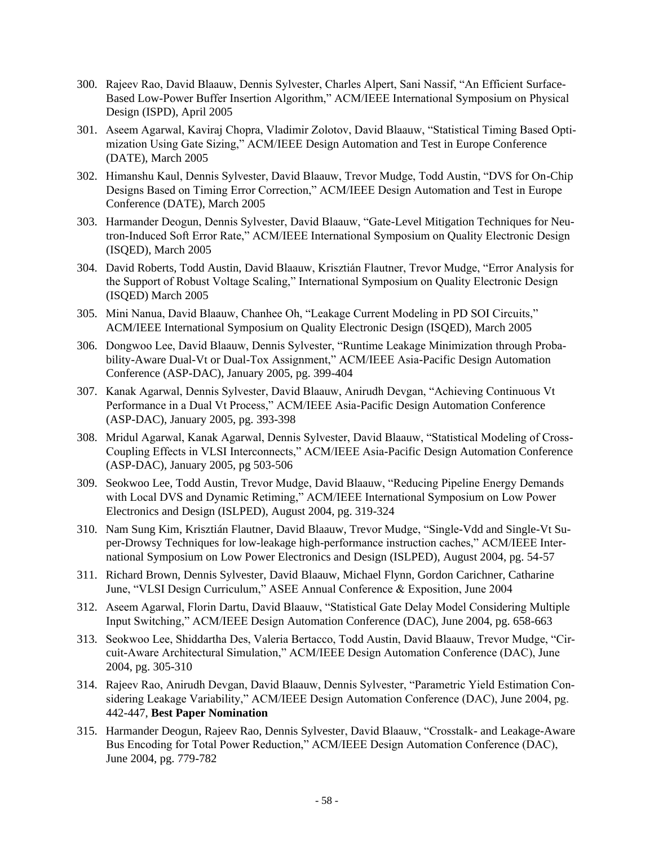- 300. Rajeev Rao, David Blaauw, Dennis Sylvester, Charles Alpert, Sani Nassif, "An Efficient Surface-Based Low-Power Buffer Insertion Algorithm," ACM/IEEE International Symposium on Physical Design (ISPD), April 2005
- 301. Aseem Agarwal, Kaviraj Chopra, Vladimir Zolotov, David Blaauw, "Statistical Timing Based Optimization Using Gate Sizing," ACM/IEEE Design Automation and Test in Europe Conference (DATE), March 2005
- 302. Himanshu Kaul, Dennis Sylvester, David Blaauw, Trevor Mudge, Todd Austin, "DVS for On-Chip Designs Based on Timing Error Correction," ACM/IEEE Design Automation and Test in Europe Conference (DATE), March 2005
- 303. Harmander Deogun, Dennis Sylvester, David Blaauw, "Gate-Level Mitigation Techniques for Neutron-Induced Soft Error Rate," ACM/IEEE International Symposium on Quality Electronic Design (ISQED), March 2005
- 304. David Roberts, Todd Austin, David Blaauw, Krisztián Flautner, Trevor Mudge, "Error Analysis for the Support of Robust Voltage Scaling," International Symposium on Quality Electronic Design (ISQED) March 2005
- 305. Mini Nanua, David Blaauw, Chanhee Oh, "Leakage Current Modeling in PD SOI Circuits," ACM/IEEE International Symposium on Quality Electronic Design (ISQED), March 2005
- 306. Dongwoo Lee, David Blaauw, Dennis Sylvester, "Runtime Leakage Minimization through Probability-Aware Dual-Vt or Dual-Tox Assignment," ACM/IEEE Asia-Pacific Design Automation Conference (ASP-DAC), January 2005, pg. 399-404
- 307. Kanak Agarwal, Dennis Sylvester, David Blaauw, Anirudh Devgan, "Achieving Continuous Vt Performance in a Dual Vt Process," ACM/IEEE Asia-Pacific Design Automation Conference (ASP-DAC), January 2005, pg. 393-398
- 308. Mridul Agarwal, Kanak Agarwal, Dennis Sylvester, David Blaauw, "Statistical Modeling of Cross-Coupling Effects in VLSI Interconnects," ACM/IEEE Asia-Pacific Design Automation Conference (ASP-DAC), January 2005, pg 503-506
- 309. Seokwoo Lee, Todd Austin, Trevor Mudge, David Blaauw, "Reducing Pipeline Energy Demands with Local DVS and Dynamic Retiming," ACM/IEEE International Symposium on Low Power Electronics and Design (ISLPED), August 2004, pg. 319-324
- 310. Nam Sung Kim, Krisztián Flautner, David Blaauw, Trevor Mudge, "Single-Vdd and Single-Vt Super-Drowsy Techniques for low-leakage high-performance instruction caches," ACM/IEEE International Symposium on Low Power Electronics and Design (ISLPED), August 2004, pg. 54-57
- 311. Richard Brown, Dennis Sylvester, David Blaauw, Michael Flynn, Gordon Carichner, Catharine June, "VLSI Design Curriculum," ASEE Annual Conference & Exposition, June 2004
- 312. Aseem Agarwal, Florin Dartu, David Blaauw, "Statistical Gate Delay Model Considering Multiple Input Switching," ACM/IEEE Design Automation Conference (DAC), June 2004, pg. 658-663
- 313. Seokwoo Lee, Shiddartha Des, Valeria Bertacco, Todd Austin, David Blaauw, Trevor Mudge, "Circuit-Aware Architectural Simulation," ACM/IEEE Design Automation Conference (DAC), June 2004, pg. 305-310
- 314. Rajeev Rao, Anirudh Devgan, David Blaauw, Dennis Sylvester, "Parametric Yield Estimation Considering Leakage Variability," ACM/IEEE Design Automation Conference (DAC), June 2004, pg. 442-447, **Best Paper Nomination**
- 315. Harmander Deogun, Rajeev Rao, Dennis Sylvester, David Blaauw, "Crosstalk- and Leakage-Aware Bus Encoding for Total Power Reduction," ACM/IEEE Design Automation Conference (DAC), June 2004, pg. 779-782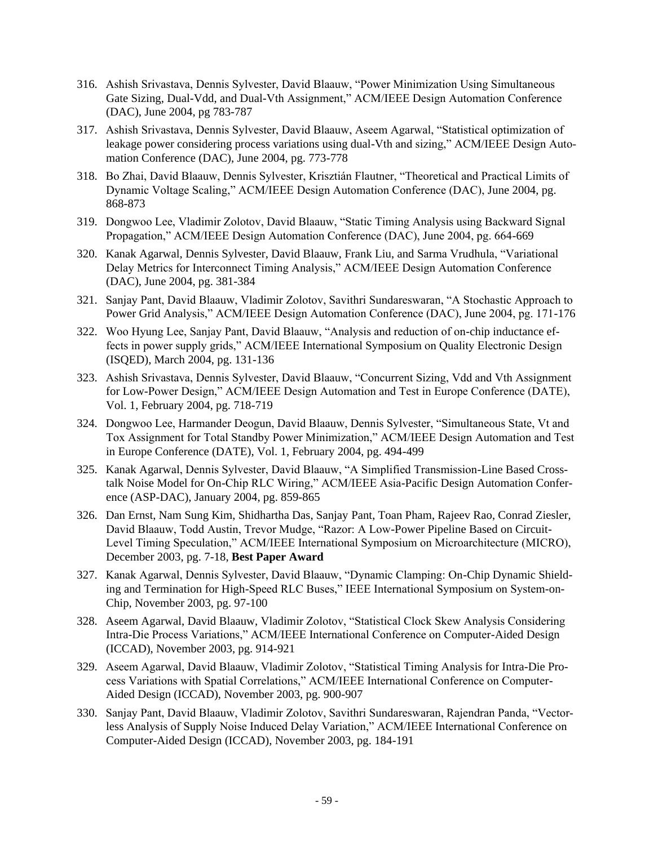- 316. Ashish Srivastava, Dennis Sylvester, David Blaauw, "Power Minimization Using Simultaneous Gate Sizing, Dual-Vdd, and Dual-Vth Assignment," ACM/IEEE Design Automation Conference (DAC), June 2004, pg 783-787
- 317. Ashish Srivastava, Dennis Sylvester, David Blaauw, Aseem Agarwal, "Statistical optimization of leakage power considering process variations using dual-Vth and sizing," ACM/IEEE Design Automation Conference (DAC), June 2004, pg. 773-778
- 318. Bo Zhai, David Blaauw, Dennis Sylvester, Krisztián Flautner, "Theoretical and Practical Limits of Dynamic Voltage Scaling," ACM/IEEE Design Automation Conference (DAC), June 2004, pg. 868-873
- 319. Dongwoo Lee, Vladimir Zolotov, David Blaauw, "Static Timing Analysis using Backward Signal Propagation," ACM/IEEE Design Automation Conference (DAC), June 2004, pg. 664-669
- 320. Kanak Agarwal, Dennis Sylvester, David Blaauw, Frank Liu, and Sarma Vrudhula, "Variational Delay Metrics for Interconnect Timing Analysis," ACM/IEEE Design Automation Conference (DAC), June 2004, pg. 381-384
- 321. Sanjay Pant, David Blaauw, Vladimir Zolotov, Savithri Sundareswaran, "A Stochastic Approach to Power Grid Analysis," ACM/IEEE Design Automation Conference (DAC), June 2004, pg. 171-176
- 322. Woo Hyung Lee, Sanjay Pant, David Blaauw, "Analysis and reduction of on-chip inductance effects in power supply grids," ACM/IEEE International Symposium on Quality Electronic Design (ISQED), March 2004, pg. 131-136
- 323. Ashish Srivastava, Dennis Sylvester, David Blaauw, "Concurrent Sizing, Vdd and Vth Assignment for Low-Power Design," ACM/IEEE Design Automation and Test in Europe Conference (DATE), Vol. 1, February 2004, pg. 718-719
- 324. Dongwoo Lee, Harmander Deogun, David Blaauw, Dennis Sylvester, "Simultaneous State, Vt and Tox Assignment for Total Standby Power Minimization," ACM/IEEE Design Automation and Test in Europe Conference (DATE), Vol. 1, February 2004, pg. 494-499
- 325. Kanak Agarwal, Dennis Sylvester, David Blaauw, "A Simplified Transmission-Line Based Crosstalk Noise Model for On-Chip RLC Wiring," ACM/IEEE Asia-Pacific Design Automation Conference (ASP-DAC), January 2004, pg. 859-865
- 326. Dan Ernst, Nam Sung Kim, Shidhartha Das, Sanjay Pant, Toan Pham, Rajeev Rao, Conrad Ziesler, David Blaauw, Todd Austin, Trevor Mudge, "Razor: A Low-Power Pipeline Based on Circuit-Level Timing Speculation," ACM/IEEE International Symposium on Microarchitecture (MICRO), December 2003, pg. 7-18, **Best Paper Award**
- 327. Kanak Agarwal, Dennis Sylvester, David Blaauw, "Dynamic Clamping: On-Chip Dynamic Shielding and Termination for High-Speed RLC Buses," IEEE International Symposium on System-on-Chip, November 2003, pg. 97-100
- 328. Aseem Agarwal, David Blaauw, Vladimir Zolotov, "Statistical Clock Skew Analysis Considering Intra-Die Process Variations," ACM/IEEE International Conference on Computer-Aided Design (ICCAD), November 2003, pg. 914-921
- 329. Aseem Agarwal, David Blaauw, Vladimir Zolotov, "Statistical Timing Analysis for Intra-Die Process Variations with Spatial Correlations," ACM/IEEE International Conference on Computer-Aided Design (ICCAD), November 2003, pg. 900-907
- 330. Sanjay Pant, David Blaauw, Vladimir Zolotov, Savithri Sundareswaran, Rajendran Panda, "Vectorless Analysis of Supply Noise Induced Delay Variation," ACM/IEEE International Conference on Computer-Aided Design (ICCAD), November 2003, pg. 184-191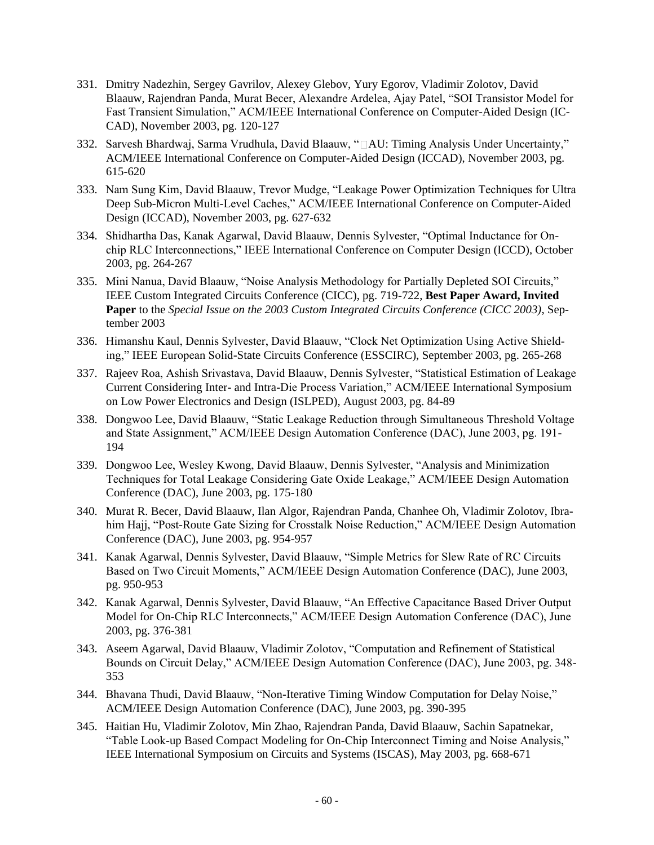- 331. Dmitry Nadezhin, Sergey Gavrilov, Alexey Glebov, Yury Egorov, Vladimir Zolotov, David Blaauw, Rajendran Panda, Murat Becer, Alexandre Ardelea, Ajay Patel, "SOI Transistor Model for Fast Transient Simulation," ACM/IEEE International Conference on Computer-Aided Design (IC-CAD), November 2003, pg. 120-127
- 332. Sarvesh Bhardwaj, Sarma Vrudhula, David Blaauw, "<sup>
</sup>
<sub>AU</sub>: Timing Analysis Under Uncertainty," ACM/IEEE International Conference on Computer-Aided Design (ICCAD), November 2003, pg. 615-620
- 333. Nam Sung Kim, David Blaauw, Trevor Mudge, "Leakage Power Optimization Techniques for Ultra Deep Sub-Micron Multi-Level Caches," ACM/IEEE International Conference on Computer-Aided Design (ICCAD), November 2003, pg. 627-632
- 334. Shidhartha Das, Kanak Agarwal, David Blaauw, Dennis Sylvester, "Optimal Inductance for Onchip RLC Interconnections," IEEE International Conference on Computer Design (ICCD), October 2003, pg. 264-267
- 335. Mini Nanua, David Blaauw, "Noise Analysis Methodology for Partially Depleted SOI Circuits," IEEE Custom Integrated Circuits Conference (CICC), pg. 719-722, **Best Paper Award, Invited Paper** to the *Special Issue on the 2003 Custom Integrated Circuits Conference (CICC 2003)*, September 2003
- 336. Himanshu Kaul, Dennis Sylvester, David Blaauw, "Clock Net Optimization Using Active Shielding," IEEE European Solid-State Circuits Conference (ESSCIRC), September 2003, pg. 265-268
- 337. Rajeev Roa, Ashish Srivastava, David Blaauw, Dennis Sylvester, "Statistical Estimation of Leakage Current Considering Inter- and Intra-Die Process Variation," ACM/IEEE International Symposium on Low Power Electronics and Design (ISLPED), August 2003, pg. 84-89
- 338. Dongwoo Lee, David Blaauw, "Static Leakage Reduction through Simultaneous Threshold Voltage and State Assignment," ACM/IEEE Design Automation Conference (DAC), June 2003, pg. 191- 194
- 339. Dongwoo Lee, Wesley Kwong, David Blaauw, Dennis Sylvester, "Analysis and Minimization Techniques for Total Leakage Considering Gate Oxide Leakage," ACM/IEEE Design Automation Conference (DAC), June 2003, pg. 175-180
- 340. Murat R. Becer, David Blaauw, Ilan Algor, Rajendran Panda, Chanhee Oh, Vladimir Zolotov, Ibrahim Hajj, "Post-Route Gate Sizing for Crosstalk Noise Reduction," ACM/IEEE Design Automation Conference (DAC), June 2003, pg. 954-957
- 341. Kanak Agarwal, Dennis Sylvester, David Blaauw, "Simple Metrics for Slew Rate of RC Circuits Based on Two Circuit Moments," ACM/IEEE Design Automation Conference (DAC), June 2003, pg. 950-953
- 342. Kanak Agarwal, Dennis Sylvester, David Blaauw, "An Effective Capacitance Based Driver Output Model for On-Chip RLC Interconnects," ACM/IEEE Design Automation Conference (DAC), June 2003, pg. 376-381
- 343. Aseem Agarwal, David Blaauw, Vladimir Zolotov, "Computation and Refinement of Statistical Bounds on Circuit Delay," ACM/IEEE Design Automation Conference (DAC), June 2003, pg. 348- 353
- 344. Bhavana Thudi, David Blaauw, "Non-Iterative Timing Window Computation for Delay Noise," ACM/IEEE Design Automation Conference (DAC), June 2003, pg. 390-395
- 345. Haitian Hu, Vladimir Zolotov, Min Zhao, Rajendran Panda, David Blaauw, Sachin Sapatnekar, "Table Look-up Based Compact Modeling for On-Chip Interconnect Timing and Noise Analysis," IEEE International Symposium on Circuits and Systems (ISCAS), May 2003, pg. 668-671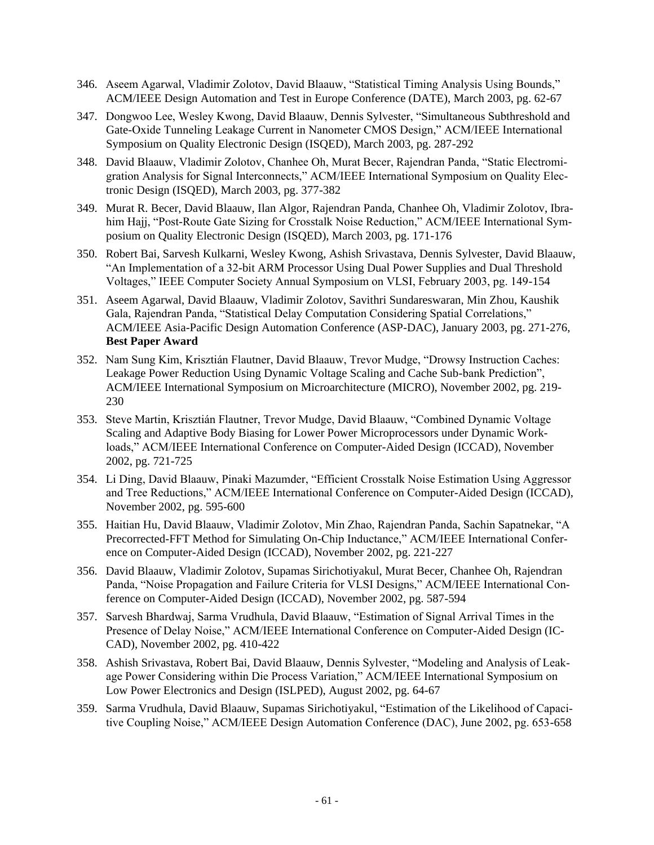- 346. Aseem Agarwal, Vladimir Zolotov, David Blaauw, "Statistical Timing Analysis Using Bounds," ACM/IEEE Design Automation and Test in Europe Conference (DATE), March 2003, pg. 62-67
- 347. Dongwoo Lee, Wesley Kwong, David Blaauw, Dennis Sylvester, "Simultaneous Subthreshold and Gate-Oxide Tunneling Leakage Current in Nanometer CMOS Design," ACM/IEEE International Symposium on Quality Electronic Design (ISQED), March 2003, pg. 287-292
- 348. David Blaauw, Vladimir Zolotov, Chanhee Oh, Murat Becer, Rajendran Panda, "Static Electromigration Analysis for Signal Interconnects," ACM/IEEE International Symposium on Quality Electronic Design (ISQED), March 2003, pg. 377-382
- 349. Murat R. Becer, David Blaauw, Ilan Algor, Rajendran Panda, Chanhee Oh, Vladimir Zolotov, Ibrahim Hajj, "Post-Route Gate Sizing for Crosstalk Noise Reduction," ACM/IEEE International Symposium on Quality Electronic Design (ISQED), March 2003, pg. 171-176
- 350. Robert Bai, Sarvesh Kulkarni, Wesley Kwong, Ashish Srivastava, Dennis Sylvester, David Blaauw, "An Implementation of a 32-bit ARM Processor Using Dual Power Supplies and Dual Threshold Voltages," IEEE Computer Society Annual Symposium on VLSI, February 2003, pg. 149-154
- 351. Aseem Agarwal, David Blaauw, Vladimir Zolotov, Savithri Sundareswaran, Min Zhou, Kaushik Gala, Rajendran Panda, "Statistical Delay Computation Considering Spatial Correlations," ACM/IEEE Asia-Pacific Design Automation Conference (ASP-DAC), January 2003, pg. 271-276, **Best Paper Award**
- 352. Nam Sung Kim, Krisztián Flautner, David Blaauw, Trevor Mudge, "Drowsy Instruction Caches: Leakage Power Reduction Using Dynamic Voltage Scaling and Cache Sub-bank Prediction", ACM/IEEE International Symposium on Microarchitecture (MICRO), November 2002, pg. 219- 230
- 353. Steve Martin, Krisztián Flautner, Trevor Mudge, David Blaauw, "Combined Dynamic Voltage Scaling and Adaptive Body Biasing for Lower Power Microprocessors under Dynamic Workloads," ACM/IEEE International Conference on Computer-Aided Design (ICCAD), November 2002, pg. 721-725
- 354. Li Ding, David Blaauw, Pinaki Mazumder, "Efficient Crosstalk Noise Estimation Using Aggressor and Tree Reductions," ACM/IEEE International Conference on Computer-Aided Design (ICCAD), November 2002, pg. 595-600
- 355. Haitian Hu, David Blaauw, Vladimir Zolotov, Min Zhao, Rajendran Panda, Sachin Sapatnekar, "A Precorrected-FFT Method for Simulating On-Chip Inductance," ACM/IEEE International Conference on Computer-Aided Design (ICCAD), November 2002, pg. 221-227
- 356. David Blaauw, Vladimir Zolotov, Supamas Sirichotiyakul, Murat Becer, Chanhee Oh, Rajendran Panda, "Noise Propagation and Failure Criteria for VLSI Designs," ACM/IEEE International Conference on Computer-Aided Design (ICCAD), November 2002, pg. 587-594
- 357. Sarvesh Bhardwaj, Sarma Vrudhula, David Blaauw, "Estimation of Signal Arrival Times in the Presence of Delay Noise," ACM/IEEE International Conference on Computer-Aided Design (IC-CAD), November 2002, pg. 410-422
- 358. Ashish Srivastava, Robert Bai, David Blaauw, Dennis Sylvester, "Modeling and Analysis of Leakage Power Considering within Die Process Variation," ACM/IEEE International Symposium on Low Power Electronics and Design (ISLPED), August 2002, pg. 64-67
- 359. Sarma Vrudhula, David Blaauw, Supamas Sirichotiyakul, "Estimation of the Likelihood of Capacitive Coupling Noise," ACM/IEEE Design Automation Conference (DAC), June 2002, pg. 653-658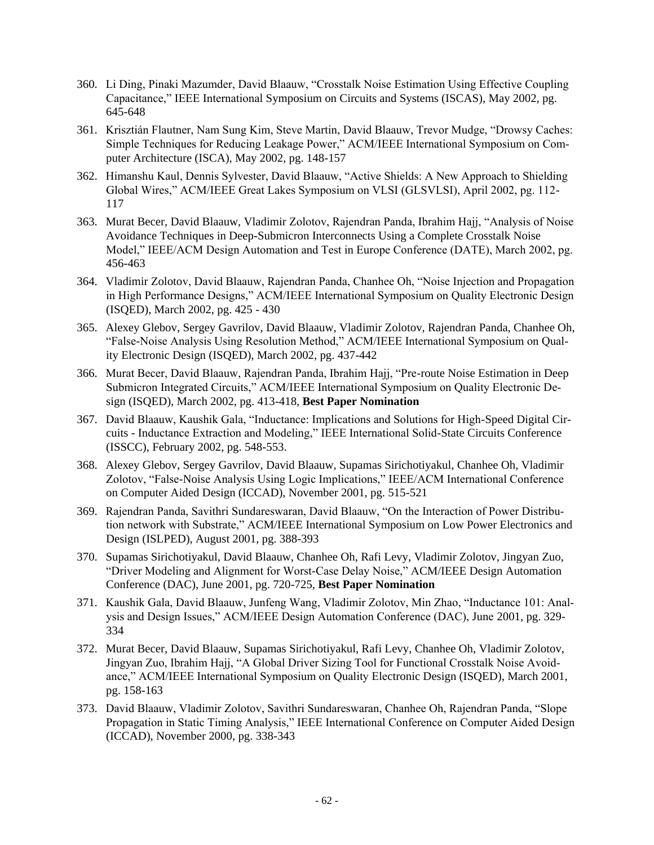- 360. Li Ding, Pinaki Mazumder, David Blaauw, "Crosstalk Noise Estimation Using Effective Coupling Capacitance," IEEE International Symposium on Circuits and Systems (ISCAS), May 2002, pg. 645-648
- 361. Krisztián Flautner, Nam Sung Kim, Steve Martin, David Blaauw, Trevor Mudge, "Drowsy Caches: Simple Techniques for Reducing Leakage Power," ACM/IEEE International Symposium on Computer Architecture (ISCA), May 2002, pg. 148-157
- 362. Himanshu Kaul, Dennis Sylvester, David Blaauw, "Active Shields: A New Approach to Shielding Global Wires," ACM/IEEE Great Lakes Symposium on VLSI (GLSVLSI), April 2002, pg. 112- 117
- 363. Murat Becer, David Blaauw, Vladimir Zolotov, Rajendran Panda, Ibrahim Hajj, "Analysis of Noise Avoidance Techniques in Deep-Submicron Interconnects Using a Complete Crosstalk Noise Model," IEEE/ACM Design Automation and Test in Europe Conference (DATE), March 2002, pg. 456-463
- 364. Vladimir Zolotov, David Blaauw, Rajendran Panda, Chanhee Oh, "Noise Injection and Propagation in High Performance Designs," ACM/IEEE International Symposium on Quality Electronic Design (ISQED), March 2002, pg. 425 - 430
- 365. Alexey Glebov, Sergey Gavrilov, David Blaauw, Vladimir Zolotov, Rajendran Panda, Chanhee Oh, "False-Noise Analysis Using Resolution Method," ACM/IEEE International Symposium on Quality Electronic Design (ISQED), March 2002, pg. 437-442
- 366. Murat Becer, David Blaauw, Rajendran Panda, Ibrahim Hajj, "Pre-route Noise Estimation in Deep Submicron Integrated Circuits," ACM/IEEE International Symposium on Quality Electronic Design (ISQED), March 2002, pg. 413-418, **Best Paper Nomination**
- 367. David Blaauw, Kaushik Gala, "Inductance: Implications and Solutions for High-Speed Digital Circuits - Inductance Extraction and Modeling," IEEE International Solid-State Circuits Conference (ISSCC), February 2002, pg. 548-553.
- 368. Alexey Glebov, Sergey Gavrilov, David Blaauw, Supamas Sirichotiyakul, Chanhee Oh, Vladimir Zolotov, "False-Noise Analysis Using Logic Implications," IEEE/ACM International Conference on Computer Aided Design (ICCAD), November 2001, pg. 515-521
- 369. Rajendran Panda, Savithri Sundareswaran, David Blaauw, "On the Interaction of Power Distribution network with Substrate," ACM/IEEE International Symposium on Low Power Electronics and Design (ISLPED), August 2001, pg. 388-393
- 370. Supamas Sirichotiyakul, David Blaauw, Chanhee Oh, Rafi Levy, Vladimir Zolotov, Jingyan Zuo, "Driver Modeling and Alignment for Worst-Case Delay Noise," ACM/IEEE Design Automation Conference (DAC), June 2001, pg. 720-725, **Best Paper Nomination**
- 371. Kaushik Gala, David Blaauw, Junfeng Wang, Vladimir Zolotov, Min Zhao, "Inductance 101: Analysis and Design Issues," ACM/IEEE Design Automation Conference (DAC), June 2001, pg. 329- 334
- 372. Murat Becer, David Blaauw, Supamas Sirichotiyakul, Rafi Levy, Chanhee Oh, Vladimir Zolotov, Jingyan Zuo, Ibrahim Hajj, "A Global Driver Sizing Tool for Functional Crosstalk Noise Avoidance," ACM/IEEE International Symposium on Quality Electronic Design (ISQED), March 2001, pg. 158-163
- 373. David Blaauw, Vladimir Zolotov, Savithri Sundareswaran, Chanhee Oh, Rajendran Panda, "Slope Propagation in Static Timing Analysis," IEEE International Conference on Computer Aided Design (ICCAD), November 2000, pg. 338-343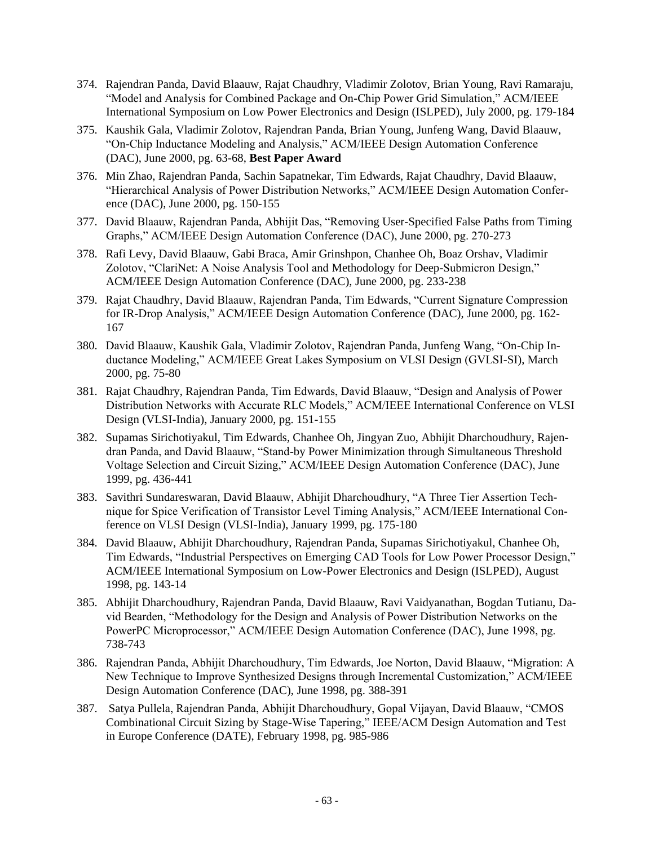- 374. Rajendran Panda, David Blaauw, Rajat Chaudhry, Vladimir Zolotov, Brian Young, Ravi Ramaraju, "Model and Analysis for Combined Package and On-Chip Power Grid Simulation," ACM/IEEE International Symposium on Low Power Electronics and Design (ISLPED), July 2000, pg. 179-184
- 375. Kaushik Gala, Vladimir Zolotov, Rajendran Panda, Brian Young, Junfeng Wang, David Blaauw, "On-Chip Inductance Modeling and Analysis," ACM/IEEE Design Automation Conference (DAC), June 2000, pg. 63-68, **Best Paper Award**
- 376. Min Zhao, Rajendran Panda, Sachin Sapatnekar, Tim Edwards, Rajat Chaudhry, David Blaauw, "Hierarchical Analysis of Power Distribution Networks," ACM/IEEE Design Automation Conference (DAC), June 2000, pg. 150-155
- 377. David Blaauw, Rajendran Panda, Abhijit Das, "Removing User-Specified False Paths from Timing Graphs," ACM/IEEE Design Automation Conference (DAC), June 2000, pg. 270-273
- 378. Rafi Levy, David Blaauw, Gabi Braca, Amir Grinshpon, Chanhee Oh, Boaz Orshav, Vladimir Zolotov, "ClariNet: A Noise Analysis Tool and Methodology for Deep-Submicron Design," ACM/IEEE Design Automation Conference (DAC), June 2000, pg. 233-238
- 379. Rajat Chaudhry, David Blaauw, Rajendran Panda, Tim Edwards, "Current Signature Compression for IR-Drop Analysis," ACM/IEEE Design Automation Conference (DAC), June 2000, pg. 162- 167
- 380. David Blaauw, Kaushik Gala, Vladimir Zolotov, Rajendran Panda, Junfeng Wang, "On-Chip Inductance Modeling," ACM/IEEE Great Lakes Symposium on VLSI Design (GVLSI-SI), March 2000, pg. 75-80
- 381. Rajat Chaudhry, Rajendran Panda, Tim Edwards, David Blaauw, "Design and Analysis of Power Distribution Networks with Accurate RLC Models," ACM/IEEE International Conference on VLSI Design (VLSI-India), January 2000, pg. 151-155
- 382. Supamas Sirichotiyakul, Tim Edwards, Chanhee Oh, Jingyan Zuo, Abhijit Dharchoudhury, Rajendran Panda, and David Blaauw, "Stand-by Power Minimization through Simultaneous Threshold Voltage Selection and Circuit Sizing," ACM/IEEE Design Automation Conference (DAC), June 1999, pg. 436-441
- 383. Savithri Sundareswaran, David Blaauw, Abhijit Dharchoudhury, "A Three Tier Assertion Technique for Spice Verification of Transistor Level Timing Analysis," ACM/IEEE International Conference on VLSI Design (VLSI-India), January 1999, pg. 175-180
- 384. David Blaauw, Abhijit Dharchoudhury, Rajendran Panda, Supamas Sirichotiyakul, Chanhee Oh, Tim Edwards, "Industrial Perspectives on Emerging CAD Tools for Low Power Processor Design," ACM/IEEE International Symposium on Low-Power Electronics and Design (ISLPED), August 1998, pg. 143-14
- 385. Abhijit Dharchoudhury, Rajendran Panda, David Blaauw, Ravi Vaidyanathan, Bogdan Tutianu, David Bearden, "Methodology for the Design and Analysis of Power Distribution Networks on the PowerPC Microprocessor," ACM/IEEE Design Automation Conference (DAC), June 1998, pg. 738-743
- 386. Rajendran Panda, Abhijit Dharchoudhury, Tim Edwards, Joe Norton, David Blaauw, "Migration: A New Technique to Improve Synthesized Designs through Incremental Customization," ACM/IEEE Design Automation Conference (DAC), June 1998, pg. 388-391
- 387. Satya Pullela, Rajendran Panda, Abhijit Dharchoudhury, Gopal Vijayan, David Blaauw, "CMOS Combinational Circuit Sizing by Stage-Wise Tapering," IEEE/ACM Design Automation and Test in Europe Conference (DATE), February 1998, pg. 985-986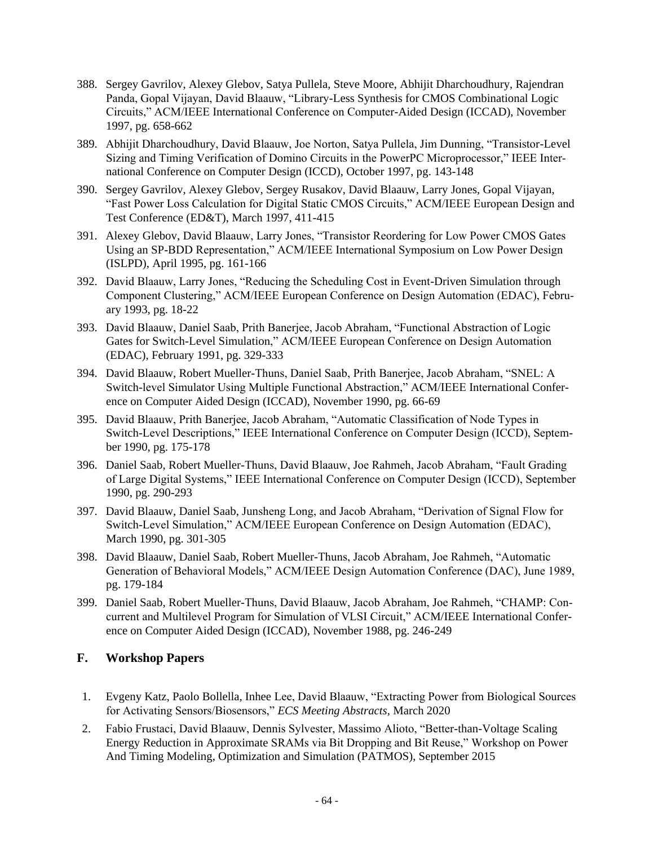- 388. Sergey Gavrilov, Alexey Glebov, Satya Pullela, Steve Moore, Abhijit Dharchoudhury, Rajendran Panda, Gopal Vijayan, David Blaauw, "Library-Less Synthesis for CMOS Combinational Logic Circuits," ACM/IEEE International Conference on Computer-Aided Design (ICCAD), November 1997, pg. 658-662
- 389. Abhijit Dharchoudhury, David Blaauw, Joe Norton, Satya Pullela, Jim Dunning, "Transistor-Level Sizing and Timing Verification of Domino Circuits in the PowerPC Microprocessor," IEEE International Conference on Computer Design (ICCD), October 1997, pg. 143-148
- 390. Sergey Gavrilov, Alexey Glebov, Sergey Rusakov, David Blaauw, Larry Jones, Gopal Vijayan, "Fast Power Loss Calculation for Digital Static CMOS Circuits," ACM/IEEE European Design and Test Conference (ED&T), March 1997, 411-415
- 391. Alexey Glebov, David Blaauw, Larry Jones, "Transistor Reordering for Low Power CMOS Gates Using an SP-BDD Representation," ACM/IEEE International Symposium on Low Power Design (ISLPD), April 1995, pg. 161-166
- 392. David Blaauw, Larry Jones, "Reducing the Scheduling Cost in Event-Driven Simulation through Component Clustering," ACM/IEEE European Conference on Design Automation (EDAC), February 1993, pg. 18-22
- 393. David Blaauw, Daniel Saab, Prith Banerjee, Jacob Abraham, "Functional Abstraction of Logic Gates for Switch-Level Simulation," ACM/IEEE European Conference on Design Automation (EDAC), February 1991, pg. 329-333
- 394. David Blaauw, Robert Mueller-Thuns, Daniel Saab, Prith Banerjee, Jacob Abraham, "SNEL: A Switch-level Simulator Using Multiple Functional Abstraction," ACM/IEEE International Conference on Computer Aided Design (ICCAD), November 1990, pg. 66-69
- 395. David Blaauw, Prith Banerjee, Jacob Abraham, "Automatic Classification of Node Types in Switch-Level Descriptions," IEEE International Conference on Computer Design (ICCD), September 1990, pg. 175-178
- 396. Daniel Saab, Robert Mueller-Thuns, David Blaauw, Joe Rahmeh, Jacob Abraham, "Fault Grading of Large Digital Systems," IEEE International Conference on Computer Design (ICCD), September 1990, pg. 290-293
- 397. David Blaauw, Daniel Saab, Junsheng Long, and Jacob Abraham, "Derivation of Signal Flow for Switch-Level Simulation," ACM/IEEE European Conference on Design Automation (EDAC), March 1990, pg. 301-305
- 398. David Blaauw, Daniel Saab, Robert Mueller-Thuns, Jacob Abraham, Joe Rahmeh, "Automatic Generation of Behavioral Models," ACM/IEEE Design Automation Conference (DAC), June 1989, pg. 179-184
- 399. Daniel Saab, Robert Mueller-Thuns, David Blaauw, Jacob Abraham, Joe Rahmeh, "CHAMP: Concurrent and Multilevel Program for Simulation of VLSI Circuit," ACM/IEEE International Conference on Computer Aided Design (ICCAD), November 1988, pg. 246-249

## **F. Workshop Papers**

- 1. Evgeny Katz, Paolo Bollella, Inhee Lee, David Blaauw, "Extracting Power from Biological Sources for Activating Sensors/Biosensors," *ECS Meeting Abstracts*, March 2020
- 2. Fabio Frustaci, David Blaauw, Dennis Sylvester, Massimo Alioto, "Better-than-Voltage Scaling Energy Reduction in Approximate SRAMs via Bit Dropping and Bit Reuse," Workshop on Power And Timing Modeling, Optimization and Simulation (PATMOS), September 2015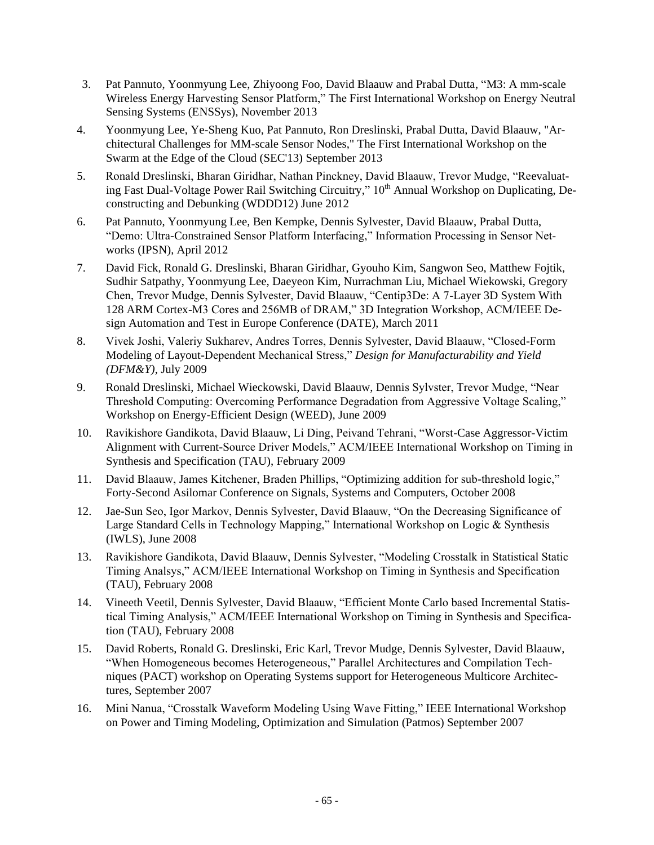- 3. Pat Pannuto, Yoonmyung Lee, Zhiyoong Foo, David Blaauw and Prabal Dutta, "M3: A mm-scale Wireless Energy Harvesting Sensor Platform," The First International Workshop on Energy Neutral Sensing Systems (ENSSys), November 2013
- 4. Yoonmyung Lee, Ye-Sheng Kuo, Pat Pannuto, Ron Dreslinski, Prabal Dutta, David Blaauw, "Architectural Challenges for MM-scale Sensor Nodes," The [First International Workshop on the](http://www.terraswarm.org/conferences/13/swarm/index.htm)  [Swarm at the Edge of the Cloud \(SEC'13\)](http://www.terraswarm.org/conferences/13/swarm/index.htm) September 2013
- 5. Ronald Dreslinski, Bharan Giridhar, Nathan Pinckney, David Blaauw, Trevor Mudge, "Reevaluating Fast Dual-Voltage Power Rail Switching Circuitry," 10<sup>th</sup> Annual Workshop on Duplicating, Deconstructing and Debunking (WDDD12) June 2012
- 6. Pat Pannuto, Yoonmyung Lee, Ben Kempke, Dennis Sylvester, David Blaauw, Prabal Dutta, "Demo: Ultra-Constrained Sensor Platform Interfacing," Information Processing in Sensor Networks (IPSN), April 2012
- 7. David Fick, Ronald G. Dreslinski, Bharan Giridhar, Gyouho Kim, Sangwon Seo, Matthew Fojtik, Sudhir Satpathy, Yoonmyung Lee, Daeyeon Kim, Nurrachman Liu, Michael Wiekowski, Gregory Chen, Trevor Mudge, Dennis Sylvester, David Blaauw, "Centip3De: A 7-Layer 3D System With 128 ARM Cortex-M3 Cores and 256MB of DRAM," 3D Integration Workshop, ACM/IEEE Design Automation and Test in Europe Conference (DATE), March 2011
- 8. Vivek Joshi, Valeriy Sukharev, Andres Torres, Dennis Sylvester, David Blaauw, "Closed-Form Modeling of Layout-Dependent Mechanical Stress," *Design for Manufacturability and Yield (DFM&Y)*, July 2009
- 9. Ronald Dreslinski, Michael Wieckowski, David Blaauw, Dennis Sylvster, Trevor Mudge, "Near Threshold Computing: Overcoming Performance Degradation from Aggressive Voltage Scaling," Workshop on Energy-Efficient Design (WEED), June 2009
- 10. Ravikishore Gandikota, David Blaauw, Li Ding, Peivand Tehrani, "Worst-Case Aggressor-Victim Alignment with Current-Source Driver Models," ACM/IEEE International Workshop on Timing in Synthesis and Specification (TAU), February 2009
- 11. David Blaauw, James Kitchener, Braden Phillips, "Optimizing addition for sub-threshold logic," Forty-Second Asilomar Conference on Signals, Systems and Computers, October 2008
- 12. Jae-Sun Seo, Igor Markov, Dennis Sylvester, David Blaauw, "On the Decreasing Significance of Large Standard Cells in Technology Mapping," International Workshop on Logic & Synthesis (IWLS), June 2008
- 13. Ravikishore Gandikota, David Blaauw, Dennis Sylvester, "Modeling Crosstalk in Statistical Static Timing Analsys," ACM/IEEE International Workshop on Timing in Synthesis and Specification (TAU), February 2008
- 14. Vineeth Veetil, Dennis Sylvester, David Blaauw, "Efficient Monte Carlo based Incremental Statistical Timing Analysis," ACM/IEEE International Workshop on Timing in Synthesis and Specification (TAU), February 2008
- 15. David Roberts, Ronald G. Dreslinski, Eric Karl, Trevor Mudge, Dennis Sylvester, David Blaauw, "When Homogeneous becomes Heterogeneous," Parallel Architectures and Compilation Techniques (PACT) workshop on Operating Systems support for Heterogeneous Multicore Architectures, September 2007
- 16. Mini Nanua, "Crosstalk Waveform Modeling Using Wave Fitting," IEEE International Workshop on Power and Timing Modeling, Optimization and Simulation (Patmos) September 2007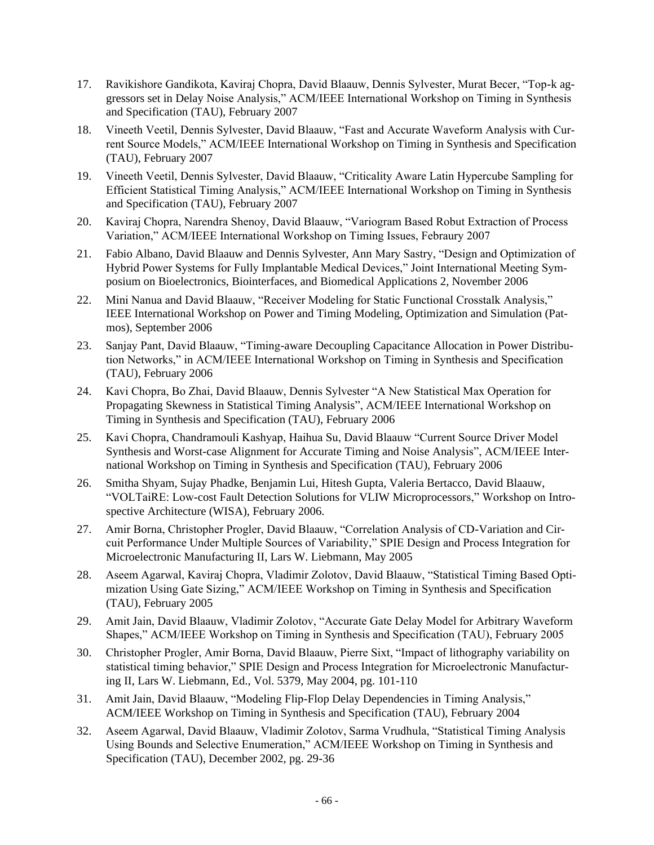- 17. Ravikishore Gandikota, Kaviraj Chopra, David Blaauw, Dennis Sylvester, Murat Becer, "Top-k aggressors set in Delay Noise Analysis," ACM/IEEE International Workshop on Timing in Synthesis and Specification (TAU), February 2007
- 18. Vineeth Veetil, Dennis Sylvester, David Blaauw, "Fast and Accurate Waveform Analysis with Current Source Models," ACM/IEEE International Workshop on Timing in Synthesis and Specification (TAU), February 2007
- 19. Vineeth Veetil, Dennis Sylvester, David Blaauw, "Criticality Aware Latin Hypercube Sampling for Efficient Statistical Timing Analysis," ACM/IEEE International Workshop on Timing in Synthesis and Specification (TAU), February 2007
- 20. Kaviraj Chopra, Narendra Shenoy, David Blaauw, "Variogram Based Robut Extraction of Process Variation," ACM/IEEE International Workshop on Timing Issues, Febraury 2007
- 21. Fabio Albano, David Blaauw and Dennis Sylvester, Ann Mary Sastry, "Design and Optimization of Hybrid Power Systems for Fully Implantable Medical Devices," Joint International Meeting Symposium on Bioelectronics, Biointerfaces, and Biomedical Applications 2, November 2006
- 22. Mini Nanua and David Blaauw, "Receiver Modeling for Static Functional Crosstalk Analysis," IEEE International Workshop on Power and Timing Modeling, Optimization and Simulation (Patmos), September 2006
- 23. Sanjay Pant, David Blaauw, "Timing-aware Decoupling Capacitance Allocation in Power Distribution Networks," in ACM/IEEE International Workshop on Timing in Synthesis and Specification (TAU), February 2006
- 24. Kavi Chopra, Bo Zhai, David Blaauw, Dennis Sylvester "A New Statistical Max Operation for Propagating Skewness in Statistical Timing Analysis", ACM/IEEE International Workshop on Timing in Synthesis and Specification (TAU), February 2006
- 25. Kavi Chopra, Chandramouli Kashyap, Haihua Su, David Blaauw "Current Source Driver Model Synthesis and Worst-case Alignment for Accurate Timing and Noise Analysis", ACM/IEEE International Workshop on Timing in Synthesis and Specification (TAU), February 2006
- 26. Smitha Shyam, Sujay Phadke, Benjamin Lui, Hitesh Gupta, Valeria Bertacco, David Blaauw, "VOLTaiRE: Low-cost Fault Detection Solutions for VLIW Microprocessors," Workshop on Introspective Architecture (WISA), February 2006.
- 27. Amir Borna, Christopher Progler, David Blaauw, "Correlation Analysis of CD-Variation and Circuit Performance Under Multiple Sources of Variability," SPIE Design and Process Integration for Microelectronic Manufacturing II, Lars W. Liebmann, May 2005
- 28. Aseem Agarwal, Kaviraj Chopra, Vladimir Zolotov, David Blaauw, "Statistical Timing Based Optimization Using Gate Sizing," ACM/IEEE Workshop on Timing in Synthesis and Specification (TAU), February 2005
- 29. Amit Jain, David Blaauw, Vladimir Zolotov, "Accurate Gate Delay Model for Arbitrary Waveform Shapes," ACM/IEEE Workshop on Timing in Synthesis and Specification (TAU), February 2005
- 30. Christopher Progler, Amir Borna, David Blaauw, Pierre Sixt, "Impact of lithography variability on statistical timing behavior," SPIE Design and Process Integration for Microelectronic Manufacturing II, Lars W. Liebmann, Ed., Vol. 5379, May 2004, pg. 101-110
- 31. Amit Jain, David Blaauw, "Modeling Flip-Flop Delay Dependencies in Timing Analysis," ACM/IEEE Workshop on Timing in Synthesis and Specification (TAU), February 2004
- 32. Aseem Agarwal, David Blaauw, Vladimir Zolotov, Sarma Vrudhula, "Statistical Timing Analysis Using Bounds and Selective Enumeration," ACM/IEEE Workshop on Timing in Synthesis and Specification (TAU), December 2002, pg. 29-36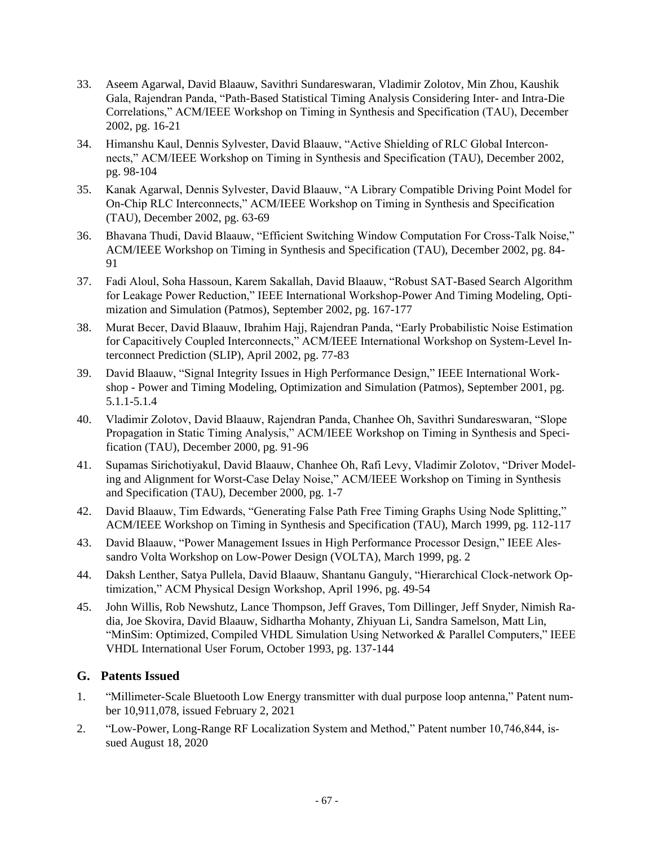- 33. Aseem Agarwal, David Blaauw, Savithri Sundareswaran, Vladimir Zolotov, Min Zhou, Kaushik Gala, Rajendran Panda, "Path-Based Statistical Timing Analysis Considering Inter- and Intra-Die Correlations," ACM/IEEE Workshop on Timing in Synthesis and Specification (TAU), December 2002, pg. 16-21
- 34. Himanshu Kaul, Dennis Sylvester, David Blaauw, "Active Shielding of RLC Global Interconnects," ACM/IEEE Workshop on Timing in Synthesis and Specification (TAU), December 2002, pg. 98-104
- 35. Kanak Agarwal, Dennis Sylvester, David Blaauw, "A Library Compatible Driving Point Model for On-Chip RLC Interconnects," ACM/IEEE Workshop on Timing in Synthesis and Specification (TAU), December 2002, pg. 63-69
- 36. Bhavana Thudi, David Blaauw, "Efficient Switching Window Computation For Cross-Talk Noise," ACM/IEEE Workshop on Timing in Synthesis and Specification (TAU), December 2002, pg. 84- 91
- 37. Fadi Aloul, Soha Hassoun, Karem Sakallah, David Blaauw, "Robust SAT-Based Search Algorithm for Leakage Power Reduction," IEEE International Workshop-Power And Timing Modeling, Optimization and Simulation (Patmos), September 2002, pg. 167-177
- 38. Murat Becer, David Blaauw, Ibrahim Hajj, Rajendran Panda, "Early Probabilistic Noise Estimation for Capacitively Coupled Interconnects," ACM/IEEE International Workshop on System-Level Interconnect Prediction (SLIP), April 2002, pg. 77-83
- 39. David Blaauw, "Signal Integrity Issues in High Performance Design," IEEE International Workshop - Power and Timing Modeling, Optimization and Simulation (Patmos), September 2001, pg. 5.1.1-5.1.4
- 40. Vladimir Zolotov, David Blaauw, Rajendran Panda, Chanhee Oh, Savithri Sundareswaran, "Slope Propagation in Static Timing Analysis," ACM/IEEE Workshop on Timing in Synthesis and Specification (TAU), December 2000, pg. 91-96
- 41. Supamas Sirichotiyakul, David Blaauw, Chanhee Oh, Rafi Levy, Vladimir Zolotov, "Driver Modeling and Alignment for Worst-Case Delay Noise," ACM/IEEE Workshop on Timing in Synthesis and Specification (TAU), December 2000, pg. 1-7
- 42. David Blaauw, Tim Edwards, "Generating False Path Free Timing Graphs Using Node Splitting," ACM/IEEE Workshop on Timing in Synthesis and Specification (TAU), March 1999, pg. 112-117
- 43. David Blaauw, "Power Management Issues in High Performance Processor Design," IEEE Alessandro Volta Workshop on Low-Power Design (VOLTA), March 1999, pg. 2
- 44. Daksh Lenther, Satya Pullela, David Blaauw, Shantanu Ganguly, "Hierarchical Clock-network Optimization," ACM Physical Design Workshop, April 1996, pg. 49-54
- 45. John Willis, Rob Newshutz, Lance Thompson, Jeff Graves, Tom Dillinger, Jeff Snyder, Nimish Radia, Joe Skovira, David Blaauw, Sidhartha Mohanty, Zhiyuan Li, Sandra Samelson, Matt Lin, "MinSim: Optimized, Compiled VHDL Simulation Using Networked & Parallel Computers," IEEE VHDL International User Forum, October 1993, pg. 137-144

## **G. Patents Issued**

- 1. "Millimeter-Scale Bluetooth Low Energy transmitter with dual purpose loop antenna," Patent number 10,911,078, issued February 2, 2021
- 2. "Low-Power, Long-Range RF Localization System and Method," Patent number 10,746,844, issued August 18, 2020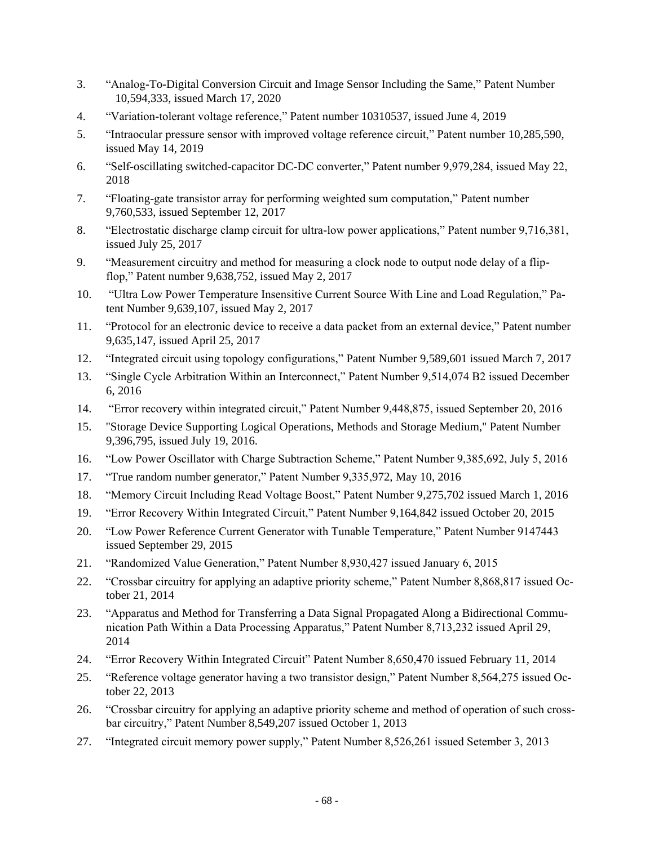- 3. "Analog-To-Digital Conversion Circuit and Image Sensor Including the Same," Patent Number 10,594,333, issued March 17, 2020
- 4. "Variation-tolerant voltage reference," Patent number 10310537, issued June 4, 2019
- 5. "Intraocular pressure sensor with improved voltage reference circuit," Patent number 10,285,590, issued May 14, 2019
- 6. "Self-oscillating switched-capacitor DC-DC converter," Patent number 9,979,284, issued May 22, 2018
- 7. "Floating-gate transistor array for performing weighted sum computation," Patent number 9,760,533, issued September 12, 2017
- 8. "Electrostatic discharge clamp circuit for ultra-low power applications," Patent number 9,716,381, issued July 25, 2017
- 9. "Measurement circuitry and method for measuring a clock node to output node delay of a flipflop," Patent number 9,638,752, issued May 2, 2017
- 10. "Ultra Low Power Temperature Insensitive Current Source With Line and Load Regulation," Patent Number 9,639,107, issued May 2, 2017
- 11. "Protocol for an electronic device to receive a data packet from an external device," Patent number 9,635,147, issued April 25, 2017
- 12. "Integrated circuit using topology configurations," Patent Number 9,589,601 issued March 7, 2017
- 13. "Single Cycle Arbitration Within an Interconnect," Patent Number 9,514,074 B2 issued December 6, 2016
- 14. "Error recovery within integrated circuit," Patent Number 9,448,875, issued September 20, 2016
- 15. "Storage Device Supporting Logical Operations, Methods and Storage Medium," Patent Number 9,396,795, issued July 19, 2016.
- 16. "Low Power Oscillator with Charge Subtraction Scheme," Patent Number 9,385,692, July 5, 2016
- 17. "True random number generator," Patent Number 9,335,972, May 10, 2016
- 18. "Memory Circuit Including Read Voltage Boost," Patent Number 9,275,702 issued March 1, 2016
- 19. "Error Recovery Within Integrated Circuit," Patent Number 9,164,842 issued October 20, 2015
- 20. "Low Power Reference Current Generator with Tunable Temperature," Patent Number 9147443 issued September 29, 2015
- 21. "Randomized Value Generation," Patent Number 8,930,427 issued January 6, 2015
- 22. "Crossbar circuitry for applying an adaptive priority scheme," Patent Number 8,868,817 issued October 21, 2014
- 23. "Apparatus and Method for Transferring a Data Signal Propagated Along a Bidirectional Communication Path Within a Data Processing Apparatus," Patent Number 8,713,232 issued April 29, 2014
- 24. "Error Recovery Within Integrated Circuit" Patent Number 8,650,470 issued February 11, 2014
- 25. "Reference voltage generator having a two transistor design," Patent Number 8,564,275 issued October 22, 2013
- 26. "Crossbar circuitry for applying an adaptive priority scheme and method of operation of such crossbar circuitry," Patent Number 8,549,207 issued October 1, 2013
- 27. "Integrated circuit memory power supply," Patent Number 8,526,261 issued Setember 3, 2013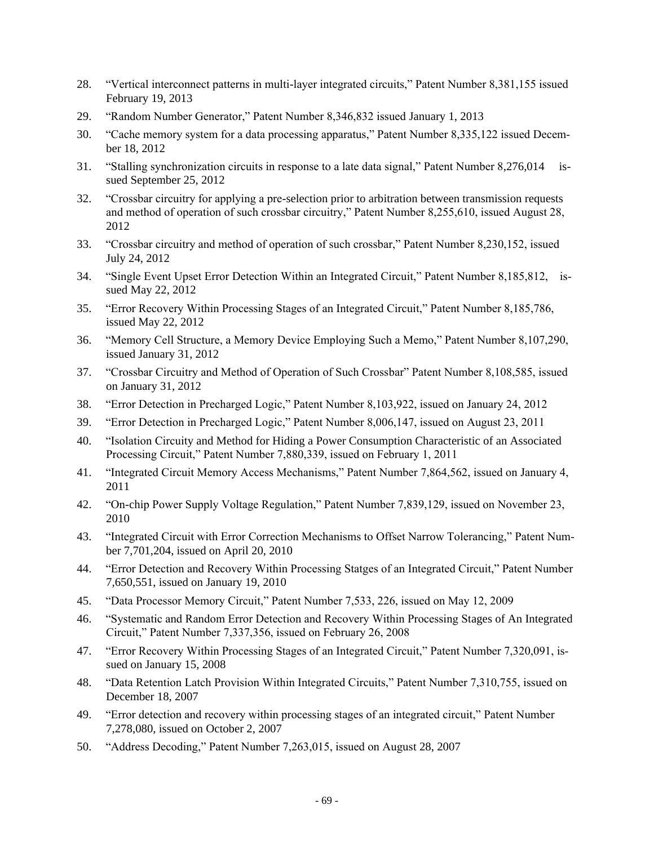- 28. "Vertical interconnect patterns in multi-layer integrated circuits," Patent Number 8,381,155 issued February 19, 2013
- 29. "Random Number Generator," Patent Number 8,346,832 issued January 1, 2013
- 30. "Cache memory system for a data processing apparatus," Patent Number 8,335,122 issued December 18, 2012
- 31. "Stalling synchronization circuits in response to a late data signal," Patent Number 8,276,014 issued September 25, 2012
- 32. "Crossbar circuitry for applying a pre-selection prior to arbitration between transmission requests and method of operation of such crossbar circuitry," Patent Number 8,255,610, issued August 28, 2012
- 33. "Crossbar circuitry and method of operation of such crossbar," Patent Number 8,230,152, issued July 24, 2012
- 34. "Single Event Upset Error Detection Within an Integrated Circuit," Patent Number 8,185,812, issued May 22, 2012
- 35. "Error Recovery Within Processing Stages of an Integrated Circuit," Patent Number 8,185,786, issued May 22, 2012
- 36. "Memory Cell Structure, a Memory Device Employing Such a Memo," Patent Number 8,107,290, issued January 31, 2012
- 37. "Crossbar Circuitry and Method of Operation of Such Crossbar" Patent Number 8,108,585, issued on January 31, 2012
- 38. "Error Detection in Precharged Logic," Patent Number 8,103,922, issued on January 24, 2012
- 39. "Error Detection in Precharged Logic," Patent Number 8,006,147, issued on August 23, 2011
- 40. "Isolation Circuity and Method for Hiding a Power Consumption Characteristic of an Associated Processing Circuit," Patent Number 7,880,339, issued on February 1, 2011
- 41. "Integrated Circuit Memory Access Mechanisms," Patent Number 7,864,562, issued on January 4, 2011
- 42. "On-chip Power Supply Voltage Regulation," Patent Number 7,839,129, issued on November 23, 2010
- 43. "Integrated Circuit with Error Correction Mechanisms to Offset Narrow Tolerancing," Patent Number 7,701,204, issued on April 20, 2010
- 44. "Error Detection and Recovery Within Processing Statges of an Integrated Circuit," Patent Number 7,650,551, issued on January 19, 2010
- 45. "Data Processor Memory Circuit," Patent Number 7,533, 226, issued on May 12, 2009
- 46. "Systematic and Random Error Detection and Recovery Within Processing Stages of An Integrated Circuit," Patent Number 7,337,356, issued on February 26, 2008
- 47. "Error Recovery Within Processing Stages of an Integrated Circuit," Patent Number 7,320,091, issued on January 15, 2008
- 48. "Data Retention Latch Provision Within Integrated Circuits," Patent Number 7,310,755, issued on December 18, 2007
- 49. "Error detection and recovery within processing stages of an integrated circuit," Patent Number 7,278,080, issued on October 2, 2007
- 50. "Address Decoding," Patent Number 7,263,015, issued on August 28, 2007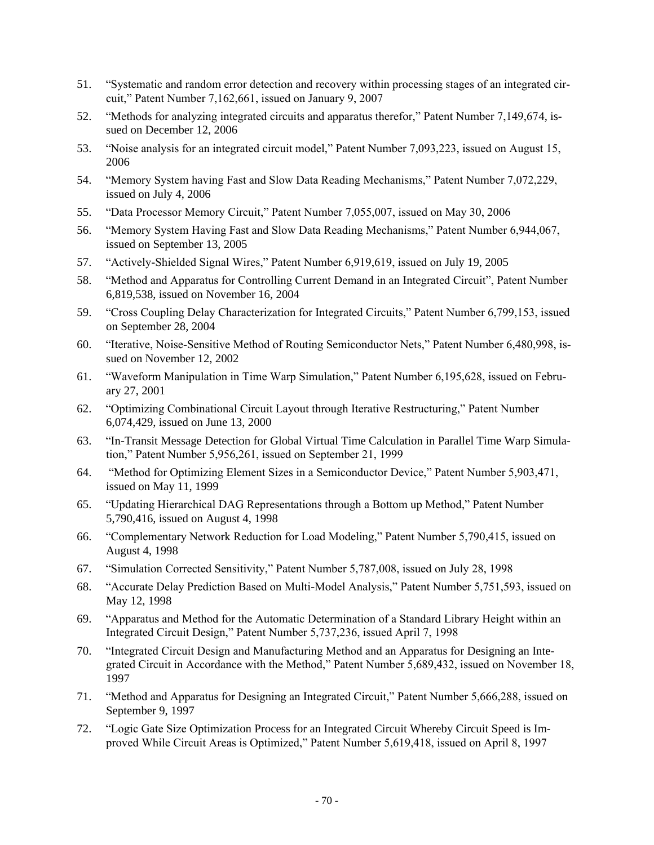- 51. "Systematic and random error detection and recovery within processing stages of an integrated circuit," Patent Number 7,162,661, issued on January 9, 2007
- 52. "Methods for analyzing integrated circuits and apparatus therefor," Patent Number 7,149,674, issued on December 12, 2006
- 53. "Noise analysis for an integrated circuit model," Patent Number 7,093,223, issued on August 15, 2006
- 54. "Memory System having Fast and Slow Data Reading Mechanisms," Patent Number 7,072,229, issued on July 4, 2006
- 55. "Data Processor Memory Circuit," Patent Number 7,055,007, issued on May 30, 2006
- 56. "Memory System Having Fast and Slow Data Reading Mechanisms," Patent Number 6,944,067, issued on September 13, 2005
- 57. "Actively-Shielded Signal Wires," Patent Number 6,919,619, issued on July 19, 2005
- 58. "Method and Apparatus for Controlling Current Demand in an Integrated Circuit", Patent Number 6,819,538, issued on November 16, 2004
- 59. "Cross Coupling Delay Characterization for Integrated Circuits," Patent Number 6,799,153, issued on September 28, 2004
- 60. "Iterative, Noise-Sensitive Method of Routing Semiconductor Nets," Patent Number 6,480,998, issued on November 12, 2002
- 61. "Waveform Manipulation in Time Warp Simulation," Patent Number 6,195,628, issued on February 27, 2001
- 62. "Optimizing Combinational Circuit Layout through Iterative Restructuring," Patent Number 6,074,429, issued on June 13, 2000
- 63. "In-Transit Message Detection for Global Virtual Time Calculation in Parallel Time Warp Simulation," Patent Number 5,956,261, issued on September 21, 1999
- 64. "Method for Optimizing Element Sizes in a Semiconductor Device," Patent Number 5,903,471, issued on May 11, 1999
- 65. "Updating Hierarchical DAG Representations through a Bottom up Method," Patent Number 5,790,416, issued on August 4, 1998
- 66. "Complementary Network Reduction for Load Modeling," Patent Number 5,790,415, issued on August 4, 1998
- 67. "Simulation Corrected Sensitivity," Patent Number 5,787,008, issued on July 28, 1998
- 68. "Accurate Delay Prediction Based on Multi-Model Analysis," Patent Number 5,751,593, issued on May 12, 1998
- 69. "Apparatus and Method for the Automatic Determination of a Standard Library Height within an Integrated Circuit Design," Patent Number 5,737,236, issued April 7, 1998
- 70. "Integrated Circuit Design and Manufacturing Method and an Apparatus for Designing an Integrated Circuit in Accordance with the Method," Patent Number 5,689,432, issued on November 18, 1997
- 71. "Method and Apparatus for Designing an Integrated Circuit," Patent Number 5,666,288, issued on September 9, 1997
- 72. "Logic Gate Size Optimization Process for an Integrated Circuit Whereby Circuit Speed is Improved While Circuit Areas is Optimized," Patent Number 5,619,418, issued on April 8, 1997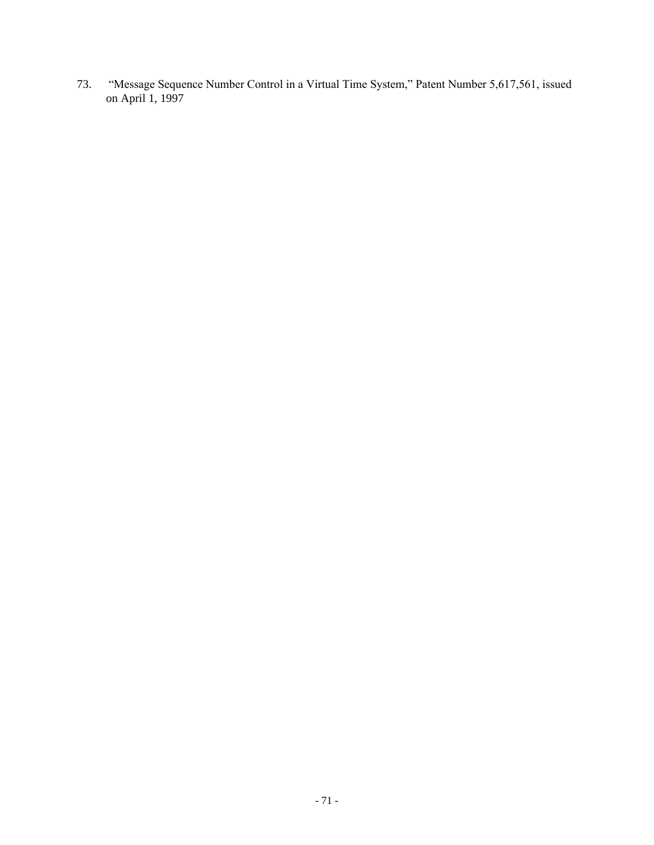73. "Message Sequence Number Control in a Virtual Time System," Patent Number 5,617,561, issued on April 1, 1997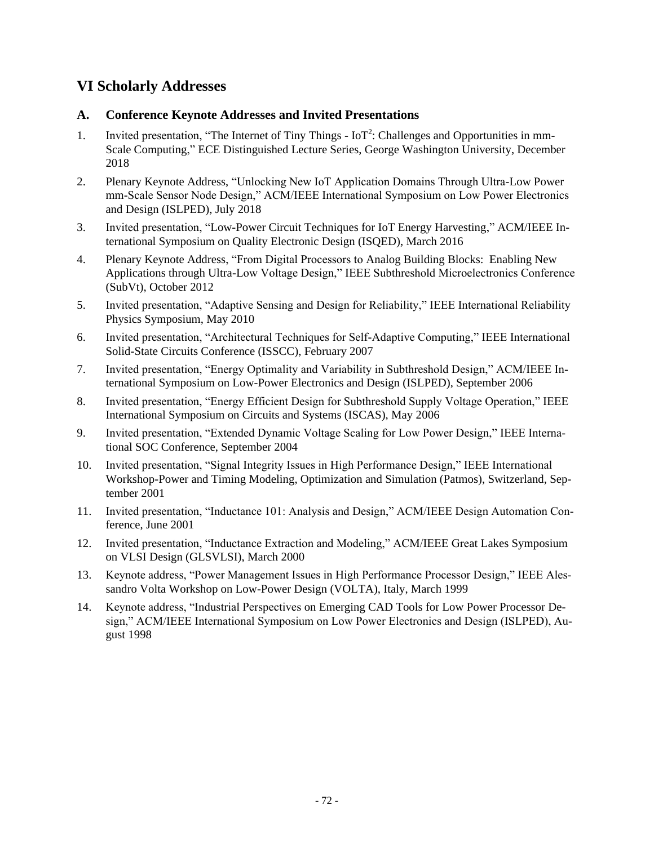## **VI Scholarly Addresses**

## **A. Conference Keynote Addresses and Invited Presentations**

- 1. Invited presentation, "The Internet of Tiny Things IoT<sup>2</sup>: Challenges and Opportunities in mm-Scale Computing," ECE Distinguished Lecture Series, George Washington University, December 2018
- 2. Plenary Keynote Address, "Unlocking New IoT Application Domains Through Ultra-Low Power mm-Scale Sensor Node Design," ACM/IEEE International Symposium on Low Power Electronics and Design (ISLPED), July 2018
- 3. Invited presentation, "Low-Power Circuit Techniques for IoT Energy Harvesting," ACM/IEEE International Symposium on Quality Electronic Design (ISQED), March 2016
- 4. Plenary Keynote Address, "From Digital Processors to Analog Building Blocks: Enabling New Applications through Ultra-Low Voltage Design," IEEE Subthreshold Microelectronics Conference (SubVt), October 2012
- 5. Invited presentation, "Adaptive Sensing and Design for Reliability," IEEE International Reliability Physics Symposium, May 2010
- 6. Invited presentation, "Architectural Techniques for Self-Adaptive Computing," IEEE International Solid-State Circuits Conference (ISSCC), February 2007
- 7. Invited presentation, "Energy Optimality and Variability in Subthreshold Design," ACM/IEEE International Symposium on Low-Power Electronics and Design (ISLPED), September 2006
- 8. Invited presentation, "Energy Efficient Design for Subthreshold Supply Voltage Operation," IEEE International Symposium on Circuits and Systems (ISCAS), May 2006
- 9. Invited presentation, "Extended Dynamic Voltage Scaling for Low Power Design," IEEE International SOC Conference, September 2004
- 10. Invited presentation, "Signal Integrity Issues in High Performance Design," IEEE International Workshop-Power and Timing Modeling, Optimization and Simulation (Patmos), Switzerland, September 2001
- 11. Invited presentation, "Inductance 101: Analysis and Design," ACM/IEEE Design Automation Conference, June 2001
- 12. Invited presentation, "Inductance Extraction and Modeling," ACM/IEEE Great Lakes Symposium on VLSI Design (GLSVLSI), March 2000
- 13. Keynote address, "Power Management Issues in High Performance Processor Design," IEEE Alessandro Volta Workshop on Low-Power Design (VOLTA), Italy, March 1999
- 14. Keynote address, "Industrial Perspectives on Emerging CAD Tools for Low Power Processor Design," ACM/IEEE International Symposium on Low Power Electronics and Design (ISLPED), August 1998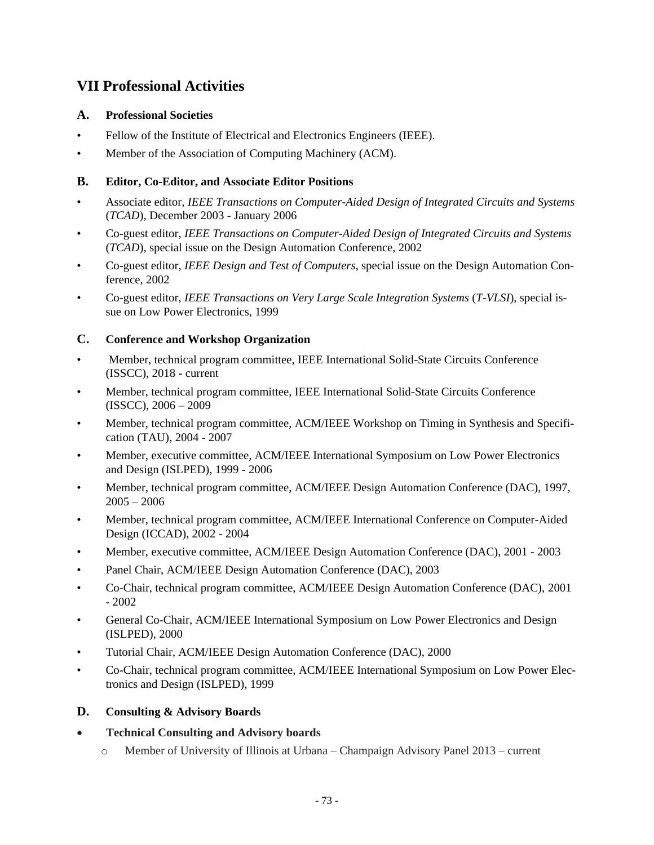# **VII Professional Activities**

## **A. Professional Societies**

- Fellow of the Institute of Electrical and Electronics Engineers (IEEE).
- Member of the Association of Computing Machinery (ACM).

## **B. Editor, Co-Editor, and Associate Editor Positions**

- Associate editor, *IEEE Transactions on Computer-Aided Design of Integrated Circuits and Systems*  (*TCAD*), December 2003 - January 2006
- Co-guest editor, *IEEE Transactions on Computer-Aided Design of Integrated Circuits and Systems*  (*TCAD*), special issue on the Design Automation Conference, 2002
- Co-guest editor, *IEEE Design and Test of Computers*, special issue on the Design Automation Conference, 2002
- Co-guest editor, *IEEE Transactions on Very Large Scale Integration Systems* (*T-VLSI*), special issue on Low Power Electronics, 1999

## **C. Conference and Workshop Organization**

- Member, technical program committee, IEEE International Solid-State Circuits Conference (ISSCC), 2018 - current
- Member, technical program committee, IEEE International Solid-State Circuits Conference (ISSCC), 2006 – 2009
- Member, technical program committee, ACM/IEEE Workshop on Timing in Synthesis and Specification (TAU), 2004 - 2007
- Member, executive committee, ACM/IEEE International Symposium on Low Power Electronics and Design (ISLPED), 1999 - 2006
- Member, technical program committee, ACM/IEEE Design Automation Conference (DAC), 1997,  $2005 - 2006$
- Member, technical program committee, ACM/IEEE International Conference on Computer-Aided Design (ICCAD), 2002 - 2004
- Member, executive committee, ACM/IEEE Design Automation Conference (DAC), 2001 2003
- Panel Chair, ACM/IEEE Design Automation Conference (DAC), 2003
- Co-Chair, technical program committee, ACM/IEEE Design Automation Conference (DAC), 2001 - 2002
- General Co-Chair, ACM/IEEE International Symposium on Low Power Electronics and Design (ISLPED), 2000
- Tutorial Chair, ACM/IEEE Design Automation Conference (DAC), 2000
- Co-Chair, technical program committee, ACM/IEEE International Symposium on Low Power Electronics and Design (ISLPED), 1999

#### **D. Consulting & Advisory Boards**

- **Technical Consulting and Advisory boards**
	- o Member of University of Illinois at Urbana Champaign Advisory Panel 2013 current